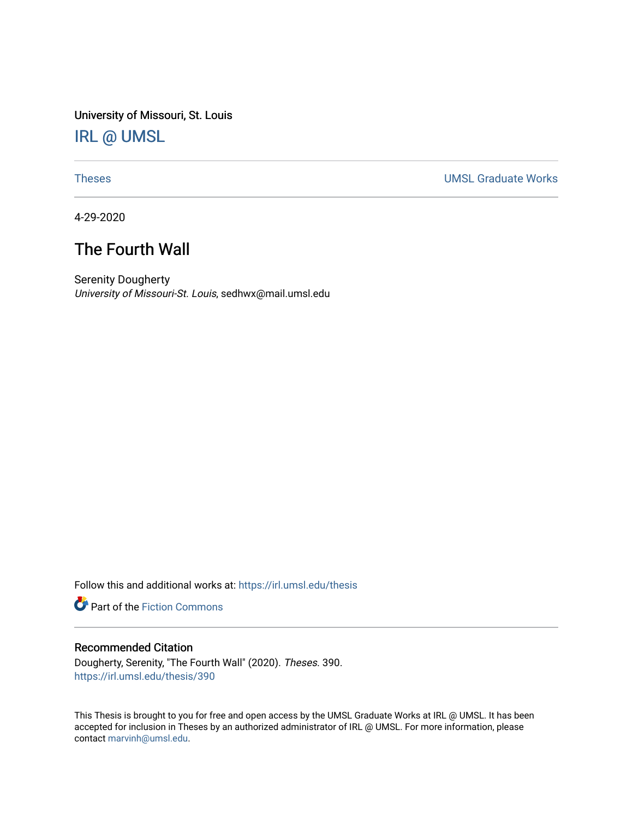University of Missouri, St. Louis [IRL @ UMSL](https://irl.umsl.edu/) 

[Theses](https://irl.umsl.edu/thesis) [UMSL Graduate Works](https://irl.umsl.edu/grad) 

4-29-2020

# The Fourth Wall

Serenity Dougherty University of Missouri-St. Louis, sedhwx@mail.umsl.edu

Follow this and additional works at: [https://irl.umsl.edu/thesis](https://irl.umsl.edu/thesis?utm_source=irl.umsl.edu%2Fthesis%2F390&utm_medium=PDF&utm_campaign=PDFCoverPages) 

**Part of the Fiction Commons** 

#### Recommended Citation

Dougherty, Serenity, "The Fourth Wall" (2020). Theses. 390. [https://irl.umsl.edu/thesis/390](https://irl.umsl.edu/thesis/390?utm_source=irl.umsl.edu%2Fthesis%2F390&utm_medium=PDF&utm_campaign=PDFCoverPages) 

This Thesis is brought to you for free and open access by the UMSL Graduate Works at IRL @ UMSL. It has been accepted for inclusion in Theses by an authorized administrator of IRL @ UMSL. For more information, please contact [marvinh@umsl.edu.](mailto:marvinh@umsl.edu)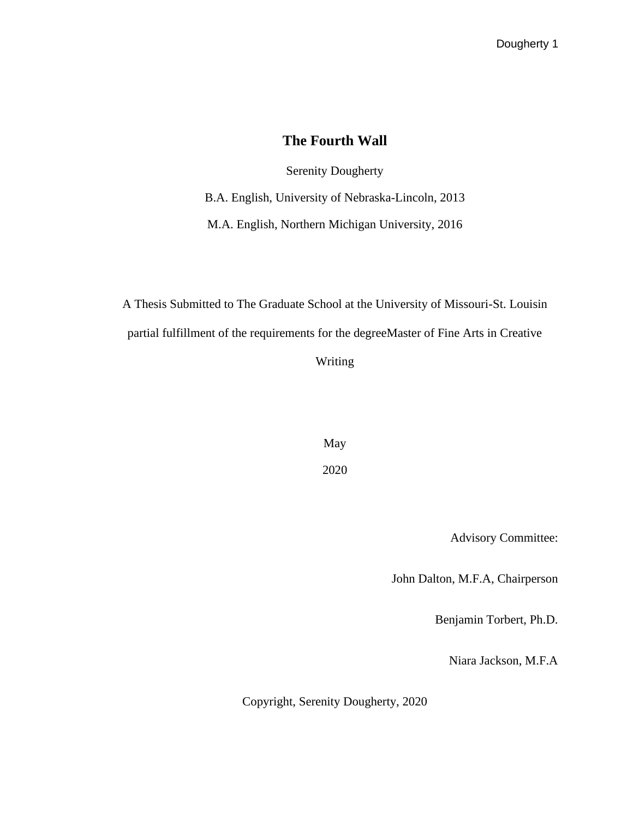### **The Fourth Wall**

Serenity Dougherty

B.A. English, University of Nebraska-Lincoln, 2013

M.A. English, Northern Michigan University, 2016

A Thesis Submitted to The Graduate School at the University of Missouri-St. Louisin partial fulfillment of the requirements for the degreeMaster of Fine Arts in Creative Writing

> May 2020

> > Advisory Committee:

John Dalton, M.F.A, Chairperson

Benjamin Torbert, Ph.D.

Niara Jackson, M.F.A

Copyright, Serenity Dougherty, 2020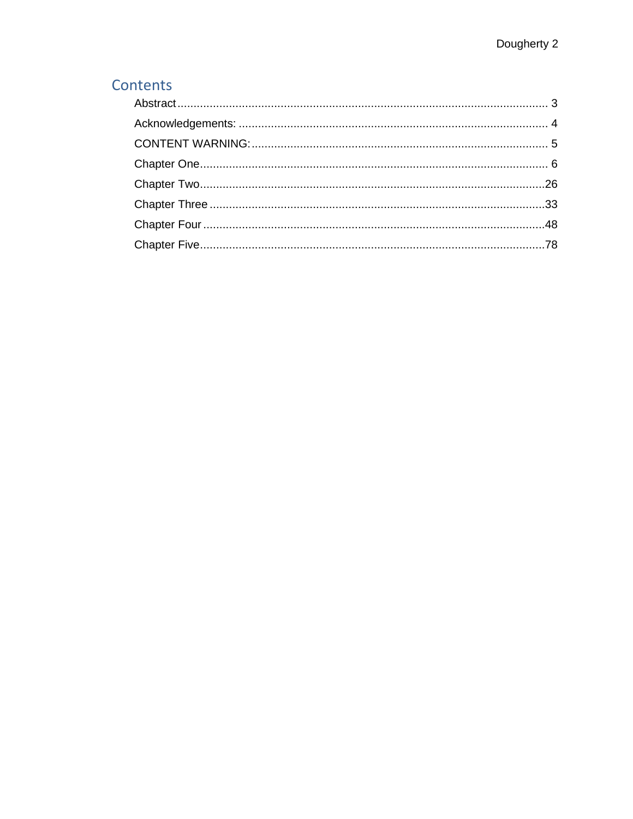# Contents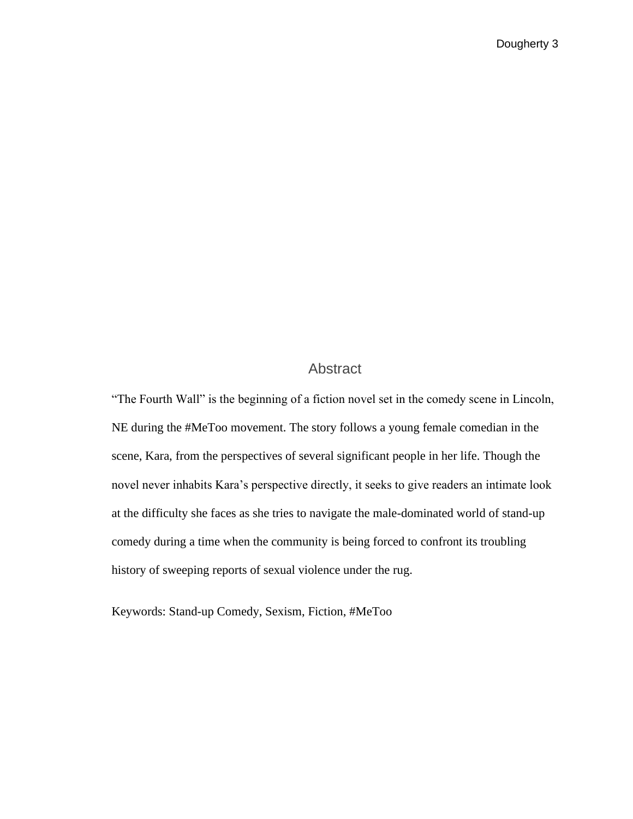### Abstract

<span id="page-3-0"></span>"The Fourth Wall" is the beginning of a fiction novel set in the comedy scene in Lincoln, NE during the #MeToo movement. The story follows a young female comedian in the scene, Kara, from the perspectives of several significant people in her life. Though the novel never inhabits Kara's perspective directly, it seeks to give readers an intimate look at the difficulty she faces as she tries to navigate the male-dominated world of stand-up comedy during a time when the community is being forced to confront its troubling history of sweeping reports of sexual violence under the rug.

Keywords: Stand-up Comedy, Sexism, Fiction, #MeToo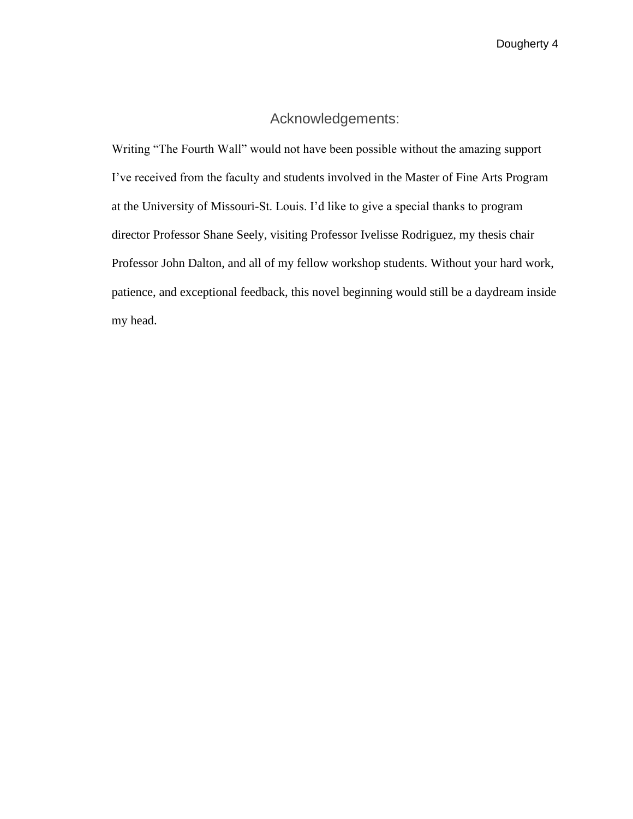### Acknowledgements:

<span id="page-4-0"></span>Writing "The Fourth Wall" would not have been possible without the amazing support I've received from the faculty and students involved in the Master of Fine Arts Program at the University of Missouri-St. Louis. I'd like to give a special thanks to program director Professor Shane Seely, visiting Professor Ivelisse Rodriguez, my thesis chair Professor John Dalton, and all of my fellow workshop students. Without your hard work, patience, and exceptional feedback, this novel beginning would still be a daydream inside my head.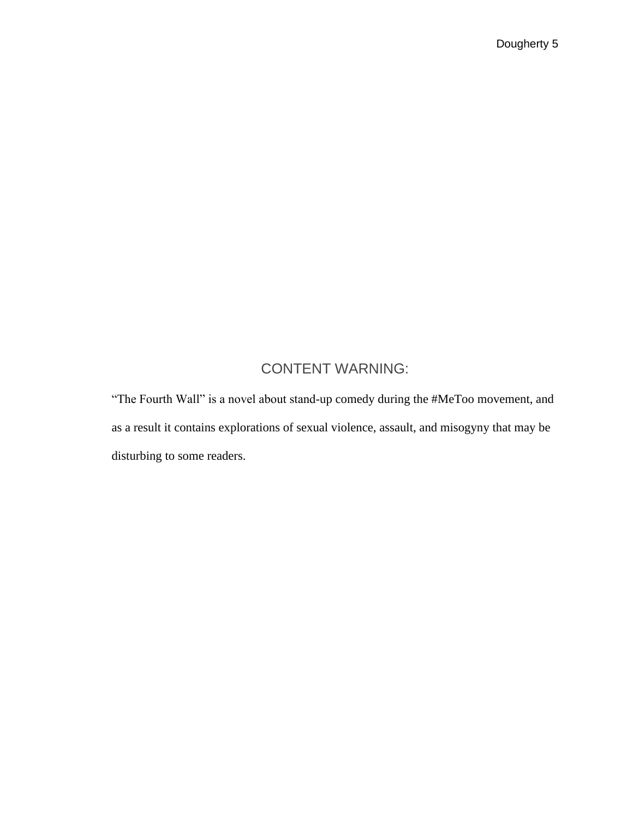# CONTENT WARNING:

<span id="page-5-0"></span>"The Fourth Wall" is a novel about stand-up comedy during the #MeToo movement, and as a result it contains explorations of sexual violence, assault, and misogyny that may be disturbing to some readers.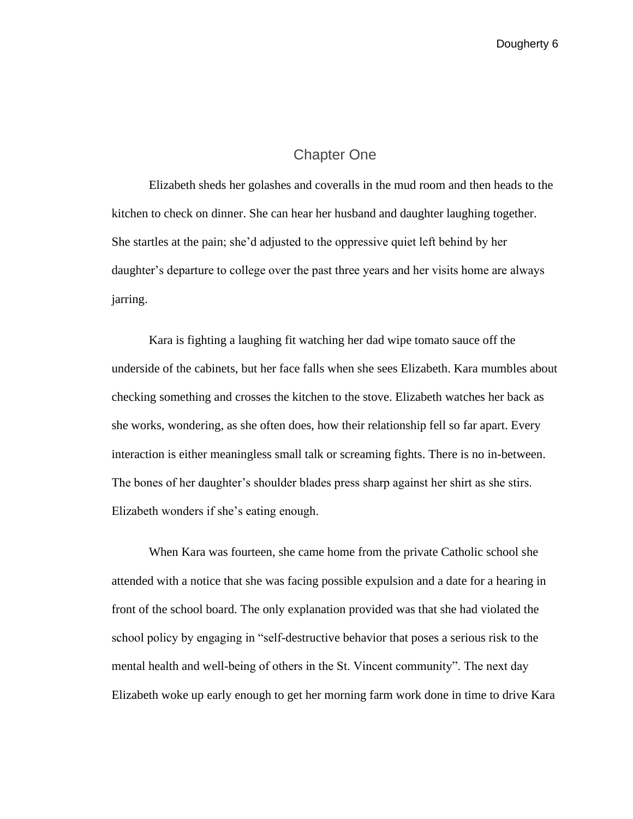#### Chapter One

<span id="page-6-0"></span>Elizabeth sheds her golashes and coveralls in the mud room and then heads to the kitchen to check on dinner. She can hear her husband and daughter laughing together. She startles at the pain; she'd adjusted to the oppressive quiet left behind by her daughter's departure to college over the past three years and her visits home are always jarring.

 Kara is fighting a laughing fit watching her dad wipe tomato sauce off the underside of the cabinets, but her face falls when she sees Elizabeth. Kara mumbles about checking something and crosses the kitchen to the stove. Elizabeth watches her back as she works, wondering, as she often does, how their relationship fell so far apart. Every interaction is either meaningless small talk or screaming fights. There is no in-between. The bones of her daughter's shoulder blades press sharp against her shirt as she stirs. Elizabeth wonders if she's eating enough.

When Kara was fourteen, she came home from the private Catholic school she attended with a notice that she was facing possible expulsion and a date for a hearing in front of the school board. The only explanation provided was that she had violated the school policy by engaging in "self-destructive behavior that poses a serious risk to the mental health and well-being of others in the St. Vincent community". The next day Elizabeth woke up early enough to get her morning farm work done in time to drive Kara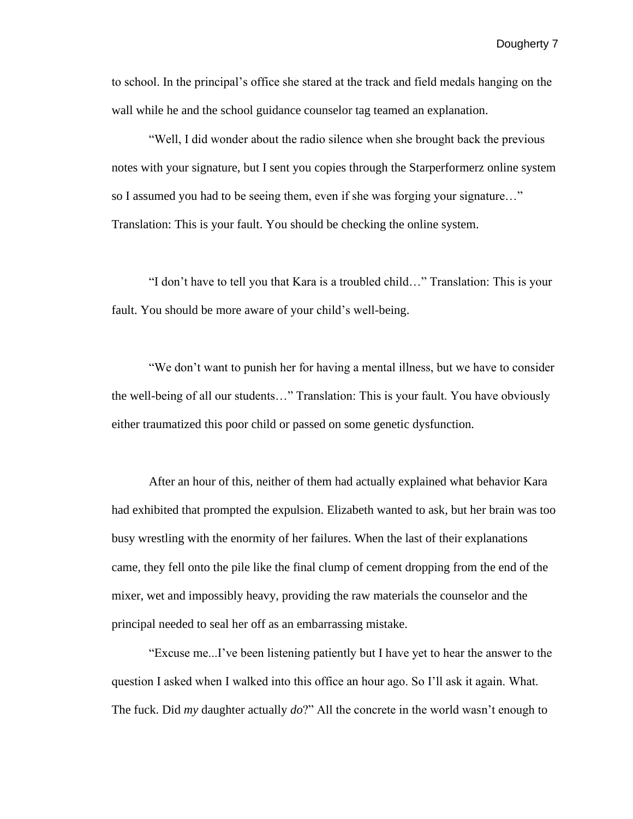to school. In the principal's office she stared at the track and field medals hanging on the wall while he and the school guidance counselor tag teamed an explanation.

"Well, I did wonder about the radio silence when she brought back the previous notes with your signature, but I sent you copies through the Starperformerz online system so I assumed you had to be seeing them, even if she was forging your signature…" Translation: This is your fault. You should be checking the online system.

"I don't have to tell you that Kara is a troubled child…" Translation: This is your fault. You should be more aware of your child's well-being.

"We don't want to punish her for having a mental illness, but we have to consider the well-being of all our students…" Translation: This is your fault. You have obviously either traumatized this poor child or passed on some genetic dysfunction.

After an hour of this, neither of them had actually explained what behavior Kara had exhibited that prompted the expulsion. Elizabeth wanted to ask, but her brain was too busy wrestling with the enormity of her failures. When the last of their explanations came, they fell onto the pile like the final clump of cement dropping from the end of the mixer, wet and impossibly heavy, providing the raw materials the counselor and the principal needed to seal her off as an embarrassing mistake.

"Excuse me...I've been listening patiently but I have yet to hear the answer to the question I asked when I walked into this office an hour ago. So I'll ask it again. What. The fuck. Did *my* daughter actually *do*?" All the concrete in the world wasn't enough to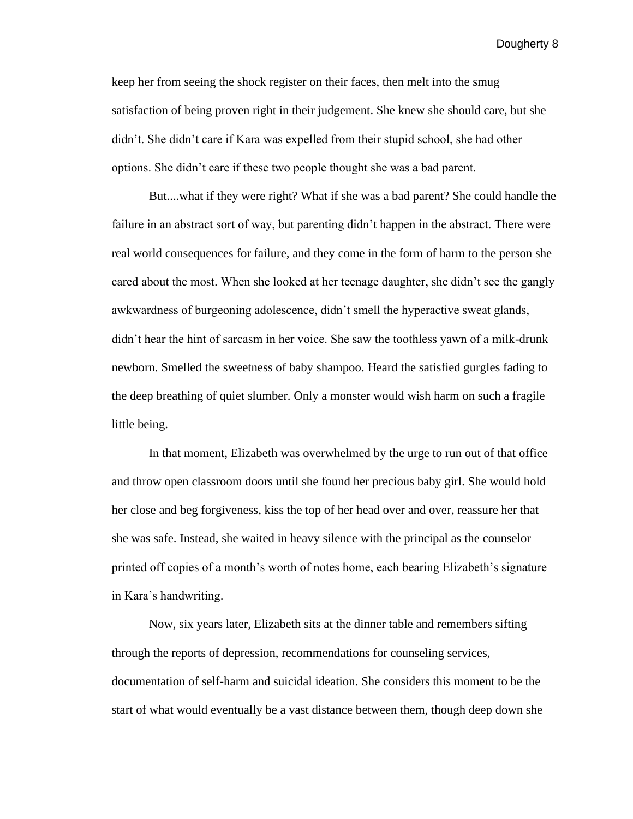keep her from seeing the shock register on their faces, then melt into the smug satisfaction of being proven right in their judgement. She knew she should care, but she didn't. She didn't care if Kara was expelled from their stupid school, she had other options. She didn't care if these two people thought she was a bad parent.

But....what if they were right? What if she was a bad parent? She could handle the failure in an abstract sort of way, but parenting didn't happen in the abstract. There were real world consequences for failure, and they come in the form of harm to the person she cared about the most. When she looked at her teenage daughter, she didn't see the gangly awkwardness of burgeoning adolescence, didn't smell the hyperactive sweat glands, didn't hear the hint of sarcasm in her voice. She saw the toothless yawn of a milk-drunk newborn. Smelled the sweetness of baby shampoo. Heard the satisfied gurgles fading to the deep breathing of quiet slumber. Only a monster would wish harm on such a fragile little being.

In that moment, Elizabeth was overwhelmed by the urge to run out of that office and throw open classroom doors until she found her precious baby girl. She would hold her close and beg forgiveness, kiss the top of her head over and over, reassure her that she was safe. Instead, she waited in heavy silence with the principal as the counselor printed off copies of a month's worth of notes home, each bearing Elizabeth's signature in Kara's handwriting.

Now, six years later, Elizabeth sits at the dinner table and remembers sifting through the reports of depression, recommendations for counseling services, documentation of self-harm and suicidal ideation. She considers this moment to be the start of what would eventually be a vast distance between them, though deep down she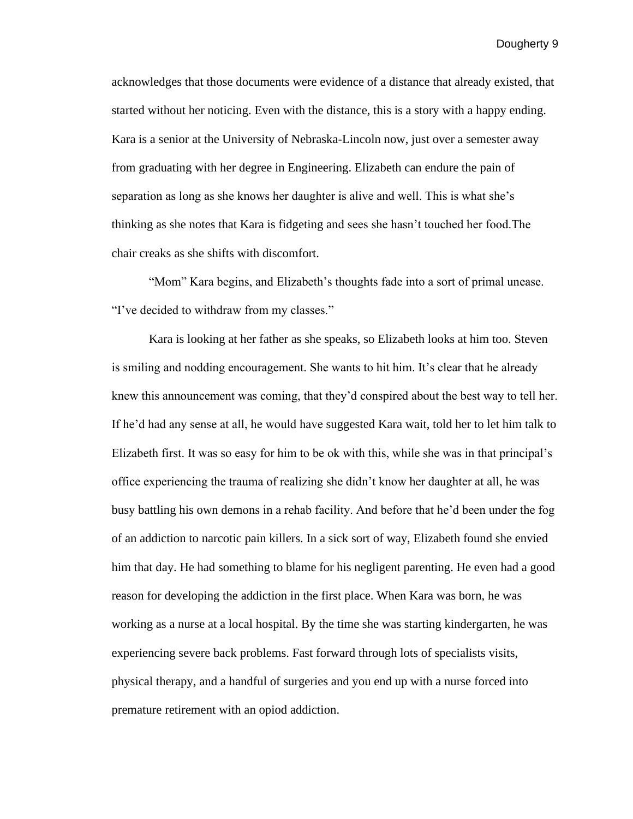acknowledges that those documents were evidence of a distance that already existed, that started without her noticing. Even with the distance, this is a story with a happy ending. Kara is a senior at the University of Nebraska-Lincoln now, just over a semester away from graduating with her degree in Engineering. Elizabeth can endure the pain of separation as long as she knows her daughter is alive and well. This is what she's thinking as she notes that Kara is fidgeting and sees she hasn't touched her food.The chair creaks as she shifts with discomfort.

"Mom" Kara begins, and Elizabeth's thoughts fade into a sort of primal unease. "I've decided to withdraw from my classes."

Kara is looking at her father as she speaks, so Elizabeth looks at him too. Steven is smiling and nodding encouragement. She wants to hit him. It's clear that he already knew this announcement was coming, that they'd conspired about the best way to tell her. If he'd had any sense at all, he would have suggested Kara wait, told her to let him talk to Elizabeth first. It was so easy for him to be ok with this, while she was in that principal's office experiencing the trauma of realizing she didn't know her daughter at all, he was busy battling his own demons in a rehab facility. And before that he'd been under the fog of an addiction to narcotic pain killers. In a sick sort of way, Elizabeth found she envied him that day. He had something to blame for his negligent parenting. He even had a good reason for developing the addiction in the first place. When Kara was born, he was working as a nurse at a local hospital. By the time she was starting kindergarten, he was experiencing severe back problems. Fast forward through lots of specialists visits, physical therapy, and a handful of surgeries and you end up with a nurse forced into premature retirement with an opiod addiction.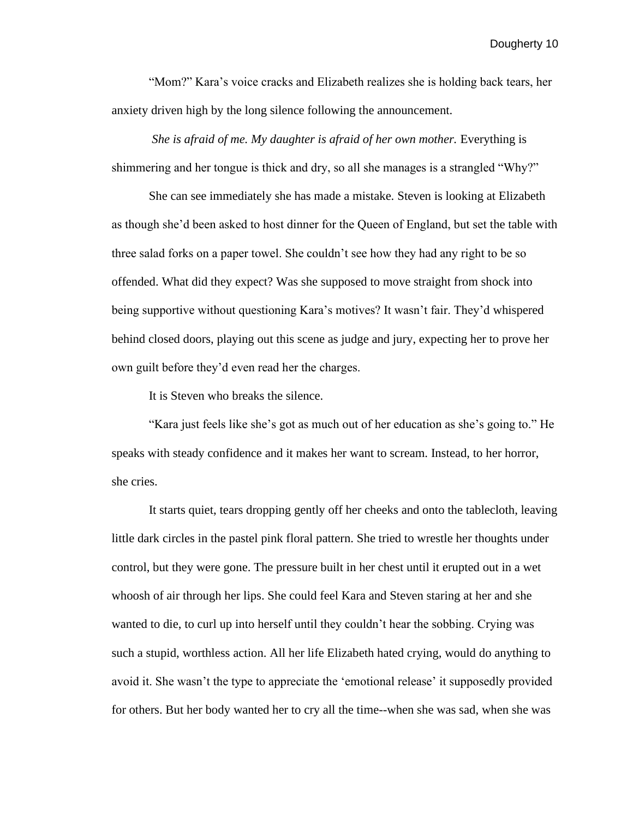"Mom?" Kara's voice cracks and Elizabeth realizes she is holding back tears, her anxiety driven high by the long silence following the announcement.

*She is afraid of me. My daughter is afraid of her own mother.* Everything is shimmering and her tongue is thick and dry, so all she manages is a strangled "Why?"

She can see immediately she has made a mistake. Steven is looking at Elizabeth as though she'd been asked to host dinner for the Queen of England, but set the table with three salad forks on a paper towel. She couldn't see how they had any right to be so offended. What did they expect? Was she supposed to move straight from shock into being supportive without questioning Kara's motives? It wasn't fair. They'd whispered behind closed doors, playing out this scene as judge and jury, expecting her to prove her own guilt before they'd even read her the charges.

It is Steven who breaks the silence.

"Kara just feels like she's got as much out of her education as she's going to." He speaks with steady confidence and it makes her want to scream. Instead, to her horror, she cries.

It starts quiet, tears dropping gently off her cheeks and onto the tablecloth, leaving little dark circles in the pastel pink floral pattern. She tried to wrestle her thoughts under control, but they were gone. The pressure built in her chest until it erupted out in a wet whoosh of air through her lips. She could feel Kara and Steven staring at her and she wanted to die, to curl up into herself until they couldn't hear the sobbing. Crying was such a stupid, worthless action. All her life Elizabeth hated crying, would do anything to avoid it. She wasn't the type to appreciate the 'emotional release' it supposedly provided for others. But her body wanted her to cry all the time--when she was sad, when she was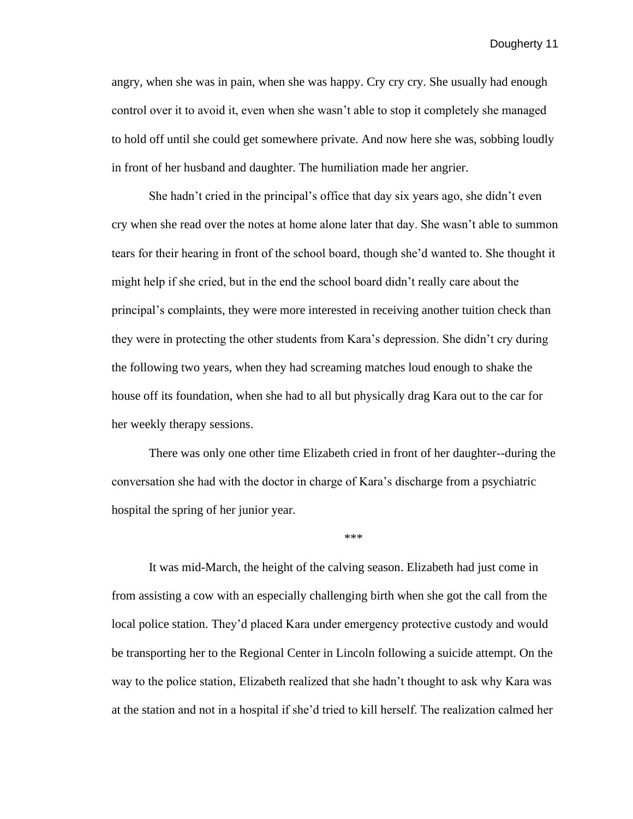angry, when she was in pain, when she was happy. Cry cry cry. She usually had enough control over it to avoid it, even when she wasn't able to stop it completely she managed to hold off until she could get somewhere private. And now here she was, sobbing loudly in front of her husband and daughter. The humiliation made her angrier.

She hadn't cried in the principal's office that day six years ago, she didn't even cry when she read over the notes at home alone later that day. She wasn't able to summon tears for their hearing in front of the school board, though she'd wanted to. She thought it might help if she cried, but in the end the school board didn't really care about the principal's complaints, they were more interested in receiving another tuition check than they were in protecting the other students from Kara's depression. She didn't cry during the following two years, when they had screaming matches loud enough to shake the house off its foundation, when she had to all but physically drag Kara out to the car for her weekly therapy sessions.

There was only one other time Elizabeth cried in front of her daughter--during the conversation she had with the doctor in charge of Kara's discharge from a psychiatric hospital the spring of her junior year.

\*\*\*

It was mid-March, the height of the calving season. Elizabeth had just come in from assisting a cow with an especially challenging birth when she got the call from the local police station. They'd placed Kara under emergency protective custody and would be transporting her to the Regional Center in Lincoln following a suicide attempt. On the way to the police station, Elizabeth realized that she hadn't thought to ask why Kara was at the station and not in a hospital if she'd tried to kill herself. The realization calmed her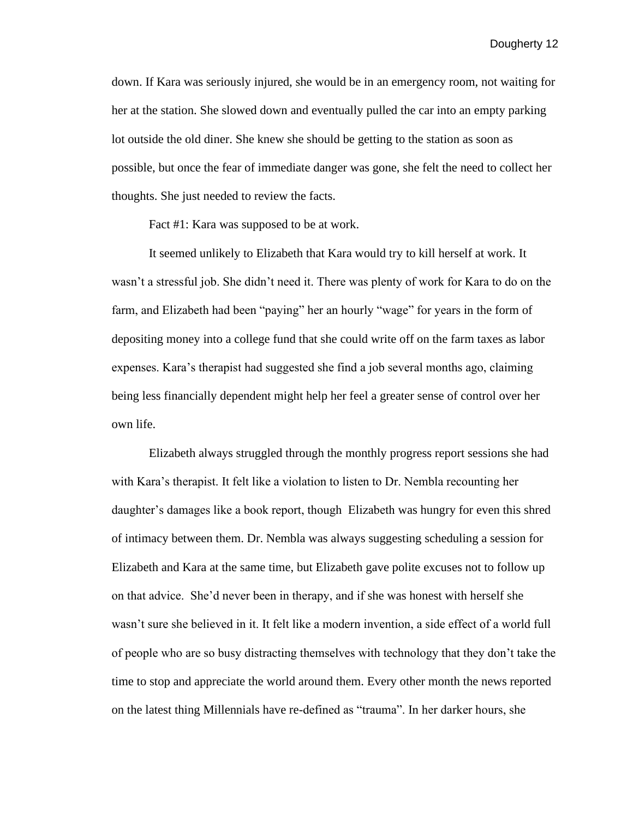down. If Kara was seriously injured, she would be in an emergency room, not waiting for her at the station. She slowed down and eventually pulled the car into an empty parking lot outside the old diner. She knew she should be getting to the station as soon as possible, but once the fear of immediate danger was gone, she felt the need to collect her thoughts. She just needed to review the facts.

Fact #1: Kara was supposed to be at work.

It seemed unlikely to Elizabeth that Kara would try to kill herself at work. It wasn't a stressful job. She didn't need it. There was plenty of work for Kara to do on the farm, and Elizabeth had been "paying" her an hourly "wage" for years in the form of depositing money into a college fund that she could write off on the farm taxes as labor expenses. Kara's therapist had suggested she find a job several months ago, claiming being less financially dependent might help her feel a greater sense of control over her own life.

Elizabeth always struggled through the monthly progress report sessions she had with Kara's therapist. It felt like a violation to listen to Dr. Nembla recounting her daughter's damages like a book report, though Elizabeth was hungry for even this shred of intimacy between them. Dr. Nembla was always suggesting scheduling a session for Elizabeth and Kara at the same time, but Elizabeth gave polite excuses not to follow up on that advice. She'd never been in therapy, and if she was honest with herself she wasn't sure she believed in it. It felt like a modern invention, a side effect of a world full of people who are so busy distracting themselves with technology that they don't take the time to stop and appreciate the world around them. Every other month the news reported on the latest thing Millennials have re-defined as "trauma". In her darker hours, she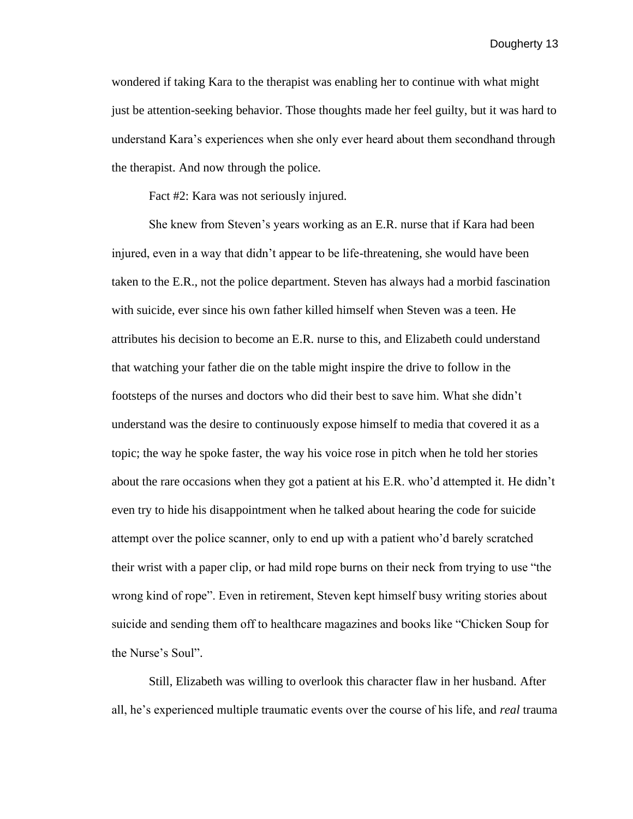wondered if taking Kara to the therapist was enabling her to continue with what might just be attention-seeking behavior. Those thoughts made her feel guilty, but it was hard to understand Kara's experiences when she only ever heard about them secondhand through the therapist. And now through the police.

Fact #2: Kara was not seriously injured.

She knew from Steven's years working as an E.R. nurse that if Kara had been injured, even in a way that didn't appear to be life-threatening, she would have been taken to the E.R., not the police department. Steven has always had a morbid fascination with suicide, ever since his own father killed himself when Steven was a teen. He attributes his decision to become an E.R. nurse to this, and Elizabeth could understand that watching your father die on the table might inspire the drive to follow in the footsteps of the nurses and doctors who did their best to save him. What she didn't understand was the desire to continuously expose himself to media that covered it as a topic; the way he spoke faster, the way his voice rose in pitch when he told her stories about the rare occasions when they got a patient at his E.R. who'd attempted it. He didn't even try to hide his disappointment when he talked about hearing the code for suicide attempt over the police scanner, only to end up with a patient who'd barely scratched their wrist with a paper clip, or had mild rope burns on their neck from trying to use "the wrong kind of rope". Even in retirement, Steven kept himself busy writing stories about suicide and sending them off to healthcare magazines and books like "Chicken Soup for the Nurse's Soul".

Still, Elizabeth was willing to overlook this character flaw in her husband. After all, he's experienced multiple traumatic events over the course of his life, and *real* trauma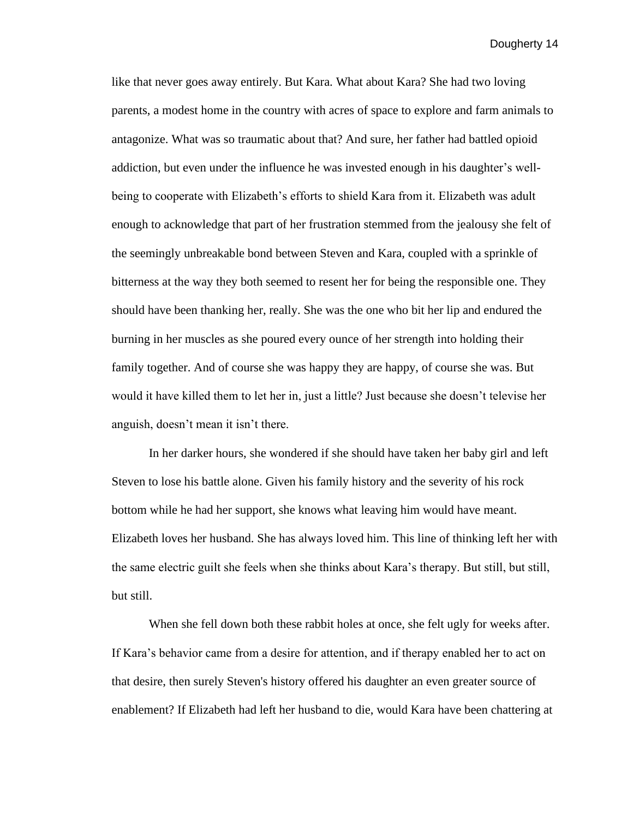like that never goes away entirely. But Kara. What about Kara? She had two loving parents, a modest home in the country with acres of space to explore and farm animals to antagonize. What was so traumatic about that? And sure, her father had battled opioid addiction, but even under the influence he was invested enough in his daughter's wellbeing to cooperate with Elizabeth's efforts to shield Kara from it. Elizabeth was adult enough to acknowledge that part of her frustration stemmed from the jealousy she felt of the seemingly unbreakable bond between Steven and Kara, coupled with a sprinkle of bitterness at the way they both seemed to resent her for being the responsible one. They should have been thanking her, really. She was the one who bit her lip and endured the burning in her muscles as she poured every ounce of her strength into holding their family together. And of course she was happy they are happy, of course she was. But would it have killed them to let her in, just a little? Just because she doesn't televise her anguish, doesn't mean it isn't there.

In her darker hours, she wondered if she should have taken her baby girl and left Steven to lose his battle alone. Given his family history and the severity of his rock bottom while he had her support, she knows what leaving him would have meant. Elizabeth loves her husband. She has always loved him. This line of thinking left her with the same electric guilt she feels when she thinks about Kara's therapy. But still, but still, but still.

When she fell down both these rabbit holes at once, she felt ugly for weeks after. If Kara's behavior came from a desire for attention, and if therapy enabled her to act on that desire, then surely Steven's history offered his daughter an even greater source of enablement? If Elizabeth had left her husband to die, would Kara have been chattering at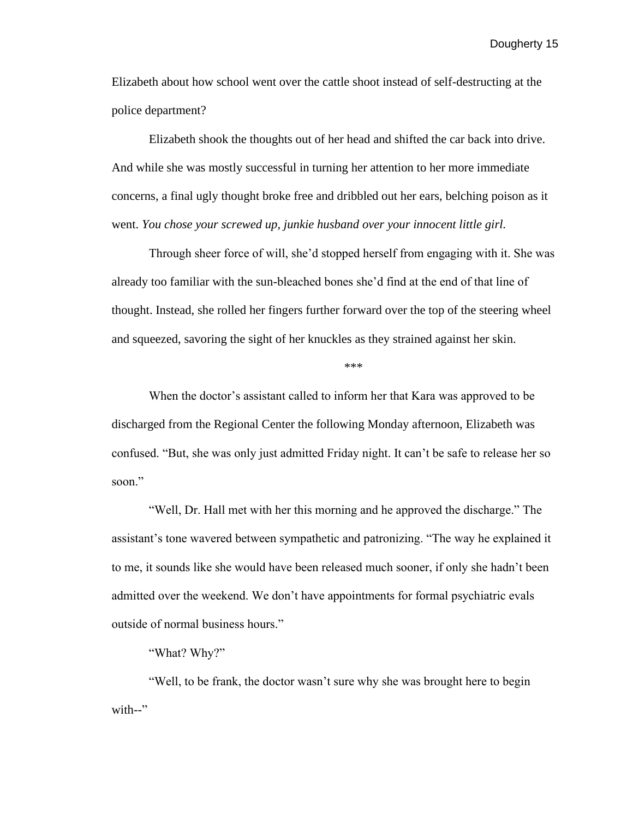Elizabeth about how school went over the cattle shoot instead of self-destructing at the police department?

Elizabeth shook the thoughts out of her head and shifted the car back into drive. And while she was mostly successful in turning her attention to her more immediate concerns, a final ugly thought broke free and dribbled out her ears, belching poison as it went. *You chose your screwed up, junkie husband over your innocent little girl.* 

Through sheer force of will, she'd stopped herself from engaging with it. She was already too familiar with the sun-bleached bones she'd find at the end of that line of thought. Instead, she rolled her fingers further forward over the top of the steering wheel and squeezed, savoring the sight of her knuckles as they strained against her skin.

\*\*\*

When the doctor's assistant called to inform her that Kara was approved to be discharged from the Regional Center the following Monday afternoon, Elizabeth was confused. "But, she was only just admitted Friday night. It can't be safe to release her so soon."

"Well, Dr. Hall met with her this morning and he approved the discharge." The assistant's tone wavered between sympathetic and patronizing. "The way he explained it to me, it sounds like she would have been released much sooner, if only she hadn't been admitted over the weekend. We don't have appointments for formal psychiatric evals outside of normal business hours."

#### "What? Why?"

"Well, to be frank, the doctor wasn't sure why she was brought here to begin with--"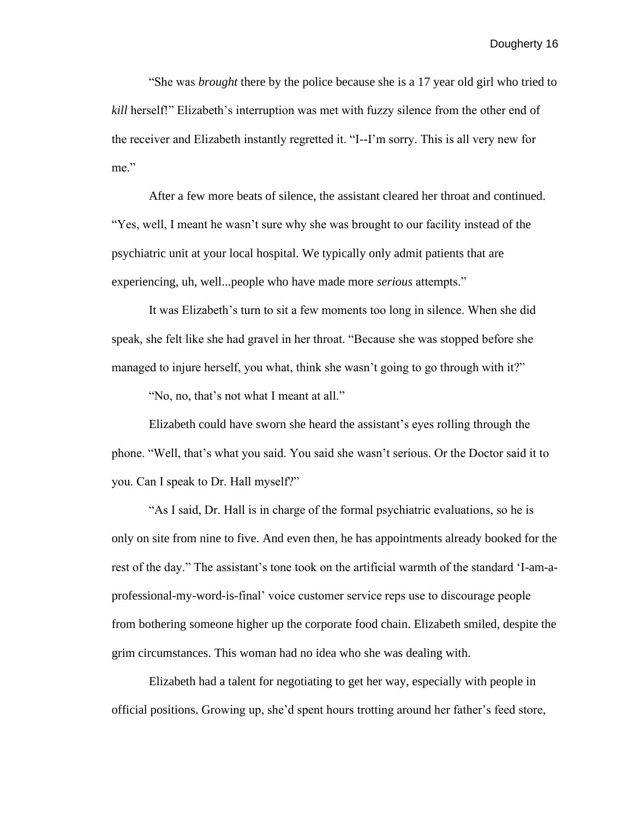"She was *brought* there by the police because she is a 17 year old girl who tried to *kill* herself!" Elizabeth's interruption was met with fuzzy silence from the other end of the receiver and Elizabeth instantly regretted it. "I--I'm sorry. This is all very new for me."

After a few more beats of silence, the assistant cleared her throat and continued. "Yes, well, I meant he wasn't sure why she was brought to our facility instead of the psychiatric unit at your local hospital. We typically only admit patients that are experiencing, uh, well...people who have made more *serious* attempts."

It was Elizabeth's turn to sit a few moments too long in silence. When she did speak, she felt like she had gravel in her throat. "Because she was stopped before she managed to injure herself, you what, think she wasn't going to go through with it?"

"No, no, that's not what I meant at all."

Elizabeth could have sworn she heard the assistant's eyes rolling through the phone. "Well, that's what you said. You said she wasn't serious. Or the Doctor said it to you. Can I speak to Dr. Hall myself?"

"As I said, Dr. Hall is in charge of the formal psychiatric evaluations, so he is only on site from nine to five. And even then, he has appointments already booked for the rest of the day." The assistant's tone took on the artificial warmth of the standard 'I-am-aprofessional-my-word-is-final' voice customer service reps use to discourage people from bothering someone higher up the corporate food chain. Elizabeth smiled, despite the grim circumstances. This woman had no idea who she was dealing with.

Elizabeth had a talent for negotiating to get her way, especially with people in official positions. Growing up, she'd spent hours trotting around her father's feed store,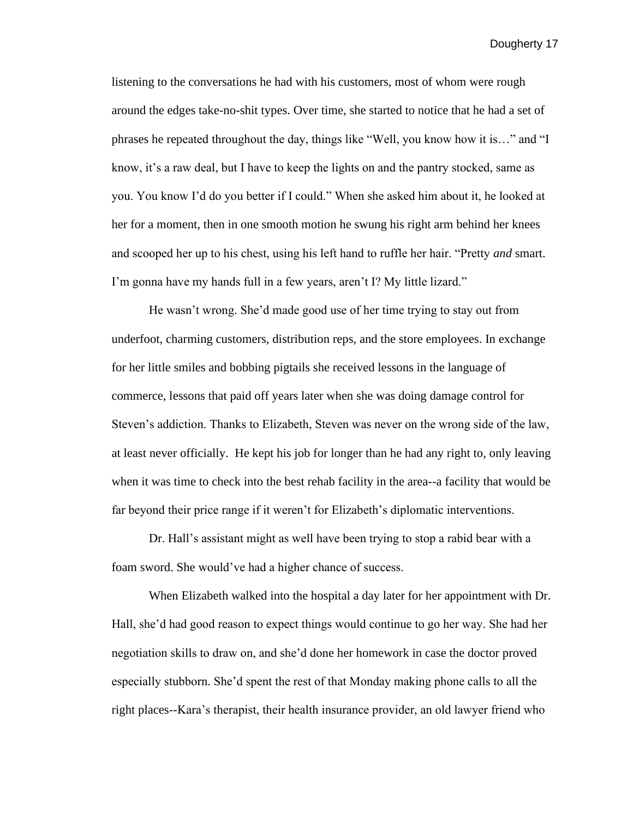listening to the conversations he had with his customers, most of whom were rough around the edges take-no-shit types. Over time, she started to notice that he had a set of phrases he repeated throughout the day, things like "Well, you know how it is…" and "I know, it's a raw deal, but I have to keep the lights on and the pantry stocked, same as you. You know I'd do you better if I could." When she asked him about it, he looked at her for a moment, then in one smooth motion he swung his right arm behind her knees and scooped her up to his chest, using his left hand to ruffle her hair. "Pretty *and* smart. I'm gonna have my hands full in a few years, aren't I? My little lizard."

He wasn't wrong. She'd made good use of her time trying to stay out from underfoot, charming customers, distribution reps, and the store employees. In exchange for her little smiles and bobbing pigtails she received lessons in the language of commerce, lessons that paid off years later when she was doing damage control for Steven's addiction. Thanks to Elizabeth, Steven was never on the wrong side of the law, at least never officially. He kept his job for longer than he had any right to, only leaving when it was time to check into the best rehab facility in the area--a facility that would be far beyond their price range if it weren't for Elizabeth's diplomatic interventions.

Dr. Hall's assistant might as well have been trying to stop a rabid bear with a foam sword. She would've had a higher chance of success.

When Elizabeth walked into the hospital a day later for her appointment with Dr. Hall, she'd had good reason to expect things would continue to go her way. She had her negotiation skills to draw on, and she'd done her homework in case the doctor proved especially stubborn. She'd spent the rest of that Monday making phone calls to all the right places--Kara's therapist, their health insurance provider, an old lawyer friend who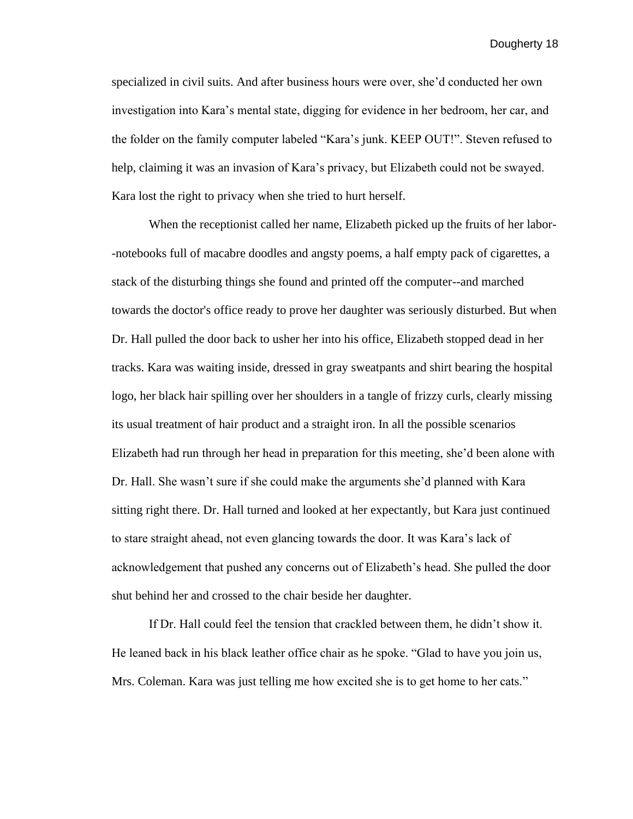specialized in civil suits. And after business hours were over, she'd conducted her own investigation into Kara's mental state, digging for evidence in her bedroom, her car, and the folder on the family computer labeled "Kara's junk. KEEP OUT!". Steven refused to help, claiming it was an invasion of Kara's privacy, but Elizabeth could not be swayed. Kara lost the right to privacy when she tried to hurt herself.

When the receptionist called her name, Elizabeth picked up the fruits of her labor- -notebooks full of macabre doodles and angsty poems, a half empty pack of cigarettes, a stack of the disturbing things she found and printed off the computer--and marched towards the doctor's office ready to prove her daughter was seriously disturbed. But when Dr. Hall pulled the door back to usher her into his office, Elizabeth stopped dead in her tracks. Kara was waiting inside, dressed in gray sweatpants and shirt bearing the hospital logo, her black hair spilling over her shoulders in a tangle of frizzy curls, clearly missing its usual treatment of hair product and a straight iron. In all the possible scenarios Elizabeth had run through her head in preparation for this meeting, she'd been alone with Dr. Hall. She wasn't sure if she could make the arguments she'd planned with Kara sitting right there. Dr. Hall turned and looked at her expectantly, but Kara just continued to stare straight ahead, not even glancing towards the door. It was Kara's lack of acknowledgement that pushed any concerns out of Elizabeth's head. She pulled the door shut behind her and crossed to the chair beside her daughter.

If Dr. Hall could feel the tension that crackled between them, he didn't show it. He leaned back in his black leather office chair as he spoke. "Glad to have you join us, Mrs. Coleman. Kara was just telling me how excited she is to get home to her cats."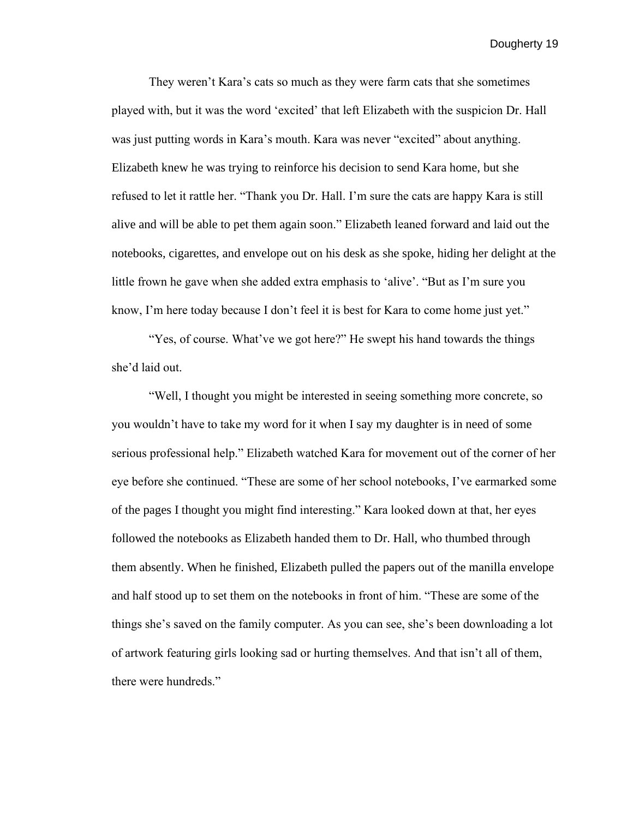They weren't Kara's cats so much as they were farm cats that she sometimes played with, but it was the word 'excited' that left Elizabeth with the suspicion Dr. Hall was just putting words in Kara's mouth. Kara was never "excited" about anything. Elizabeth knew he was trying to reinforce his decision to send Kara home, but she refused to let it rattle her. "Thank you Dr. Hall. I'm sure the cats are happy Kara is still alive and will be able to pet them again soon." Elizabeth leaned forward and laid out the notebooks, cigarettes, and envelope out on his desk as she spoke, hiding her delight at the little frown he gave when she added extra emphasis to 'alive'. "But as I'm sure you know, I'm here today because I don't feel it is best for Kara to come home just yet."

"Yes, of course. What've we got here?" He swept his hand towards the things she'd laid out.

"Well, I thought you might be interested in seeing something more concrete, so you wouldn't have to take my word for it when I say my daughter is in need of some serious professional help." Elizabeth watched Kara for movement out of the corner of her eye before she continued. "These are some of her school notebooks, I've earmarked some of the pages I thought you might find interesting." Kara looked down at that, her eyes followed the notebooks as Elizabeth handed them to Dr. Hall, who thumbed through them absently. When he finished, Elizabeth pulled the papers out of the manilla envelope and half stood up to set them on the notebooks in front of him. "These are some of the things she's saved on the family computer. As you can see, she's been downloading a lot of artwork featuring girls looking sad or hurting themselves. And that isn't all of them, there were hundreds."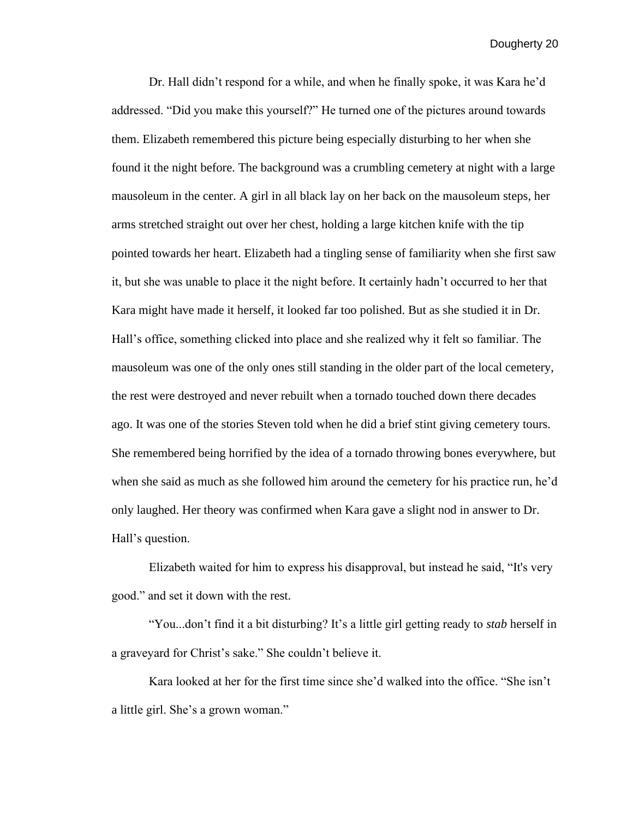Dr. Hall didn't respond for a while, and when he finally spoke, it was Kara he'd addressed. "Did you make this yourself?" He turned one of the pictures around towards them. Elizabeth remembered this picture being especially disturbing to her when she found it the night before. The background was a crumbling cemetery at night with a large mausoleum in the center. A girl in all black lay on her back on the mausoleum steps, her arms stretched straight out over her chest, holding a large kitchen knife with the tip pointed towards her heart. Elizabeth had a tingling sense of familiarity when she first saw it, but she was unable to place it the night before. It certainly hadn't occurred to her that Kara might have made it herself, it looked far too polished. But as she studied it in Dr. Hall's office, something clicked into place and she realized why it felt so familiar. The mausoleum was one of the only ones still standing in the older part of the local cemetery, the rest were destroyed and never rebuilt when a tornado touched down there decades ago. It was one of the stories Steven told when he did a brief stint giving cemetery tours. She remembered being horrified by the idea of a tornado throwing bones everywhere, but when she said as much as she followed him around the cemetery for his practice run, he'd only laughed. Her theory was confirmed when Kara gave a slight nod in answer to Dr. Hall's question.

Elizabeth waited for him to express his disapproval, but instead he said, "It's very good." and set it down with the rest.

"You...don't find it a bit disturbing? It's a little girl getting ready to *stab* herself in a graveyard for Christ's sake." She couldn't believe it.

Kara looked at her for the first time since she'd walked into the office. "She isn't a little girl. She's a grown woman."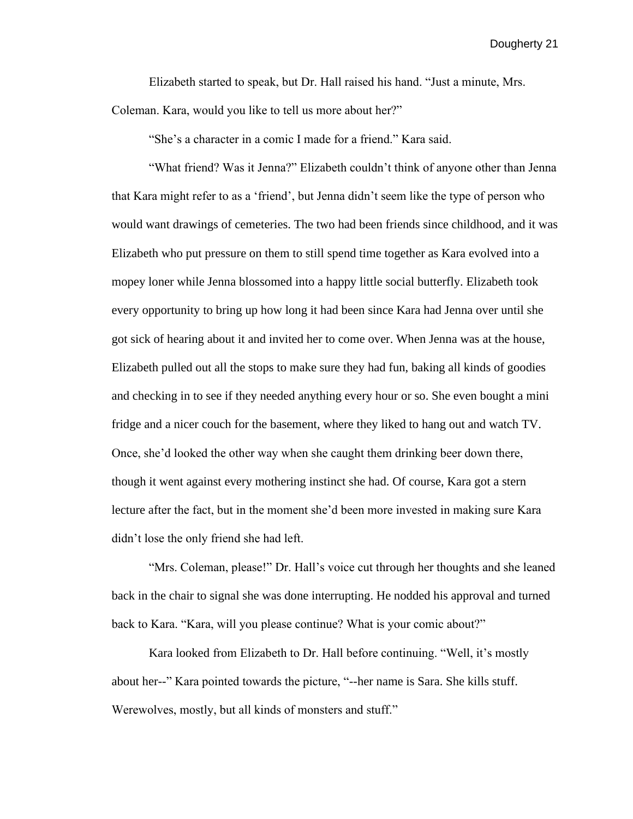Elizabeth started to speak, but Dr. Hall raised his hand. "Just a minute, Mrs. Coleman. Kara, would you like to tell us more about her?"

"She's a character in a comic I made for a friend." Kara said.

"What friend? Was it Jenna?" Elizabeth couldn't think of anyone other than Jenna that Kara might refer to as a 'friend', but Jenna didn't seem like the type of person who would want drawings of cemeteries. The two had been friends since childhood, and it was Elizabeth who put pressure on them to still spend time together as Kara evolved into a mopey loner while Jenna blossomed into a happy little social butterfly. Elizabeth took every opportunity to bring up how long it had been since Kara had Jenna over until she got sick of hearing about it and invited her to come over. When Jenna was at the house, Elizabeth pulled out all the stops to make sure they had fun, baking all kinds of goodies and checking in to see if they needed anything every hour or so. She even bought a mini fridge and a nicer couch for the basement, where they liked to hang out and watch TV. Once, she'd looked the other way when she caught them drinking beer down there, though it went against every mothering instinct she had. Of course, Kara got a stern lecture after the fact, but in the moment she'd been more invested in making sure Kara didn't lose the only friend she had left.

"Mrs. Coleman, please!" Dr. Hall's voice cut through her thoughts and she leaned back in the chair to signal she was done interrupting. He nodded his approval and turned back to Kara. "Kara, will you please continue? What is your comic about?"

Kara looked from Elizabeth to Dr. Hall before continuing. "Well, it's mostly about her--" Kara pointed towards the picture, "--her name is Sara. She kills stuff. Werewolves, mostly, but all kinds of monsters and stuff."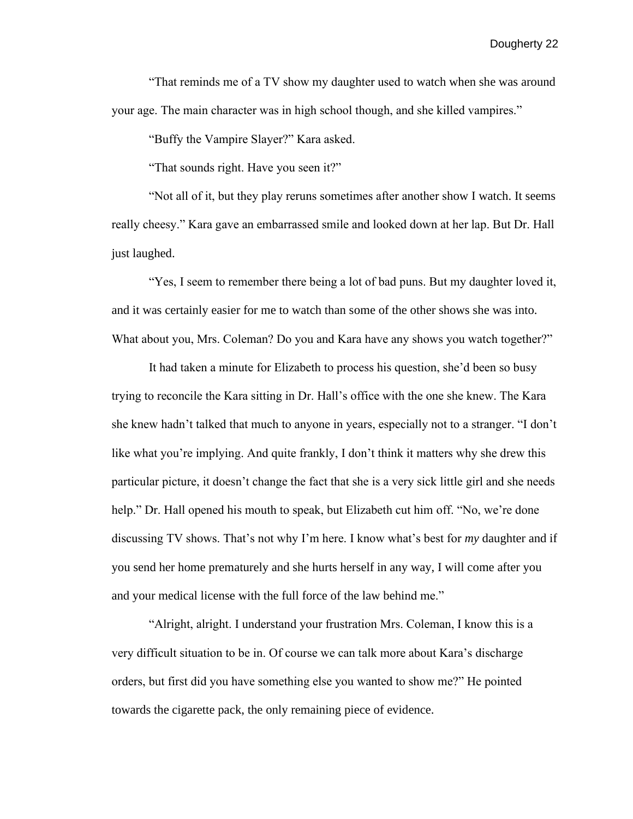"That reminds me of a TV show my daughter used to watch when she was around your age. The main character was in high school though, and she killed vampires."

"Buffy the Vampire Slayer?" Kara asked.

"That sounds right. Have you seen it?"

"Not all of it, but they play reruns sometimes after another show I watch. It seems really cheesy." Kara gave an embarrassed smile and looked down at her lap. But Dr. Hall just laughed.

"Yes, I seem to remember there being a lot of bad puns. But my daughter loved it, and it was certainly easier for me to watch than some of the other shows she was into. What about you, Mrs. Coleman? Do you and Kara have any shows you watch together?"

It had taken a minute for Elizabeth to process his question, she'd been so busy trying to reconcile the Kara sitting in Dr. Hall's office with the one she knew. The Kara she knew hadn't talked that much to anyone in years, especially not to a stranger. "I don't like what you're implying. And quite frankly, I don't think it matters why she drew this particular picture, it doesn't change the fact that she is a very sick little girl and she needs help." Dr. Hall opened his mouth to speak, but Elizabeth cut him off. "No, we're done discussing TV shows. That's not why I'm here. I know what's best for *my* daughter and if you send her home prematurely and she hurts herself in any way, I will come after you and your medical license with the full force of the law behind me."

"Alright, alright. I understand your frustration Mrs. Coleman, I know this is a very difficult situation to be in. Of course we can talk more about Kara's discharge orders, but first did you have something else you wanted to show me?" He pointed towards the cigarette pack, the only remaining piece of evidence.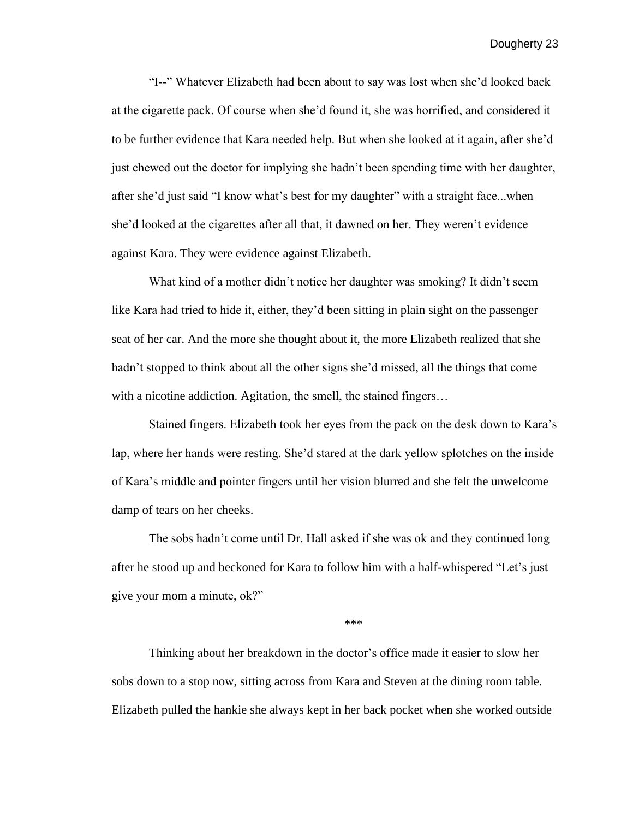"I--" Whatever Elizabeth had been about to say was lost when she'd looked back at the cigarette pack. Of course when she'd found it, she was horrified, and considered it to be further evidence that Kara needed help. But when she looked at it again, after she'd just chewed out the doctor for implying she hadn't been spending time with her daughter, after she'd just said "I know what's best for my daughter" with a straight face...when she'd looked at the cigarettes after all that, it dawned on her. They weren't evidence against Kara. They were evidence against Elizabeth.

What kind of a mother didn't notice her daughter was smoking? It didn't seem like Kara had tried to hide it, either, they'd been sitting in plain sight on the passenger seat of her car. And the more she thought about it, the more Elizabeth realized that she hadn't stopped to think about all the other signs she'd missed, all the things that come with a nicotine addiction. Agitation, the smell, the stained fingers...

Stained fingers. Elizabeth took her eyes from the pack on the desk down to Kara's lap, where her hands were resting. She'd stared at the dark yellow splotches on the inside of Kara's middle and pointer fingers until her vision blurred and she felt the unwelcome damp of tears on her cheeks.

The sobs hadn't come until Dr. Hall asked if she was ok and they continued long after he stood up and beckoned for Kara to follow him with a half-whispered "Let's just give your mom a minute, ok?"

\*\*\*

Thinking about her breakdown in the doctor's office made it easier to slow her sobs down to a stop now, sitting across from Kara and Steven at the dining room table. Elizabeth pulled the hankie she always kept in her back pocket when she worked outside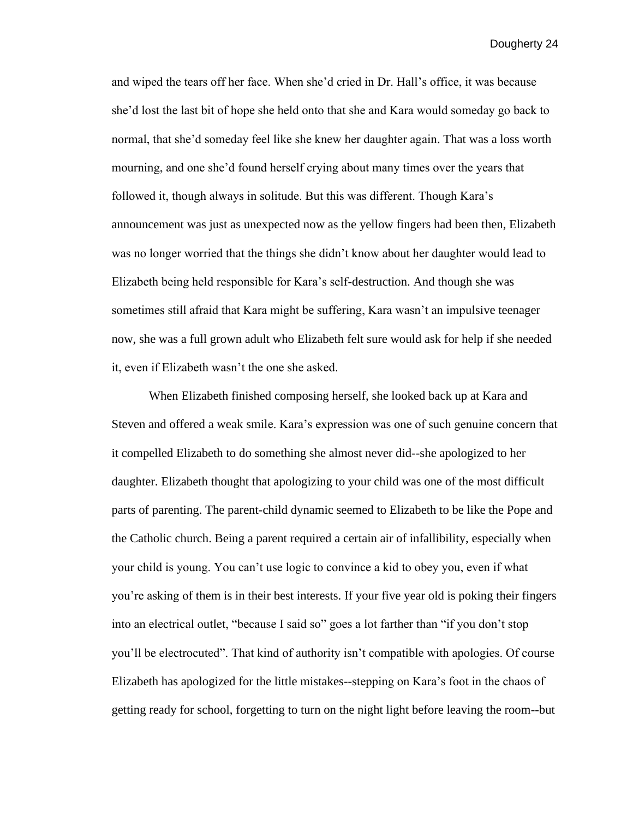and wiped the tears off her face. When she'd cried in Dr. Hall's office, it was because she'd lost the last bit of hope she held onto that she and Kara would someday go back to normal, that she'd someday feel like she knew her daughter again. That was a loss worth mourning, and one she'd found herself crying about many times over the years that followed it, though always in solitude. But this was different. Though Kara's announcement was just as unexpected now as the yellow fingers had been then, Elizabeth was no longer worried that the things she didn't know about her daughter would lead to Elizabeth being held responsible for Kara's self-destruction. And though she was sometimes still afraid that Kara might be suffering, Kara wasn't an impulsive teenager now, she was a full grown adult who Elizabeth felt sure would ask for help if she needed it, even if Elizabeth wasn't the one she asked.

When Elizabeth finished composing herself, she looked back up at Kara and Steven and offered a weak smile. Kara's expression was one of such genuine concern that it compelled Elizabeth to do something she almost never did--she apologized to her daughter. Elizabeth thought that apologizing to your child was one of the most difficult parts of parenting. The parent-child dynamic seemed to Elizabeth to be like the Pope and the Catholic church. Being a parent required a certain air of infallibility, especially when your child is young. You can't use logic to convince a kid to obey you, even if what you're asking of them is in their best interests. If your five year old is poking their fingers into an electrical outlet, "because I said so" goes a lot farther than "if you don't stop you'll be electrocuted". That kind of authority isn't compatible with apologies. Of course Elizabeth has apologized for the little mistakes--stepping on Kara's foot in the chaos of getting ready for school, forgetting to turn on the night light before leaving the room--but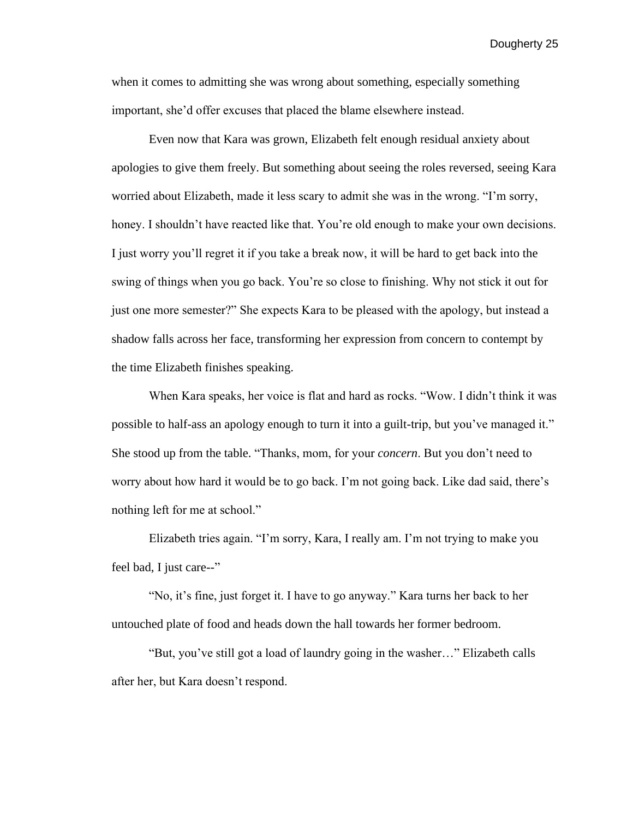when it comes to admitting she was wrong about something, especially something important, she'd offer excuses that placed the blame elsewhere instead.

Even now that Kara was grown, Elizabeth felt enough residual anxiety about apologies to give them freely. But something about seeing the roles reversed, seeing Kara worried about Elizabeth, made it less scary to admit she was in the wrong. "I'm sorry, honey. I shouldn't have reacted like that. You're old enough to make your own decisions. I just worry you'll regret it if you take a break now, it will be hard to get back into the swing of things when you go back. You're so close to finishing. Why not stick it out for just one more semester?" She expects Kara to be pleased with the apology, but instead a shadow falls across her face, transforming her expression from concern to contempt by the time Elizabeth finishes speaking.

When Kara speaks, her voice is flat and hard as rocks. "Wow. I didn't think it was possible to half-ass an apology enough to turn it into a guilt-trip, but you've managed it." She stood up from the table. "Thanks, mom, for your *concern*. But you don't need to worry about how hard it would be to go back. I'm not going back. Like dad said, there's nothing left for me at school."

Elizabeth tries again. "I'm sorry, Kara, I really am. I'm not trying to make you feel bad, I just care--"

"No, it's fine, just forget it. I have to go anyway." Kara turns her back to her untouched plate of food and heads down the hall towards her former bedroom.

"But, you've still got a load of laundry going in the washer…" Elizabeth calls after her, but Kara doesn't respond.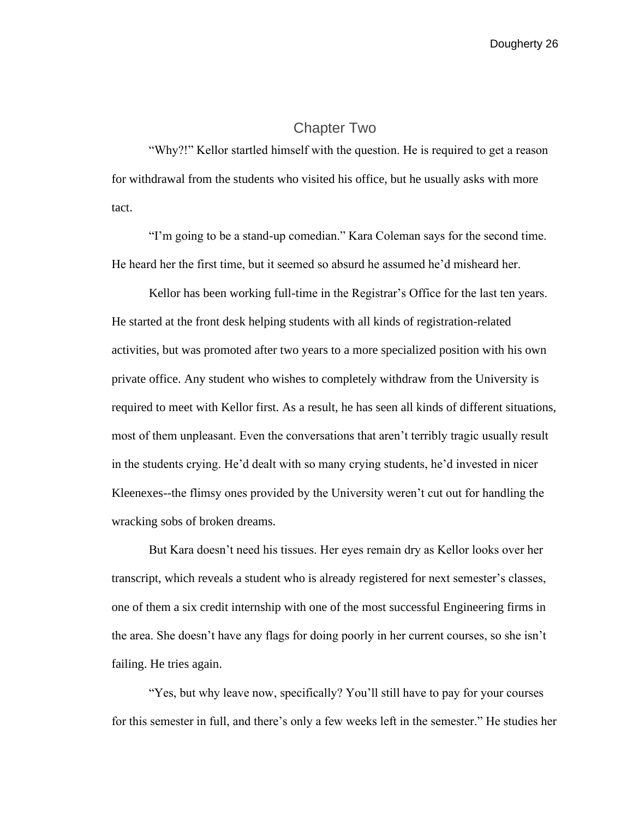## Chapter Two

<span id="page-26-0"></span>"Why?!" Kellor startled himself with the question. He is required to get a reason for withdrawal from the students who visited his office, but he usually asks with more tact.

"I'm going to be a stand-up comedian." Kara Coleman says for the second time. He heard her the first time, but it seemed so absurd he assumed he'd misheard her.

Kellor has been working full-time in the Registrar's Office for the last ten years. He started at the front desk helping students with all kinds of registration-related activities, but was promoted after two years to a more specialized position with his own private office. Any student who wishes to completely withdraw from the University is required to meet with Kellor first. As a result, he has seen all kinds of different situations, most of them unpleasant. Even the conversations that aren't terribly tragic usually result in the students crying. He'd dealt with so many crying students, he'd invested in nicer Kleenexes--the flimsy ones provided by the University weren't cut out for handling the wracking sobs of broken dreams.

But Kara doesn't need his tissues. Her eyes remain dry as Kellor looks over her transcript, which reveals a student who is already registered for next semester's classes, one of them a six credit internship with one of the most successful Engineering firms in the area. She doesn't have any flags for doing poorly in her current courses, so she isn't failing. He tries again.

"Yes, but why leave now, specifically? You'll still have to pay for your courses for this semester in full, and there's only a few weeks left in the semester." He studies her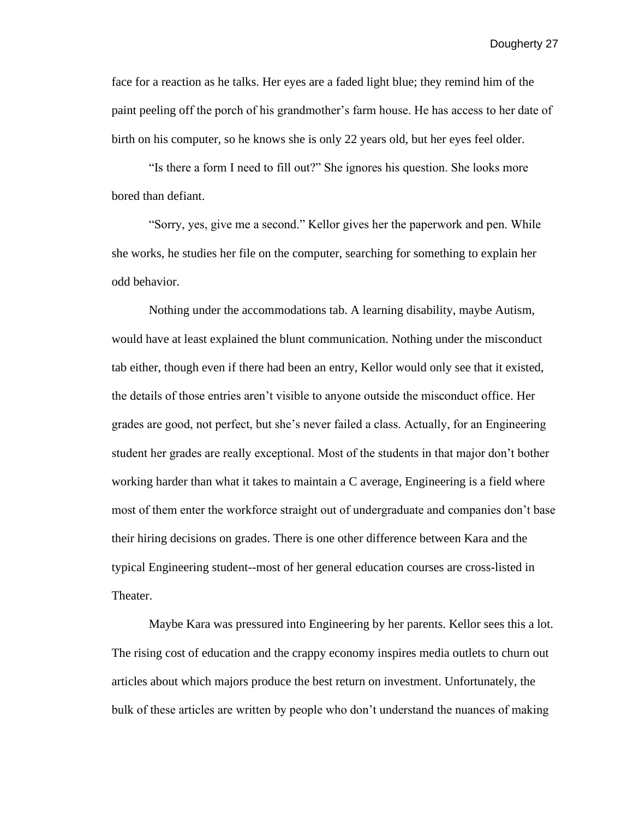face for a reaction as he talks. Her eyes are a faded light blue; they remind him of the paint peeling off the porch of his grandmother's farm house. He has access to her date of birth on his computer, so he knows she is only 22 years old, but her eyes feel older.

"Is there a form I need to fill out?" She ignores his question. She looks more bored than defiant.

"Sorry, yes, give me a second." Kellor gives her the paperwork and pen. While she works, he studies her file on the computer, searching for something to explain her odd behavior.

Nothing under the accommodations tab. A learning disability, maybe Autism, would have at least explained the blunt communication. Nothing under the misconduct tab either, though even if there had been an entry, Kellor would only see that it existed, the details of those entries aren't visible to anyone outside the misconduct office. Her grades are good, not perfect, but she's never failed a class. Actually, for an Engineering student her grades are really exceptional. Most of the students in that major don't bother working harder than what it takes to maintain a C average, Engineering is a field where most of them enter the workforce straight out of undergraduate and companies don't base their hiring decisions on grades. There is one other difference between Kara and the typical Engineering student--most of her general education courses are cross-listed in Theater.

Maybe Kara was pressured into Engineering by her parents. Kellor sees this a lot. The rising cost of education and the crappy economy inspires media outlets to churn out articles about which majors produce the best return on investment. Unfortunately, the bulk of these articles are written by people who don't understand the nuances of making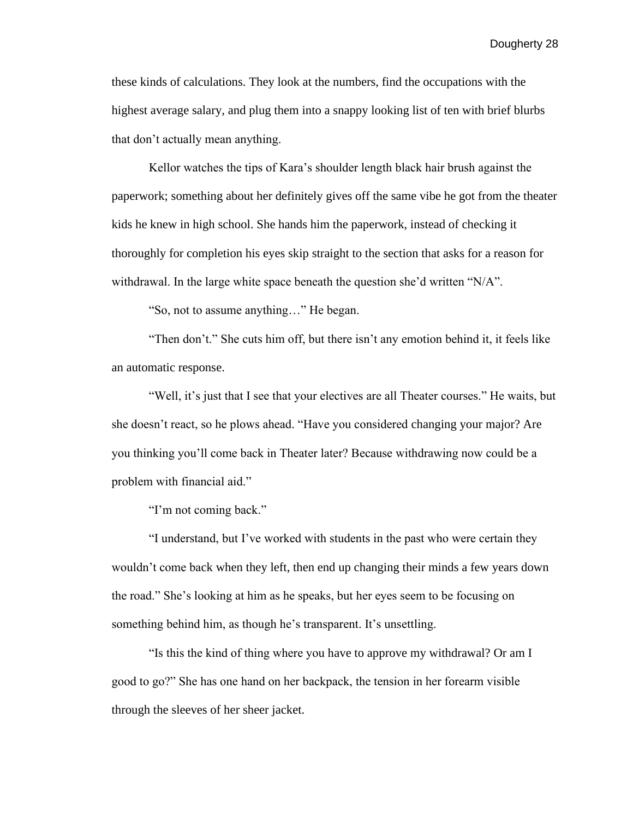these kinds of calculations. They look at the numbers, find the occupations with the highest average salary, and plug them into a snappy looking list of ten with brief blurbs that don't actually mean anything.

Kellor watches the tips of Kara's shoulder length black hair brush against the paperwork; something about her definitely gives off the same vibe he got from the theater kids he knew in high school. She hands him the paperwork, instead of checking it thoroughly for completion his eyes skip straight to the section that asks for a reason for withdrawal. In the large white space beneath the question she'd written "N/A".

"So, not to assume anything…" He began.

"Then don't." She cuts him off, but there isn't any emotion behind it, it feels like an automatic response.

"Well, it's just that I see that your electives are all Theater courses." He waits, but she doesn't react, so he plows ahead. "Have you considered changing your major? Are you thinking you'll come back in Theater later? Because withdrawing now could be a problem with financial aid."

"I'm not coming back."

"I understand, but I've worked with students in the past who were certain they wouldn't come back when they left, then end up changing their minds a few years down the road." She's looking at him as he speaks, but her eyes seem to be focusing on something behind him, as though he's transparent. It's unsettling.

"Is this the kind of thing where you have to approve my withdrawal? Or am I good to go?" She has one hand on her backpack, the tension in her forearm visible through the sleeves of her sheer jacket.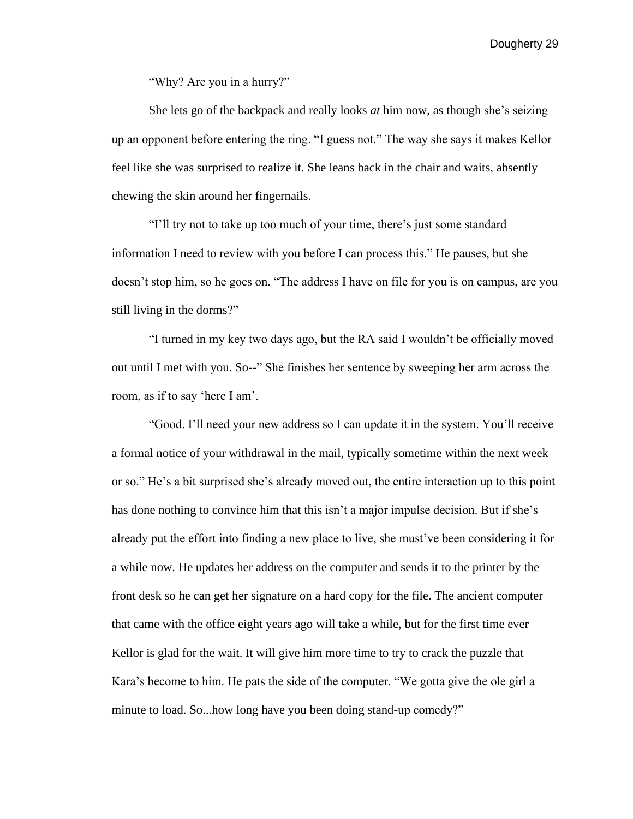"Why? Are you in a hurry?"

She lets go of the backpack and really looks *at* him now, as though she's seizing up an opponent before entering the ring. "I guess not." The way she says it makes Kellor feel like she was surprised to realize it. She leans back in the chair and waits, absently chewing the skin around her fingernails.

"I'll try not to take up too much of your time, there's just some standard information I need to review with you before I can process this." He pauses, but she doesn't stop him, so he goes on. "The address I have on file for you is on campus, are you still living in the dorms?"

"I turned in my key two days ago, but the RA said I wouldn't be officially moved out until I met with you. So--" She finishes her sentence by sweeping her arm across the room, as if to say 'here I am'.

"Good. I'll need your new address so I can update it in the system. You'll receive a formal notice of your withdrawal in the mail, typically sometime within the next week or so." He's a bit surprised she's already moved out, the entire interaction up to this point has done nothing to convince him that this isn't a major impulse decision. But if she's already put the effort into finding a new place to live, she must've been considering it for a while now. He updates her address on the computer and sends it to the printer by the front desk so he can get her signature on a hard copy for the file. The ancient computer that came with the office eight years ago will take a while, but for the first time ever Kellor is glad for the wait. It will give him more time to try to crack the puzzle that Kara's become to him. He pats the side of the computer. "We gotta give the ole girl a minute to load. So...how long have you been doing stand-up comedy?"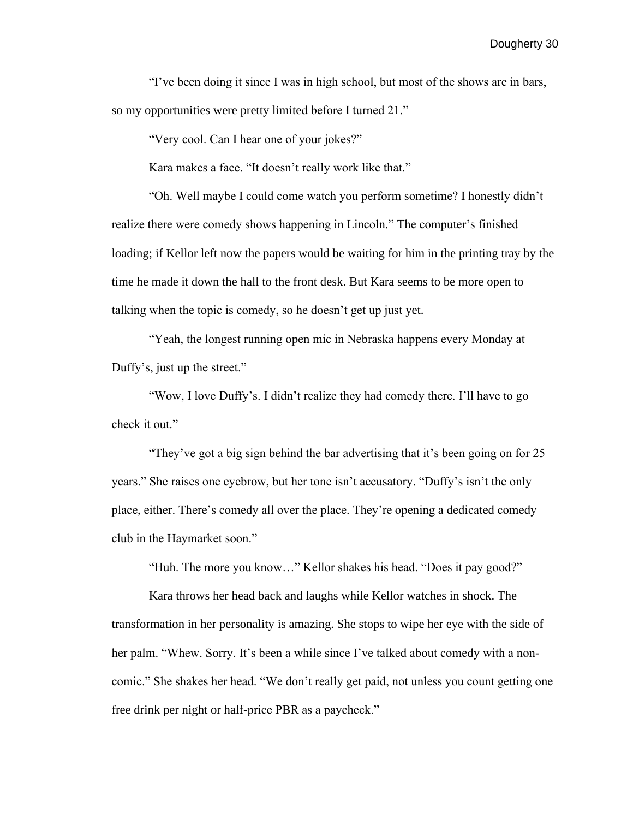"I've been doing it since I was in high school, but most of the shows are in bars, so my opportunities were pretty limited before I turned 21."

"Very cool. Can I hear one of your jokes?"

Kara makes a face. "It doesn't really work like that."

"Oh. Well maybe I could come watch you perform sometime? I honestly didn't realize there were comedy shows happening in Lincoln." The computer's finished loading; if Kellor left now the papers would be waiting for him in the printing tray by the time he made it down the hall to the front desk. But Kara seems to be more open to talking when the topic is comedy, so he doesn't get up just yet.

"Yeah, the longest running open mic in Nebraska happens every Monday at Duffy's, just up the street."

"Wow, I love Duffy's. I didn't realize they had comedy there. I'll have to go check it out."

"They've got a big sign behind the bar advertising that it's been going on for 25 years." She raises one eyebrow, but her tone isn't accusatory. "Duffy's isn't the only place, either. There's comedy all over the place. They're opening a dedicated comedy club in the Haymarket soon."

"Huh. The more you know…" Kellor shakes his head. "Does it pay good?"

Kara throws her head back and laughs while Kellor watches in shock. The transformation in her personality is amazing. She stops to wipe her eye with the side of her palm. "Whew. Sorry. It's been a while since I've talked about comedy with a noncomic." She shakes her head. "We don't really get paid, not unless you count getting one free drink per night or half-price PBR as a paycheck."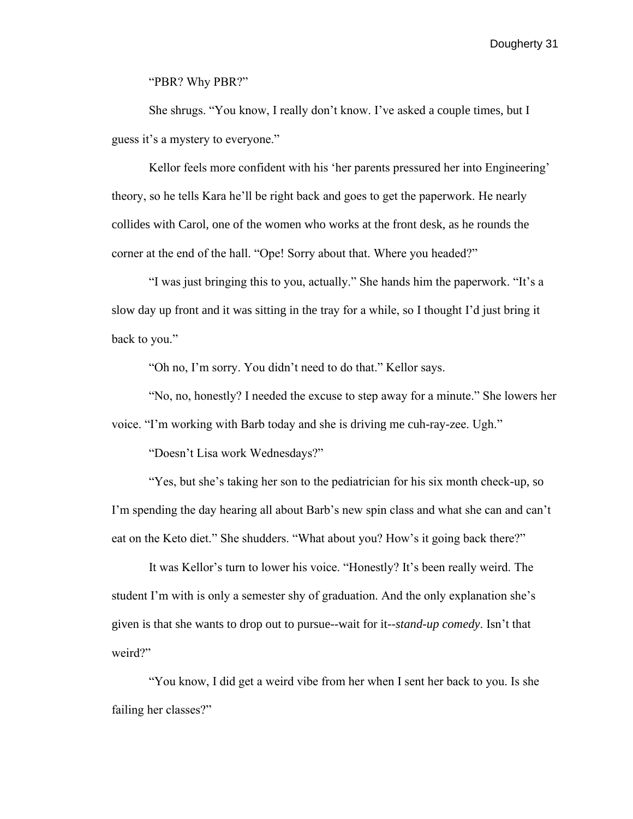"PBR? Why PBR?"

She shrugs. "You know, I really don't know. I've asked a couple times, but I guess it's a mystery to everyone."

Kellor feels more confident with his 'her parents pressured her into Engineering' theory, so he tells Kara he'll be right back and goes to get the paperwork. He nearly collides with Carol, one of the women who works at the front desk, as he rounds the corner at the end of the hall. "Ope! Sorry about that. Where you headed?"

"I was just bringing this to you, actually." She hands him the paperwork. "It's a slow day up front and it was sitting in the tray for a while, so I thought I'd just bring it back to you."

"Oh no, I'm sorry. You didn't need to do that." Kellor says.

"No, no, honestly? I needed the excuse to step away for a minute." She lowers her voice. "I'm working with Barb today and she is driving me cuh-ray-zee. Ugh."

"Doesn't Lisa work Wednesdays?"

"Yes, but she's taking her son to the pediatrician for his six month check-up, so I'm spending the day hearing all about Barb's new spin class and what she can and can't eat on the Keto diet." She shudders. "What about you? How's it going back there?"

It was Kellor's turn to lower his voice. "Honestly? It's been really weird. The student I'm with is only a semester shy of graduation. And the only explanation she's given is that she wants to drop out to pursue--wait for it--*stand-up comedy*. Isn't that weird?"

"You know, I did get a weird vibe from her when I sent her back to you. Is she failing her classes?"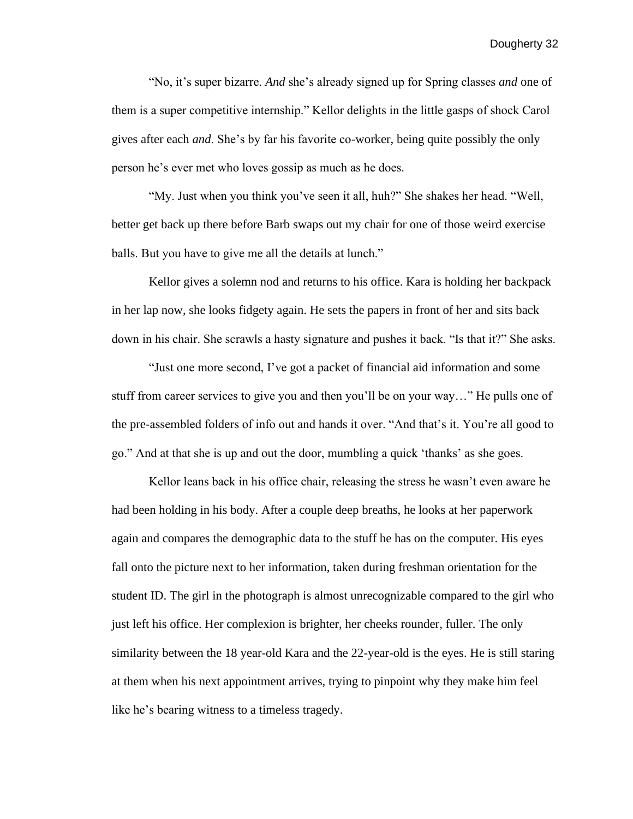"No, it's super bizarre. *And* she's already signed up for Spring classes *and* one of them is a super competitive internship." Kellor delights in the little gasps of shock Carol gives after each *and*. She's by far his favorite co-worker, being quite possibly the only person he's ever met who loves gossip as much as he does.

"My. Just when you think you've seen it all, huh?" She shakes her head. "Well, better get back up there before Barb swaps out my chair for one of those weird exercise balls. But you have to give me all the details at lunch."

Kellor gives a solemn nod and returns to his office. Kara is holding her backpack in her lap now, she looks fidgety again. He sets the papers in front of her and sits back down in his chair. She scrawls a hasty signature and pushes it back. "Is that it?" She asks.

"Just one more second, I've got a packet of financial aid information and some stuff from career services to give you and then you'll be on your way…" He pulls one of the pre-assembled folders of info out and hands it over. "And that's it. You're all good to go." And at that she is up and out the door, mumbling a quick 'thanks' as she goes.

Kellor leans back in his office chair, releasing the stress he wasn't even aware he had been holding in his body. After a couple deep breaths, he looks at her paperwork again and compares the demographic data to the stuff he has on the computer. His eyes fall onto the picture next to her information, taken during freshman orientation for the student ID. The girl in the photograph is almost unrecognizable compared to the girl who just left his office. Her complexion is brighter, her cheeks rounder, fuller. The only similarity between the 18 year-old Kara and the 22-year-old is the eyes. He is still staring at them when his next appointment arrives, trying to pinpoint why they make him feel like he's bearing witness to a timeless tragedy.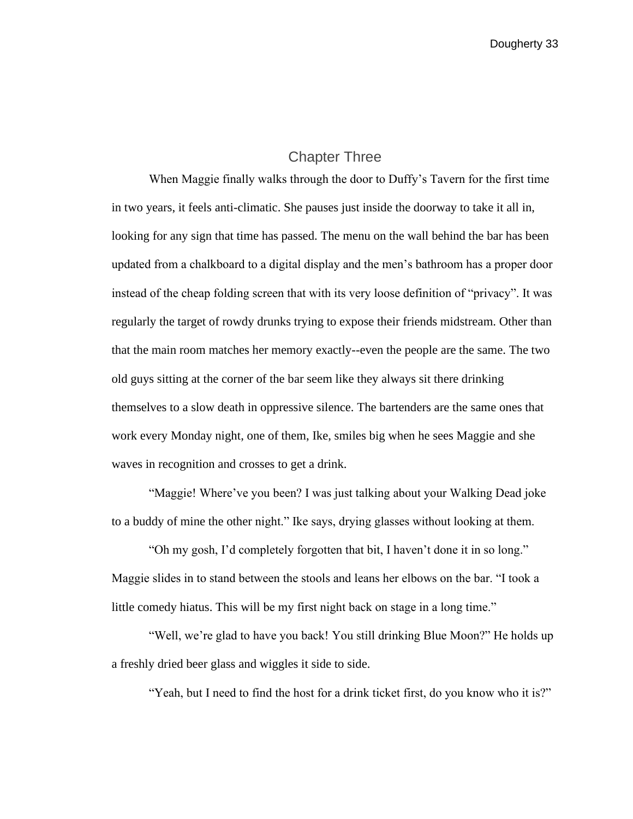## Chapter Three

<span id="page-33-0"></span>When Maggie finally walks through the door to Duffy's Tavern for the first time in two years, it feels anti-climatic. She pauses just inside the doorway to take it all in, looking for any sign that time has passed. The menu on the wall behind the bar has been updated from a chalkboard to a digital display and the men's bathroom has a proper door instead of the cheap folding screen that with its very loose definition of "privacy". It was regularly the target of rowdy drunks trying to expose their friends midstream. Other than that the main room matches her memory exactly--even the people are the same. The two old guys sitting at the corner of the bar seem like they always sit there drinking themselves to a slow death in oppressive silence. The bartenders are the same ones that work every Monday night, one of them, Ike, smiles big when he sees Maggie and she waves in recognition and crosses to get a drink.

"Maggie! Where've you been? I was just talking about your Walking Dead joke to a buddy of mine the other night." Ike says, drying glasses without looking at them.

"Oh my gosh, I'd completely forgotten that bit, I haven't done it in so long." Maggie slides in to stand between the stools and leans her elbows on the bar. "I took a little comedy hiatus. This will be my first night back on stage in a long time."

"Well, we're glad to have you back! You still drinking Blue Moon?" He holds up a freshly dried beer glass and wiggles it side to side.

"Yeah, but I need to find the host for a drink ticket first, do you know who it is?"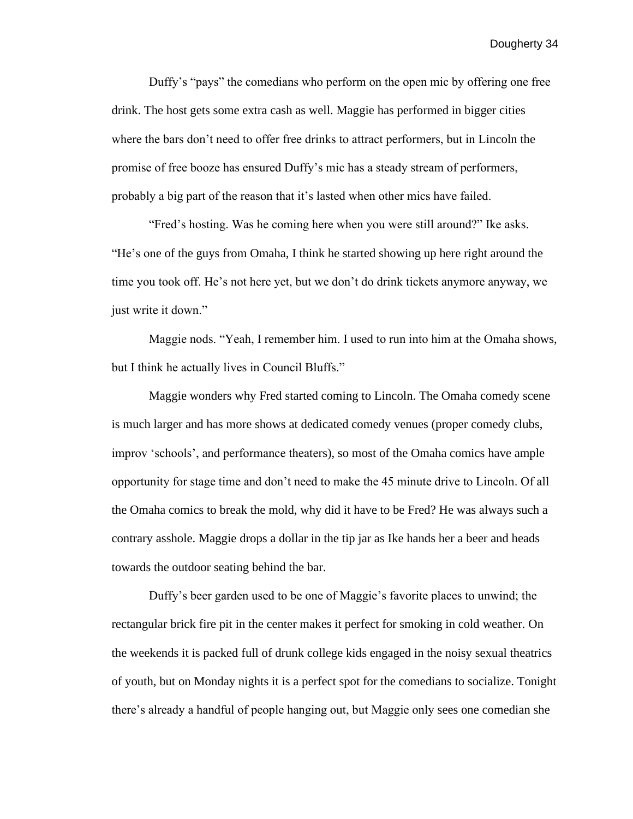Duffy's "pays" the comedians who perform on the open mic by offering one free drink. The host gets some extra cash as well. Maggie has performed in bigger cities where the bars don't need to offer free drinks to attract performers, but in Lincoln the promise of free booze has ensured Duffy's mic has a steady stream of performers, probably a big part of the reason that it's lasted when other mics have failed.

"Fred's hosting. Was he coming here when you were still around?" Ike asks. "He's one of the guys from Omaha, I think he started showing up here right around the time you took off. He's not here yet, but we don't do drink tickets anymore anyway, we just write it down."

Maggie nods. "Yeah, I remember him. I used to run into him at the Omaha shows, but I think he actually lives in Council Bluffs."

Maggie wonders why Fred started coming to Lincoln. The Omaha comedy scene is much larger and has more shows at dedicated comedy venues (proper comedy clubs, improv 'schools', and performance theaters), so most of the Omaha comics have ample opportunity for stage time and don't need to make the 45 minute drive to Lincoln. Of all the Omaha comics to break the mold, why did it have to be Fred? He was always such a contrary asshole. Maggie drops a dollar in the tip jar as Ike hands her a beer and heads towards the outdoor seating behind the bar.

Duffy's beer garden used to be one of Maggie's favorite places to unwind; the rectangular brick fire pit in the center makes it perfect for smoking in cold weather. On the weekends it is packed full of drunk college kids engaged in the noisy sexual theatrics of youth, but on Monday nights it is a perfect spot for the comedians to socialize. Tonight there's already a handful of people hanging out, but Maggie only sees one comedian she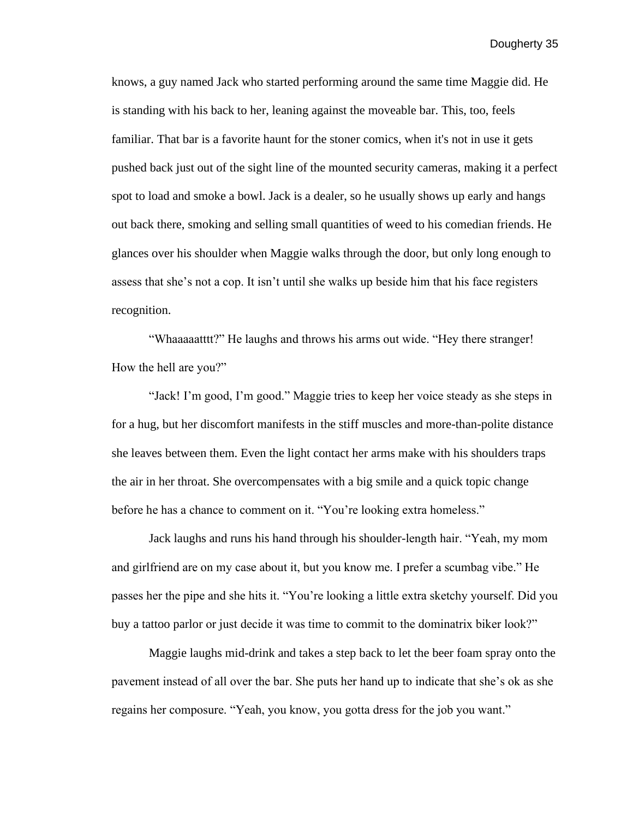knows, a guy named Jack who started performing around the same time Maggie did. He is standing with his back to her, leaning against the moveable bar. This, too, feels familiar. That bar is a favorite haunt for the stoner comics, when it's not in use it gets pushed back just out of the sight line of the mounted security cameras, making it a perfect spot to load and smoke a bowl. Jack is a dealer, so he usually shows up early and hangs out back there, smoking and selling small quantities of weed to his comedian friends. He glances over his shoulder when Maggie walks through the door, but only long enough to assess that she's not a cop. It isn't until she walks up beside him that his face registers recognition.

"Whaaaaatttt?" He laughs and throws his arms out wide. "Hey there stranger! How the hell are you?"

"Jack! I'm good, I'm good." Maggie tries to keep her voice steady as she steps in for a hug, but her discomfort manifests in the stiff muscles and more-than-polite distance she leaves between them. Even the light contact her arms make with his shoulders traps the air in her throat. She overcompensates with a big smile and a quick topic change before he has a chance to comment on it. "You're looking extra homeless."

Jack laughs and runs his hand through his shoulder-length hair. "Yeah, my mom and girlfriend are on my case about it, but you know me. I prefer a scumbag vibe." He passes her the pipe and she hits it. "You're looking a little extra sketchy yourself. Did you buy a tattoo parlor or just decide it was time to commit to the dominatrix biker look?"

Maggie laughs mid-drink and takes a step back to let the beer foam spray onto the pavement instead of all over the bar. She puts her hand up to indicate that she's ok as she regains her composure. "Yeah, you know, you gotta dress for the job you want."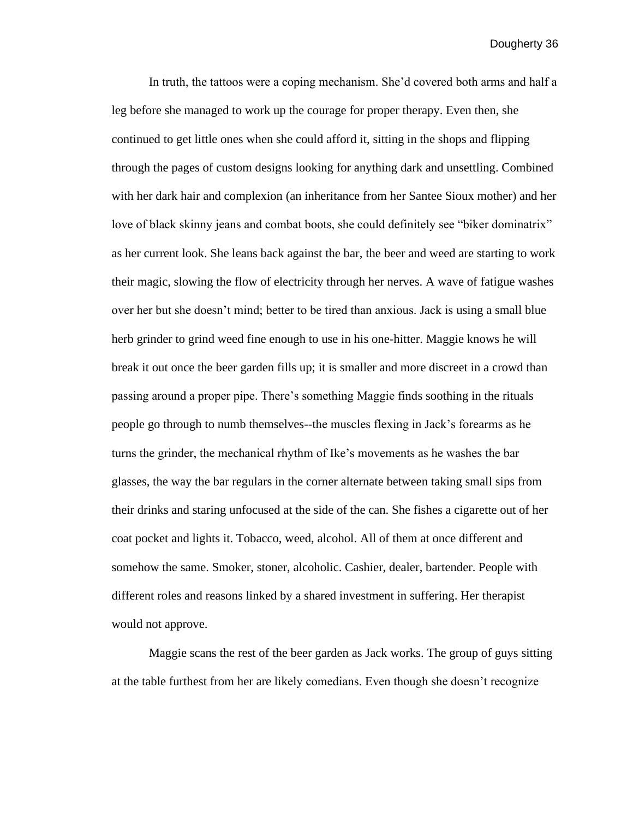In truth, the tattoos were a coping mechanism. She'd covered both arms and half a leg before she managed to work up the courage for proper therapy. Even then, she continued to get little ones when she could afford it, sitting in the shops and flipping through the pages of custom designs looking for anything dark and unsettling. Combined with her dark hair and complexion (an inheritance from her Santee Sioux mother) and her love of black skinny jeans and combat boots, she could definitely see "biker dominatrix" as her current look. She leans back against the bar, the beer and weed are starting to work their magic, slowing the flow of electricity through her nerves. A wave of fatigue washes over her but she doesn't mind; better to be tired than anxious. Jack is using a small blue herb grinder to grind weed fine enough to use in his one-hitter. Maggie knows he will break it out once the beer garden fills up; it is smaller and more discreet in a crowd than passing around a proper pipe. There's something Maggie finds soothing in the rituals people go through to numb themselves--the muscles flexing in Jack's forearms as he turns the grinder, the mechanical rhythm of Ike's movements as he washes the bar glasses, the way the bar regulars in the corner alternate between taking small sips from their drinks and staring unfocused at the side of the can. She fishes a cigarette out of her coat pocket and lights it. Tobacco, weed, alcohol. All of them at once different and somehow the same. Smoker, stoner, alcoholic. Cashier, dealer, bartender. People with different roles and reasons linked by a shared investment in suffering. Her therapist would not approve.

Maggie scans the rest of the beer garden as Jack works. The group of guys sitting at the table furthest from her are likely comedians. Even though she doesn't recognize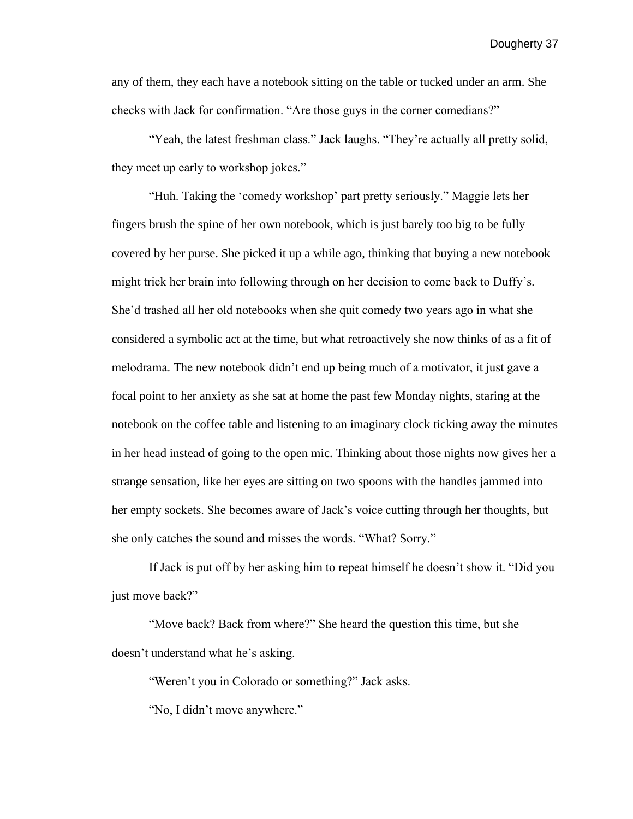any of them, they each have a notebook sitting on the table or tucked under an arm. She checks with Jack for confirmation. "Are those guys in the corner comedians?"

"Yeah, the latest freshman class." Jack laughs. "They're actually all pretty solid, they meet up early to workshop jokes."

"Huh. Taking the 'comedy workshop' part pretty seriously." Maggie lets her fingers brush the spine of her own notebook, which is just barely too big to be fully covered by her purse. She picked it up a while ago, thinking that buying a new notebook might trick her brain into following through on her decision to come back to Duffy's. She'd trashed all her old notebooks when she quit comedy two years ago in what she considered a symbolic act at the time, but what retroactively she now thinks of as a fit of melodrama. The new notebook didn't end up being much of a motivator, it just gave a focal point to her anxiety as she sat at home the past few Monday nights, staring at the notebook on the coffee table and listening to an imaginary clock ticking away the minutes in her head instead of going to the open mic. Thinking about those nights now gives her a strange sensation, like her eyes are sitting on two spoons with the handles jammed into her empty sockets. She becomes aware of Jack's voice cutting through her thoughts, but she only catches the sound and misses the words. "What? Sorry."

If Jack is put off by her asking him to repeat himself he doesn't show it. "Did you just move back?"

"Move back? Back from where?" She heard the question this time, but she doesn't understand what he's asking.

"Weren't you in Colorado or something?" Jack asks.

"No, I didn't move anywhere."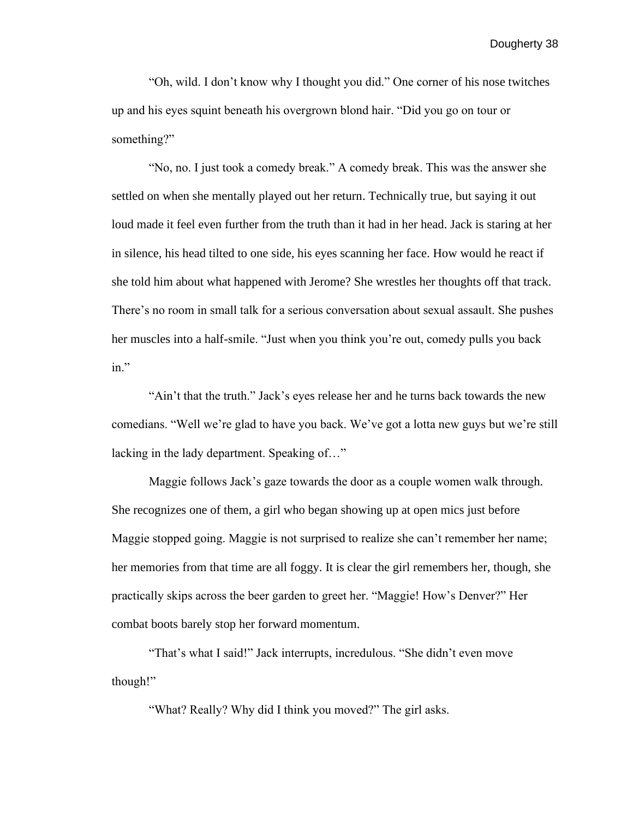"Oh, wild. I don't know why I thought you did." One corner of his nose twitches up and his eyes squint beneath his overgrown blond hair. "Did you go on tour or something?"

"No, no. I just took a comedy break." A comedy break. This was the answer she settled on when she mentally played out her return. Technically true, but saying it out loud made it feel even further from the truth than it had in her head. Jack is staring at her in silence, his head tilted to one side, his eyes scanning her face. How would he react if she told him about what happened with Jerome? She wrestles her thoughts off that track. There's no room in small talk for a serious conversation about sexual assault. She pushes her muscles into a half-smile. "Just when you think you're out, comedy pulls you back in."

"Ain't that the truth." Jack's eyes release her and he turns back towards the new comedians. "Well we're glad to have you back. We've got a lotta new guys but we're still lacking in the lady department. Speaking of…"

Maggie follows Jack's gaze towards the door as a couple women walk through. She recognizes one of them, a girl who began showing up at open mics just before Maggie stopped going. Maggie is not surprised to realize she can't remember her name; her memories from that time are all foggy. It is clear the girl remembers her, though, she practically skips across the beer garden to greet her. "Maggie! How's Denver?" Her combat boots barely stop her forward momentum.

"That's what I said!" Jack interrupts, incredulous. "She didn't even move though!"

"What? Really? Why did I think you moved?" The girl asks.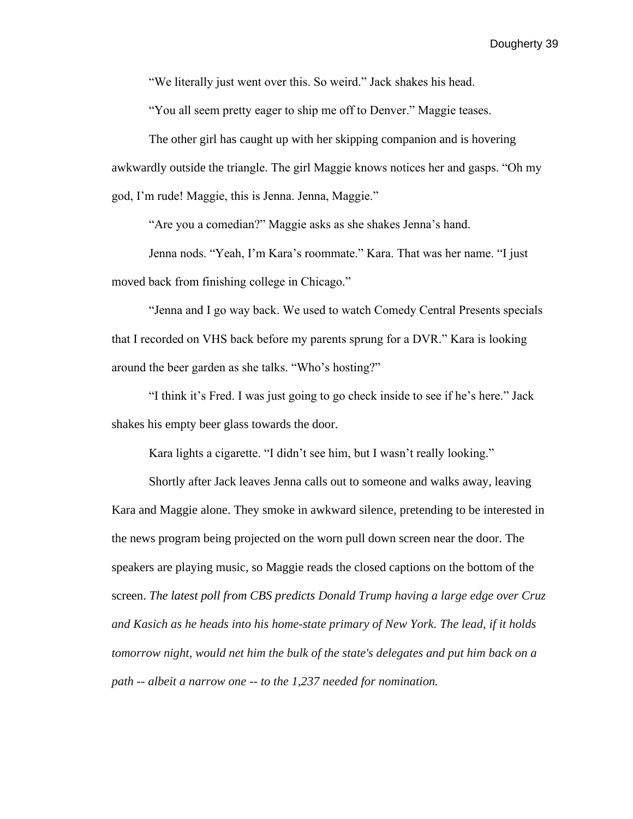"We literally just went over this. So weird." Jack shakes his head.

"You all seem pretty eager to ship me off to Denver." Maggie teases.

The other girl has caught up with her skipping companion and is hovering awkwardly outside the triangle. The girl Maggie knows notices her and gasps. "Oh my god, I'm rude! Maggie, this is Jenna. Jenna, Maggie."

"Are you a comedian?" Maggie asks as she shakes Jenna's hand.

Jenna nods. "Yeah, I'm Kara's roommate." Kara. That was her name. "I just moved back from finishing college in Chicago."

"Jenna and I go way back. We used to watch Comedy Central Presents specials that I recorded on VHS back before my parents sprung for a DVR." Kara is looking around the beer garden as she talks. "Who's hosting?"

"I think it's Fred. I was just going to go check inside to see if he's here." Jack shakes his empty beer glass towards the door.

Kara lights a cigarette. "I didn't see him, but I wasn't really looking."

Shortly after Jack leaves Jenna calls out to someone and walks away, leaving Kara and Maggie alone. They smoke in awkward silence, pretending to be interested in the news program being projected on the worn pull down screen near the door. The speakers are playing music, so Maggie reads the closed captions on the bottom of the screen. *The latest poll from CBS predicts Donald Trump having a large edge over Cruz and Kasich as he heads into his [home-state primary of New York.](https://www.cbsnews.com/news/with-rare-competitive-primaries-new-york-steps-into-the-spotlight/) The lead, if it holds tomorrow night, would net him the bulk of the state's delegates and put him back on a path -- albeit a narrow one -- to the 1,237 needed for nomination.*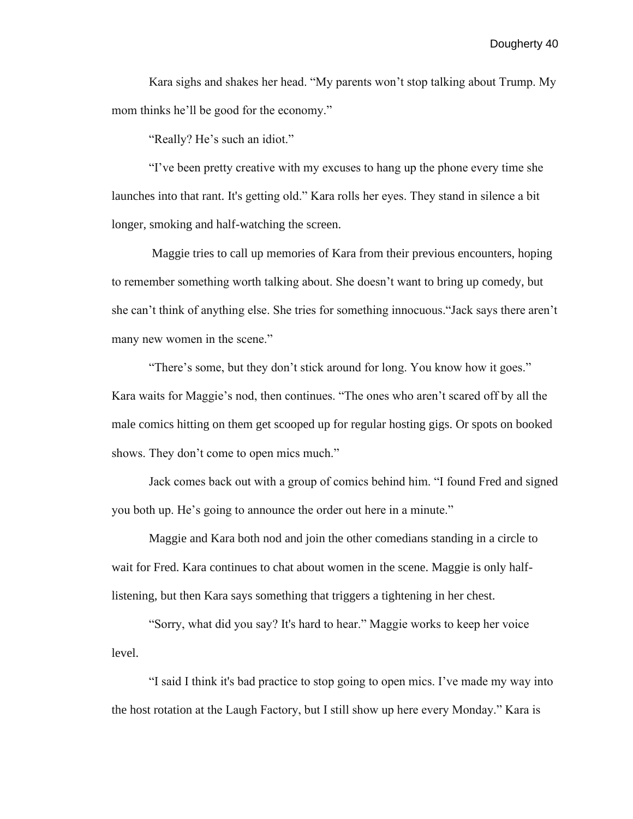Kara sighs and shakes her head. "My parents won't stop talking about Trump. My mom thinks he'll be good for the economy."

"Really? He's such an idiot."

"I've been pretty creative with my excuses to hang up the phone every time she launches into that rant. It's getting old." Kara rolls her eyes. They stand in silence a bit longer, smoking and half-watching the screen.

Maggie tries to call up memories of Kara from their previous encounters, hoping to remember something worth talking about. She doesn't want to bring up comedy, but she can't think of anything else. She tries for something innocuous."Jack says there aren't many new women in the scene."

"There's some, but they don't stick around for long. You know how it goes." Kara waits for Maggie's nod, then continues. "The ones who aren't scared off by all the male comics hitting on them get scooped up for regular hosting gigs. Or spots on booked shows. They don't come to open mics much."

Jack comes back out with a group of comics behind him. "I found Fred and signed you both up. He's going to announce the order out here in a minute."

Maggie and Kara both nod and join the other comedians standing in a circle to wait for Fred. Kara continues to chat about women in the scene. Maggie is only halflistening, but then Kara says something that triggers a tightening in her chest.

"Sorry, what did you say? It's hard to hear." Maggie works to keep her voice level.

"I said I think it's bad practice to stop going to open mics. I've made my way into the host rotation at the Laugh Factory, but I still show up here every Monday." Kara is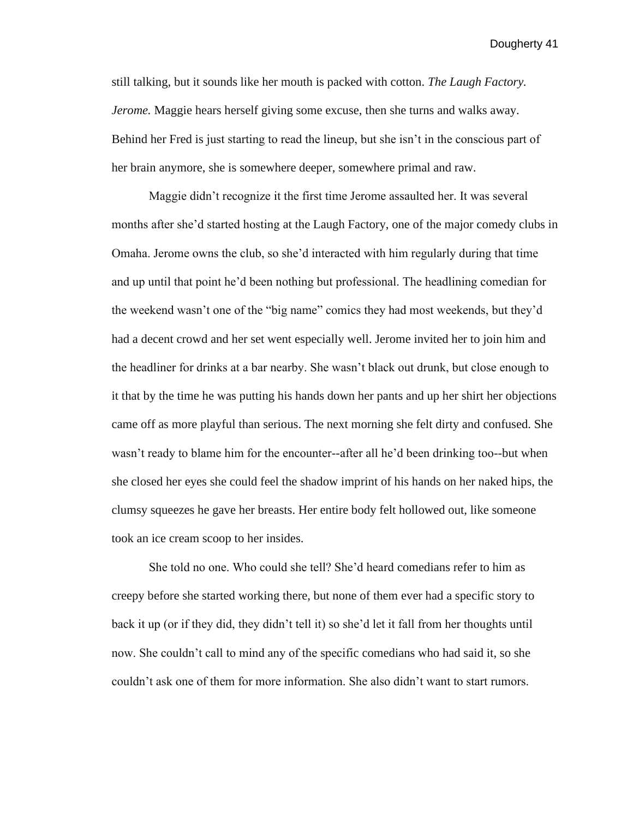still talking, but it sounds like her mouth is packed with cotton. *The Laugh Factory. Jerome.* Maggie hears herself giving some excuse, then she turns and walks away. Behind her Fred is just starting to read the lineup, but she isn't in the conscious part of her brain anymore, she is somewhere deeper, somewhere primal and raw.

Maggie didn't recognize it the first time Jerome assaulted her. It was several months after she'd started hosting at the Laugh Factory, one of the major comedy clubs in Omaha. Jerome owns the club, so she'd interacted with him regularly during that time and up until that point he'd been nothing but professional. The headlining comedian for the weekend wasn't one of the "big name" comics they had most weekends, but they'd had a decent crowd and her set went especially well. Jerome invited her to join him and the headliner for drinks at a bar nearby. She wasn't black out drunk, but close enough to it that by the time he was putting his hands down her pants and up her shirt her objections came off as more playful than serious. The next morning she felt dirty and confused. She wasn't ready to blame him for the encounter--after all he'd been drinking too--but when she closed her eyes she could feel the shadow imprint of his hands on her naked hips, the clumsy squeezes he gave her breasts. Her entire body felt hollowed out, like someone took an ice cream scoop to her insides.

She told no one. Who could she tell? She'd heard comedians refer to him as creepy before she started working there, but none of them ever had a specific story to back it up (or if they did, they didn't tell it) so she'd let it fall from her thoughts until now. She couldn't call to mind any of the specific comedians who had said it, so she couldn't ask one of them for more information. She also didn't want to start rumors.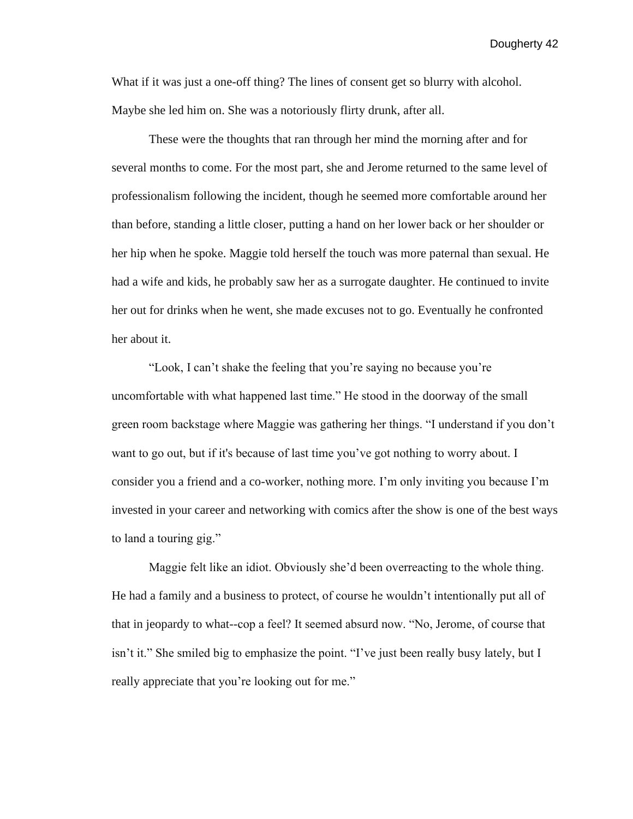What if it was just a one-off thing? The lines of consent get so blurry with alcohol. Maybe she led him on. She was a notoriously flirty drunk, after all.

These were the thoughts that ran through her mind the morning after and for several months to come. For the most part, she and Jerome returned to the same level of professionalism following the incident, though he seemed more comfortable around her than before, standing a little closer, putting a hand on her lower back or her shoulder or her hip when he spoke. Maggie told herself the touch was more paternal than sexual. He had a wife and kids, he probably saw her as a surrogate daughter. He continued to invite her out for drinks when he went, she made excuses not to go. Eventually he confronted her about it.

"Look, I can't shake the feeling that you're saying no because you're uncomfortable with what happened last time." He stood in the doorway of the small green room backstage where Maggie was gathering her things. "I understand if you don't want to go out, but if it's because of last time you've got nothing to worry about. I consider you a friend and a co-worker, nothing more. I'm only inviting you because I'm invested in your career and networking with comics after the show is one of the best ways to land a touring gig."

Maggie felt like an idiot. Obviously she'd been overreacting to the whole thing. He had a family and a business to protect, of course he wouldn't intentionally put all of that in jeopardy to what--cop a feel? It seemed absurd now. "No, Jerome, of course that isn't it." She smiled big to emphasize the point. "I've just been really busy lately, but I really appreciate that you're looking out for me."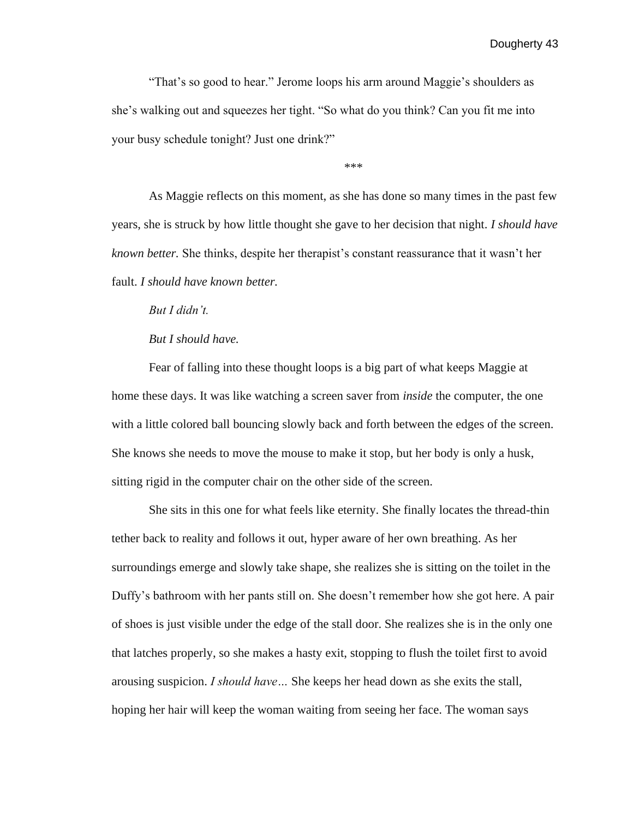"That's so good to hear." Jerome loops his arm around Maggie's shoulders as she's walking out and squeezes her tight. "So what do you think? Can you fit me into your busy schedule tonight? Just one drink?"

\*\*\*

As Maggie reflects on this moment, as she has done so many times in the past few years, she is struck by how little thought she gave to her decision that night. *I should have known better.* She thinks, despite her therapist's constant reassurance that it wasn't her fault. *I should have known better.*

*But I didn't.*

*But I should have.*

Fear of falling into these thought loops is a big part of what keeps Maggie at home these days. It was like watching a screen saver from *inside* the computer, the one with a little colored ball bouncing slowly back and forth between the edges of the screen. She knows she needs to move the mouse to make it stop, but her body is only a husk, sitting rigid in the computer chair on the other side of the screen.

She sits in this one for what feels like eternity. She finally locates the thread-thin tether back to reality and follows it out, hyper aware of her own breathing. As her surroundings emerge and slowly take shape, she realizes she is sitting on the toilet in the Duffy's bathroom with her pants still on. She doesn't remember how she got here. A pair of shoes is just visible under the edge of the stall door. She realizes she is in the only one that latches properly, so she makes a hasty exit, stopping to flush the toilet first to avoid arousing suspicion. *I should have…* She keeps her head down as she exits the stall, hoping her hair will keep the woman waiting from seeing her face. The woman says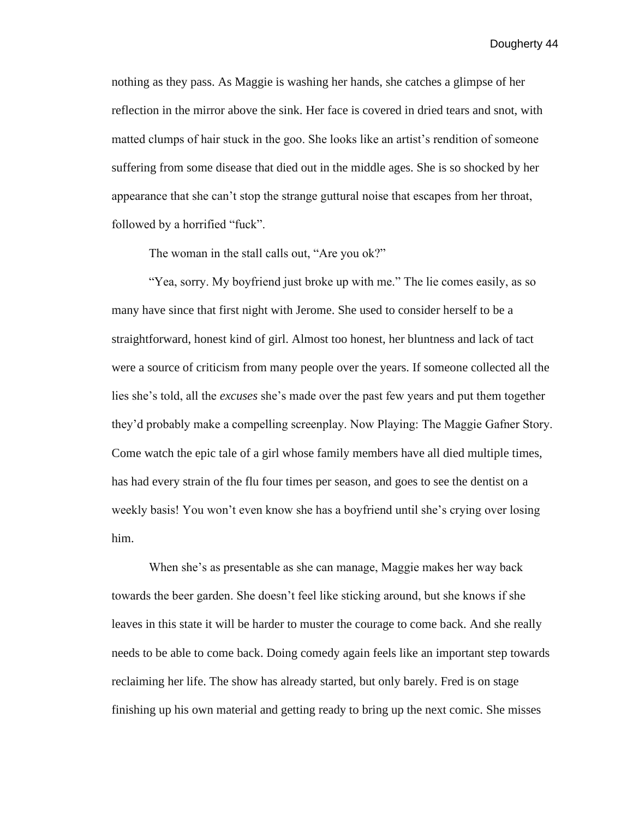nothing as they pass. As Maggie is washing her hands, she catches a glimpse of her reflection in the mirror above the sink. Her face is covered in dried tears and snot, with matted clumps of hair stuck in the goo. She looks like an artist's rendition of someone suffering from some disease that died out in the middle ages. She is so shocked by her appearance that she can't stop the strange guttural noise that escapes from her throat, followed by a horrified "fuck".

The woman in the stall calls out, "Are you ok?"

"Yea, sorry. My boyfriend just broke up with me." The lie comes easily, as so many have since that first night with Jerome. She used to consider herself to be a straightforward, honest kind of girl. Almost too honest, her bluntness and lack of tact were a source of criticism from many people over the years. If someone collected all the lies she's told, all the *excuses* she's made over the past few years and put them together they'd probably make a compelling screenplay. Now Playing: The Maggie Gafner Story. Come watch the epic tale of a girl whose family members have all died multiple times, has had every strain of the flu four times per season, and goes to see the dentist on a weekly basis! You won't even know she has a boyfriend until she's crying over losing him.

When she's as presentable as she can manage, Maggie makes her way back towards the beer garden. She doesn't feel like sticking around, but she knows if she leaves in this state it will be harder to muster the courage to come back. And she really needs to be able to come back. Doing comedy again feels like an important step towards reclaiming her life. The show has already started, but only barely. Fred is on stage finishing up his own material and getting ready to bring up the next comic. She misses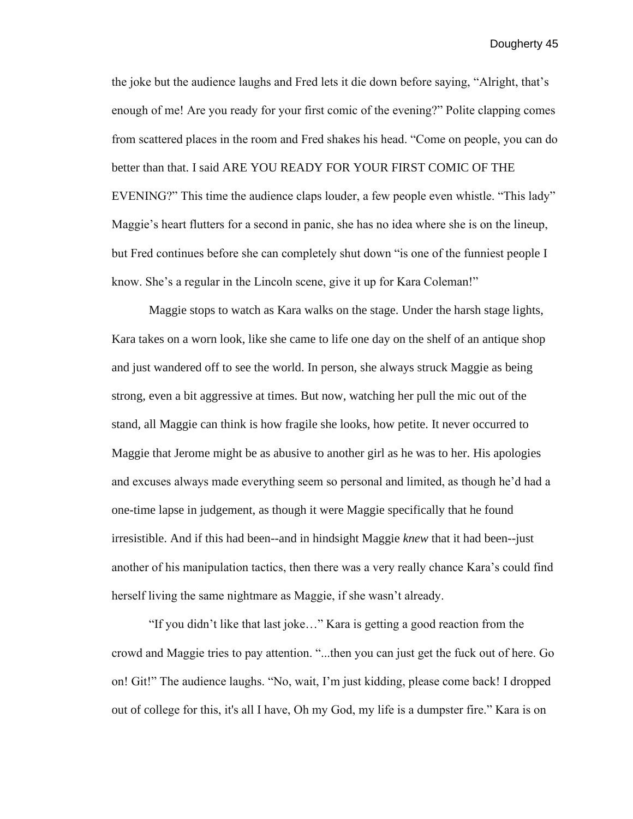the joke but the audience laughs and Fred lets it die down before saying, "Alright, that's enough of me! Are you ready for your first comic of the evening?" Polite clapping comes from scattered places in the room and Fred shakes his head. "Come on people, you can do better than that. I said ARE YOU READY FOR YOUR FIRST COMIC OF THE EVENING?" This time the audience claps louder, a few people even whistle. "This lady" Maggie's heart flutters for a second in panic, she has no idea where she is on the lineup, but Fred continues before she can completely shut down "is one of the funniest people I know. She's a regular in the Lincoln scene, give it up for Kara Coleman!"

Maggie stops to watch as Kara walks on the stage. Under the harsh stage lights, Kara takes on a worn look, like she came to life one day on the shelf of an antique shop and just wandered off to see the world. In person, she always struck Maggie as being strong, even a bit aggressive at times. But now, watching her pull the mic out of the stand, all Maggie can think is how fragile she looks, how petite. It never occurred to Maggie that Jerome might be as abusive to another girl as he was to her. His apologies and excuses always made everything seem so personal and limited, as though he'd had a one-time lapse in judgement, as though it were Maggie specifically that he found irresistible. And if this had been--and in hindsight Maggie *knew* that it had been--just another of his manipulation tactics, then there was a very really chance Kara's could find herself living the same nightmare as Maggie, if she wasn't already.

"If you didn't like that last joke…" Kara is getting a good reaction from the crowd and Maggie tries to pay attention. "...then you can just get the fuck out of here. Go on! Git!" The audience laughs. "No, wait, I'm just kidding, please come back! I dropped out of college for this, it's all I have, Oh my God, my life is a dumpster fire." Kara is on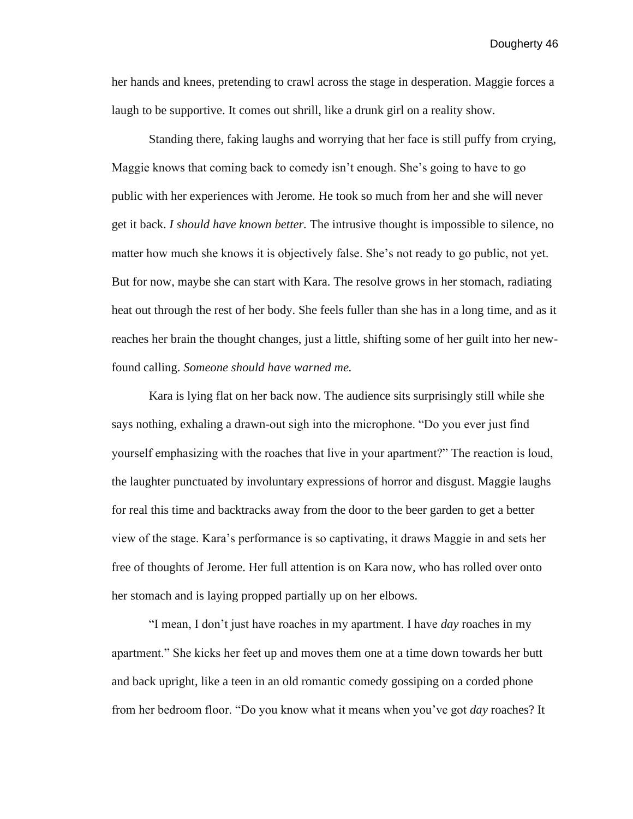her hands and knees, pretending to crawl across the stage in desperation. Maggie forces a laugh to be supportive. It comes out shrill, like a drunk girl on a reality show.

Standing there, faking laughs and worrying that her face is still puffy from crying, Maggie knows that coming back to comedy isn't enough. She's going to have to go public with her experiences with Jerome. He took so much from her and she will never get it back. *I should have known better.* The intrusive thought is impossible to silence, no matter how much she knows it is objectively false. She's not ready to go public, not yet. But for now, maybe she can start with Kara. The resolve grows in her stomach, radiating heat out through the rest of her body. She feels fuller than she has in a long time, and as it reaches her brain the thought changes, just a little, shifting some of her guilt into her newfound calling. *Someone should have warned me.*

Kara is lying flat on her back now. The audience sits surprisingly still while she says nothing, exhaling a drawn-out sigh into the microphone. "Do you ever just find yourself emphasizing with the roaches that live in your apartment?" The reaction is loud, the laughter punctuated by involuntary expressions of horror and disgust. Maggie laughs for real this time and backtracks away from the door to the beer garden to get a better view of the stage. Kara's performance is so captivating, it draws Maggie in and sets her free of thoughts of Jerome. Her full attention is on Kara now, who has rolled over onto her stomach and is laying propped partially up on her elbows.

"I mean, I don't just have roaches in my apartment. I have *day* roaches in my apartment." She kicks her feet up and moves them one at a time down towards her butt and back upright, like a teen in an old romantic comedy gossiping on a corded phone from her bedroom floor. "Do you know what it means when you've got *day* roaches? It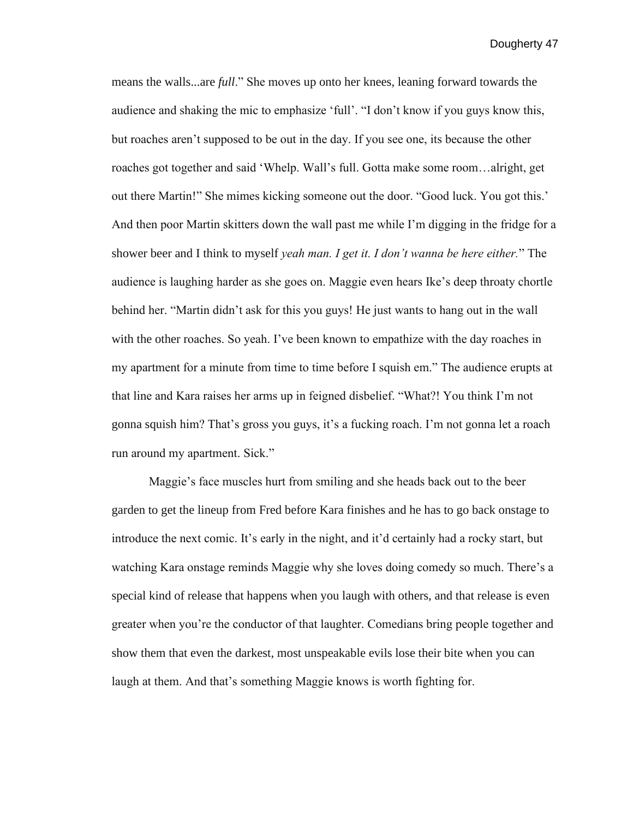means the walls...are *full*." She moves up onto her knees, leaning forward towards the audience and shaking the mic to emphasize 'full'. "I don't know if you guys know this, but roaches aren't supposed to be out in the day. If you see one, its because the other roaches got together and said 'Whelp. Wall's full. Gotta make some room…alright, get out there Martin!" She mimes kicking someone out the door. "Good luck. You got this.' And then poor Martin skitters down the wall past me while I'm digging in the fridge for a shower beer and I think to myself *yeah man. I get it. I don't wanna be here either.*" The audience is laughing harder as she goes on. Maggie even hears Ike's deep throaty chortle behind her. "Martin didn't ask for this you guys! He just wants to hang out in the wall with the other roaches. So yeah. I've been known to empathize with the day roaches in my apartment for a minute from time to time before I squish em." The audience erupts at that line and Kara raises her arms up in feigned disbelief. "What?! You think I'm not gonna squish him? That's gross you guys, it's a fucking roach. I'm not gonna let a roach run around my apartment. Sick."

Maggie's face muscles hurt from smiling and she heads back out to the beer garden to get the lineup from Fred before Kara finishes and he has to go back onstage to introduce the next comic. It's early in the night, and it'd certainly had a rocky start, but watching Kara onstage reminds Maggie why she loves doing comedy so much. There's a special kind of release that happens when you laugh with others, and that release is even greater when you're the conductor of that laughter. Comedians bring people together and show them that even the darkest, most unspeakable evils lose their bite when you can laugh at them. And that's something Maggie knows is worth fighting for.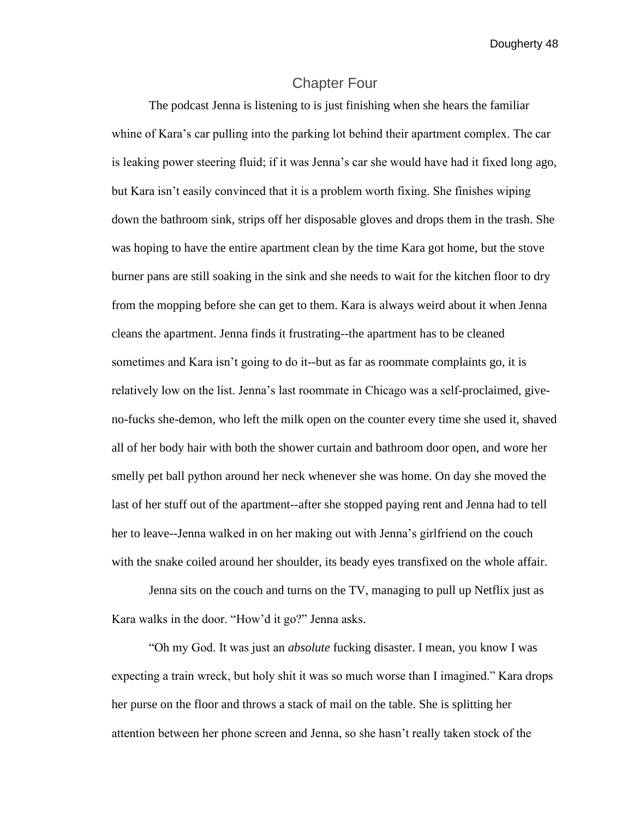## Chapter Four

The podcast Jenna is listening to is just finishing when she hears the familiar whine of Kara's car pulling into the parking lot behind their apartment complex. The car is leaking power steering fluid; if it was Jenna's car she would have had it fixed long ago, but Kara isn't easily convinced that it is a problem worth fixing. She finishes wiping down the bathroom sink, strips off her disposable gloves and drops them in the trash. She was hoping to have the entire apartment clean by the time Kara got home, but the stove burner pans are still soaking in the sink and she needs to wait for the kitchen floor to dry from the mopping before she can get to them. Kara is always weird about it when Jenna cleans the apartment. Jenna finds it frustrating--the apartment has to be cleaned sometimes and Kara isn't going to do it--but as far as roommate complaints go, it is relatively low on the list. Jenna's last roommate in Chicago was a self-proclaimed, giveno-fucks she-demon, who left the milk open on the counter every time she used it, shaved all of her body hair with both the shower curtain and bathroom door open, and wore her smelly pet ball python around her neck whenever she was home. On day she moved the last of her stuff out of the apartment--after she stopped paying rent and Jenna had to tell her to leave--Jenna walked in on her making out with Jenna's girlfriend on the couch with the snake coiled around her shoulder, its beady eyes transfixed on the whole affair.

Jenna sits on the couch and turns on the TV, managing to pull up Netflix just as Kara walks in the door. "How'd it go?" Jenna asks.

"Oh my God. It was just an *absolute* fucking disaster. I mean, you know I was expecting a train wreck, but holy shit it was so much worse than I imagined." Kara drops her purse on the floor and throws a stack of mail on the table. She is splitting her attention between her phone screen and Jenna, so she hasn't really taken stock of the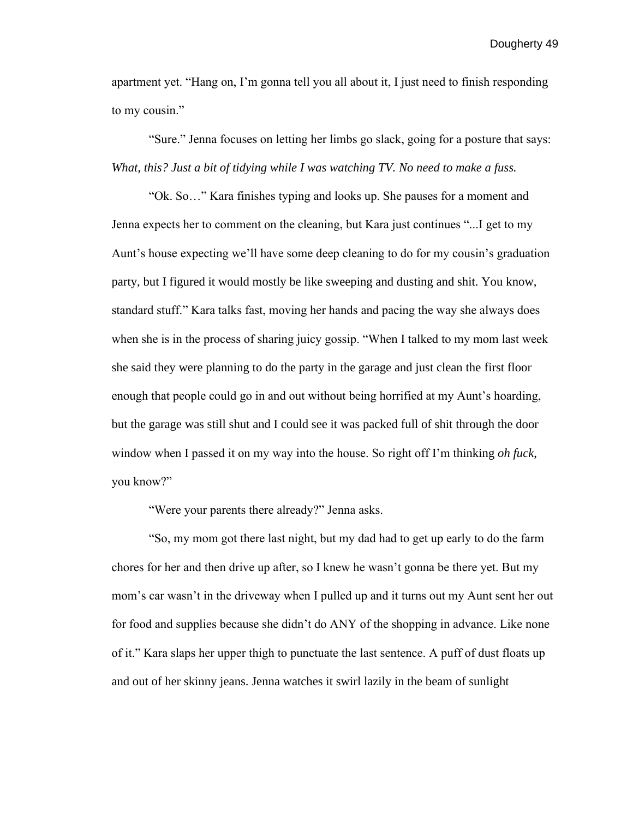apartment yet. "Hang on, I'm gonna tell you all about it, I just need to finish responding to my cousin."

"Sure." Jenna focuses on letting her limbs go slack, going for a posture that says: *What, this? Just a bit of tidying while I was watching TV. No need to make a fuss.* 

"Ok. So…" Kara finishes typing and looks up. She pauses for a moment and Jenna expects her to comment on the cleaning, but Kara just continues "...I get to my Aunt's house expecting we'll have some deep cleaning to do for my cousin's graduation party, but I figured it would mostly be like sweeping and dusting and shit. You know, standard stuff." Kara talks fast, moving her hands and pacing the way she always does when she is in the process of sharing juicy gossip. "When I talked to my mom last week she said they were planning to do the party in the garage and just clean the first floor enough that people could go in and out without being horrified at my Aunt's hoarding, but the garage was still shut and I could see it was packed full of shit through the door window when I passed it on my way into the house. So right off I'm thinking *oh fuck*, you know?"

"Were your parents there already?" Jenna asks.

"So, my mom got there last night, but my dad had to get up early to do the farm chores for her and then drive up after, so I knew he wasn't gonna be there yet. But my mom's car wasn't in the driveway when I pulled up and it turns out my Aunt sent her out for food and supplies because she didn't do ANY of the shopping in advance. Like none of it." Kara slaps her upper thigh to punctuate the last sentence. A puff of dust floats up and out of her skinny jeans. Jenna watches it swirl lazily in the beam of sunlight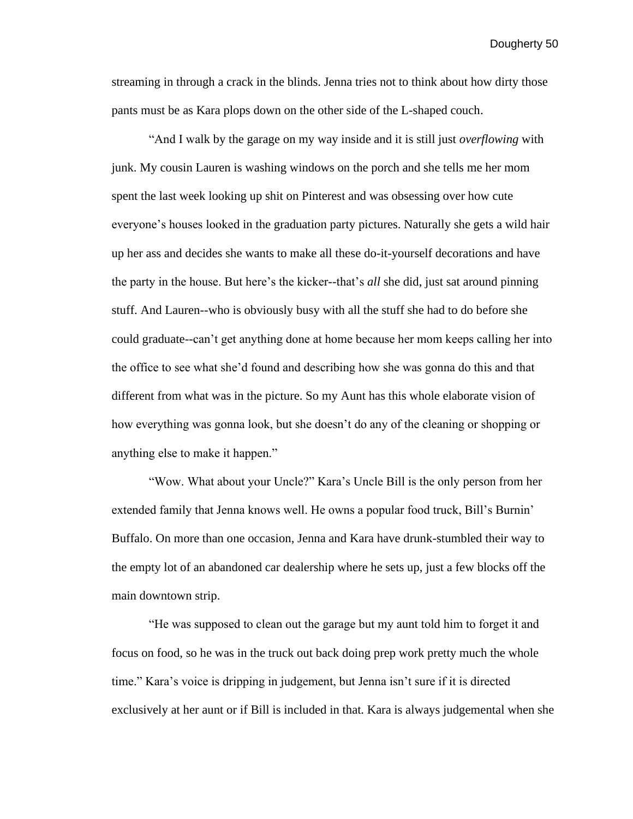streaming in through a crack in the blinds. Jenna tries not to think about how dirty those pants must be as Kara plops down on the other side of the L-shaped couch.

"And I walk by the garage on my way inside and it is still just *overflowing* with junk. My cousin Lauren is washing windows on the porch and she tells me her mom spent the last week looking up shit on Pinterest and was obsessing over how cute everyone's houses looked in the graduation party pictures. Naturally she gets a wild hair up her ass and decides she wants to make all these do-it-yourself decorations and have the party in the house. But here's the kicker--that's *all* she did, just sat around pinning stuff. And Lauren--who is obviously busy with all the stuff she had to do before she could graduate--can't get anything done at home because her mom keeps calling her into the office to see what she'd found and describing how she was gonna do this and that different from what was in the picture. So my Aunt has this whole elaborate vision of how everything was gonna look, but she doesn't do any of the cleaning or shopping or anything else to make it happen."

"Wow. What about your Uncle?" Kara's Uncle Bill is the only person from her extended family that Jenna knows well. He owns a popular food truck, Bill's Burnin' Buffalo. On more than one occasion, Jenna and Kara have drunk-stumbled their way to the empty lot of an abandoned car dealership where he sets up, just a few blocks off the main downtown strip.

"He was supposed to clean out the garage but my aunt told him to forget it and focus on food, so he was in the truck out back doing prep work pretty much the whole time." Kara's voice is dripping in judgement, but Jenna isn't sure if it is directed exclusively at her aunt or if Bill is included in that. Kara is always judgemental when she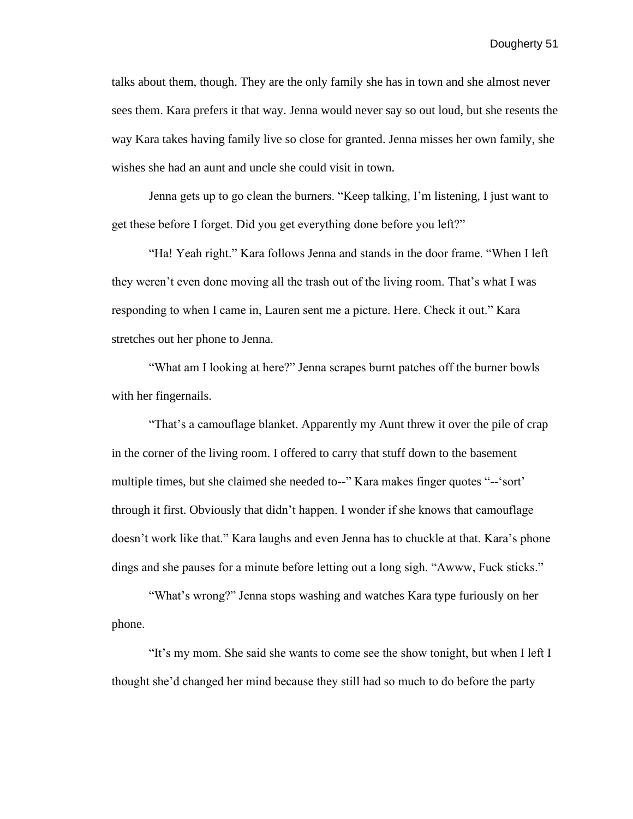talks about them, though. They are the only family she has in town and she almost never sees them. Kara prefers it that way. Jenna would never say so out loud, but she resents the way Kara takes having family live so close for granted. Jenna misses her own family, she wishes she had an aunt and uncle she could visit in town.

Jenna gets up to go clean the burners. "Keep talking, I'm listening, I just want to get these before I forget. Did you get everything done before you left?"

"Ha! Yeah right." Kara follows Jenna and stands in the door frame. "When I left they weren't even done moving all the trash out of the living room. That's what I was responding to when I came in, Lauren sent me a picture. Here. Check it out." Kara stretches out her phone to Jenna.

"What am I looking at here?" Jenna scrapes burnt patches off the burner bowls with her fingernails.

"That's a camouflage blanket. Apparently my Aunt threw it over the pile of crap in the corner of the living room. I offered to carry that stuff down to the basement multiple times, but she claimed she needed to--" Kara makes finger quotes "--'sort' through it first. Obviously that didn't happen. I wonder if she knows that camouflage doesn't work like that." Kara laughs and even Jenna has to chuckle at that. Kara's phone dings and she pauses for a minute before letting out a long sigh. "Awww, Fuck sticks."

"What's wrong?" Jenna stops washing and watches Kara type furiously on her phone.

"It's my mom. She said she wants to come see the show tonight, but when I left I thought she'd changed her mind because they still had so much to do before the party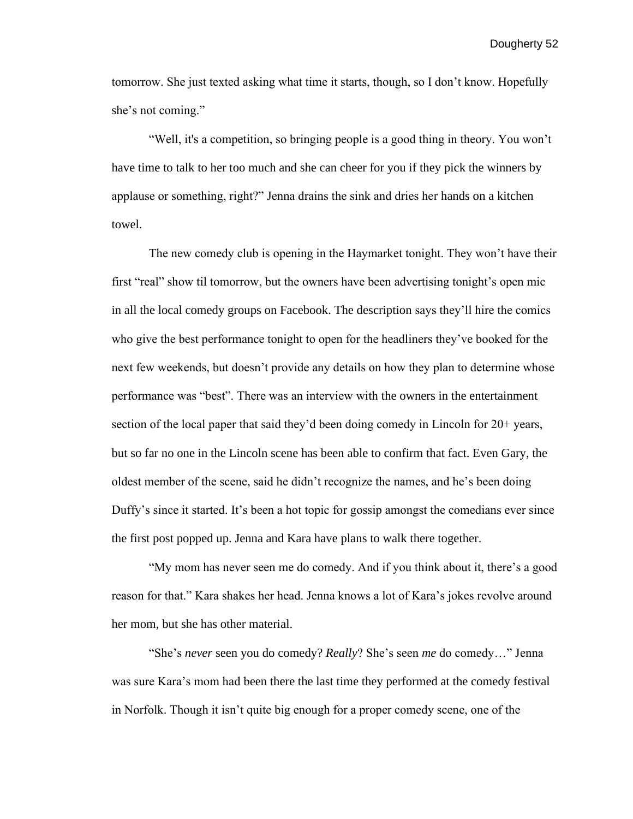tomorrow. She just texted asking what time it starts, though, so I don't know. Hopefully she's not coming."

"Well, it's a competition, so bringing people is a good thing in theory. You won't have time to talk to her too much and she can cheer for you if they pick the winners by applause or something, right?" Jenna drains the sink and dries her hands on a kitchen towel.

The new comedy club is opening in the Haymarket tonight. They won't have their first "real" show til tomorrow, but the owners have been advertising tonight's open mic in all the local comedy groups on Facebook. The description says they'll hire the comics who give the best performance tonight to open for the headliners they've booked for the next few weekends, but doesn't provide any details on how they plan to determine whose performance was "best". There was an interview with the owners in the entertainment section of the local paper that said they'd been doing comedy in Lincoln for 20+ years, but so far no one in the Lincoln scene has been able to confirm that fact. Even Gary, the oldest member of the scene, said he didn't recognize the names, and he's been doing Duffy's since it started. It's been a hot topic for gossip amongst the comedians ever since the first post popped up. Jenna and Kara have plans to walk there together.

"My mom has never seen me do comedy. And if you think about it, there's a good reason for that." Kara shakes her head. Jenna knows a lot of Kara's jokes revolve around her mom, but she has other material.

"She's *never* seen you do comedy? *Really*? She's seen *me* do comedy…" Jenna was sure Kara's mom had been there the last time they performed at the comedy festival in Norfolk. Though it isn't quite big enough for a proper comedy scene, one of the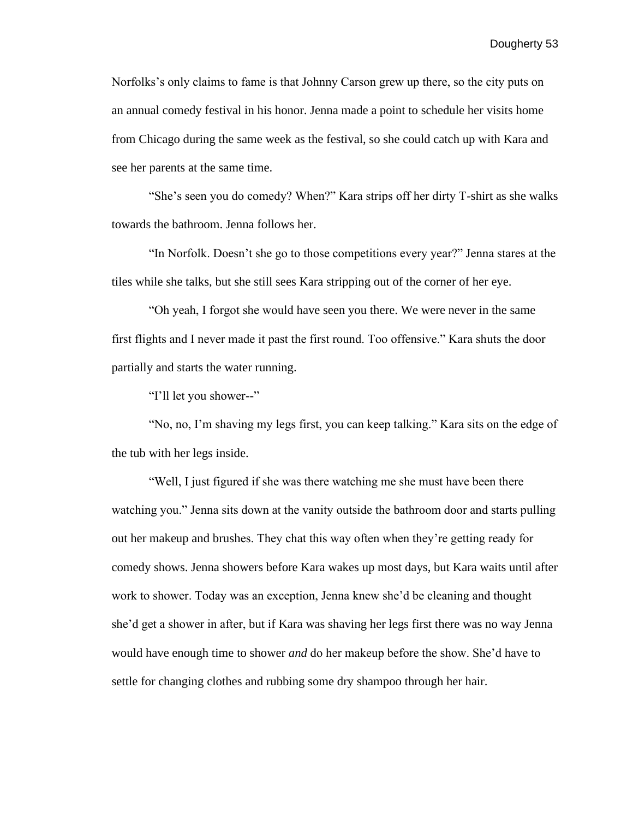Norfolks's only claims to fame is that Johnny Carson grew up there, so the city puts on an annual comedy festival in his honor. Jenna made a point to schedule her visits home from Chicago during the same week as the festival, so she could catch up with Kara and see her parents at the same time.

"She's seen you do comedy? When?" Kara strips off her dirty T-shirt as she walks towards the bathroom. Jenna follows her.

"In Norfolk. Doesn't she go to those competitions every year?" Jenna stares at the tiles while she talks, but she still sees Kara stripping out of the corner of her eye.

"Oh yeah, I forgot she would have seen you there. We were never in the same first flights and I never made it past the first round. Too offensive." Kara shuts the door partially and starts the water running.

"I'll let you shower--"

"No, no, I'm shaving my legs first, you can keep talking." Kara sits on the edge of the tub with her legs inside.

"Well, I just figured if she was there watching me she must have been there watching you." Jenna sits down at the vanity outside the bathroom door and starts pulling out her makeup and brushes. They chat this way often when they're getting ready for comedy shows. Jenna showers before Kara wakes up most days, but Kara waits until after work to shower. Today was an exception, Jenna knew she'd be cleaning and thought she'd get a shower in after, but if Kara was shaving her legs first there was no way Jenna would have enough time to shower *and* do her makeup before the show. She'd have to settle for changing clothes and rubbing some dry shampoo through her hair.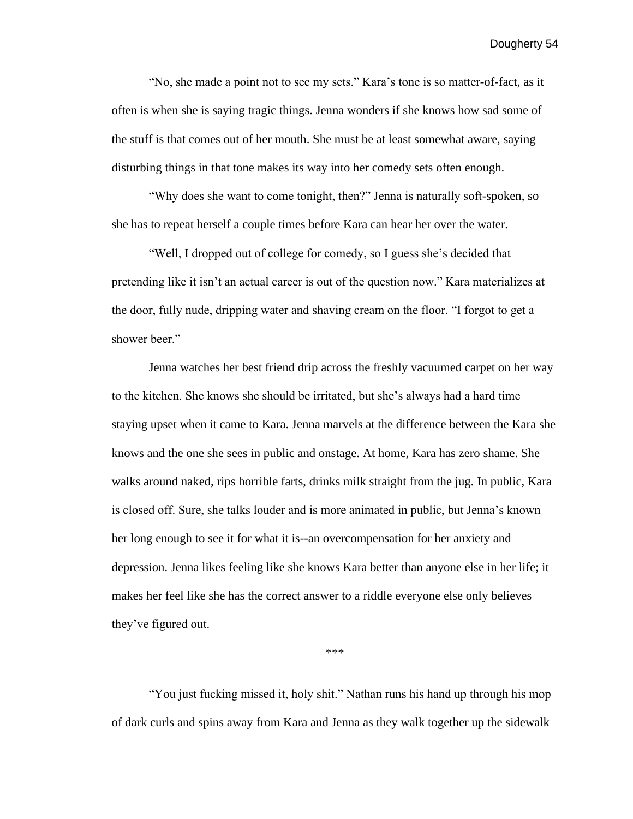"No, she made a point not to see my sets." Kara's tone is so matter-of-fact, as it often is when she is saying tragic things. Jenna wonders if she knows how sad some of the stuff is that comes out of her mouth. She must be at least somewhat aware, saying disturbing things in that tone makes its way into her comedy sets often enough.

"Why does she want to come tonight, then?" Jenna is naturally soft-spoken, so she has to repeat herself a couple times before Kara can hear her over the water.

"Well, I dropped out of college for comedy, so I guess she's decided that pretending like it isn't an actual career is out of the question now." Kara materializes at the door, fully nude, dripping water and shaving cream on the floor. "I forgot to get a shower beer."

Jenna watches her best friend drip across the freshly vacuumed carpet on her way to the kitchen. She knows she should be irritated, but she's always had a hard time staying upset when it came to Kara. Jenna marvels at the difference between the Kara she knows and the one she sees in public and onstage. At home, Kara has zero shame. She walks around naked, rips horrible farts, drinks milk straight from the jug. In public, Kara is closed off. Sure, she talks louder and is more animated in public, but Jenna's known her long enough to see it for what it is--an overcompensation for her anxiety and depression. Jenna likes feeling like she knows Kara better than anyone else in her life; it makes her feel like she has the correct answer to a riddle everyone else only believes they've figured out.

\*\*\*

"You just fucking missed it, holy shit." Nathan runs his hand up through his mop of dark curls and spins away from Kara and Jenna as they walk together up the sidewalk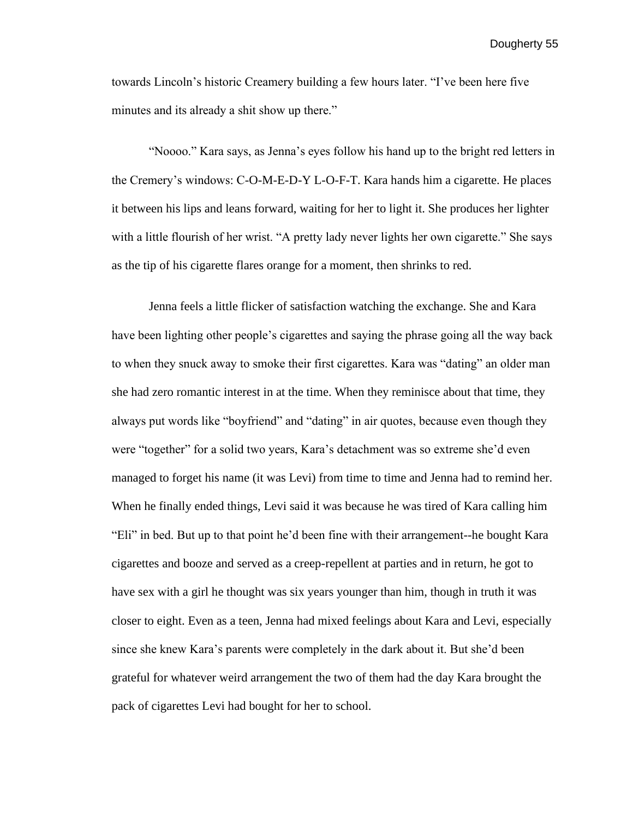towards Lincoln's historic Creamery building a few hours later. "I've been here five minutes and its already a shit show up there."

 "Noooo." Kara says, as Jenna's eyes follow his hand up to the bright red letters in the Cremery's windows: C-O-M-E-D-Y L-O-F-T. Kara hands him a cigarette. He places it between his lips and leans forward, waiting for her to light it. She produces her lighter with a little flourish of her wrist. "A pretty lady never lights her own cigarette." She says as the tip of his cigarette flares orange for a moment, then shrinks to red.

Jenna feels a little flicker of satisfaction watching the exchange. She and Kara have been lighting other people's cigarettes and saying the phrase going all the way back to when they snuck away to smoke their first cigarettes. Kara was "dating" an older man she had zero romantic interest in at the time. When they reminisce about that time, they always put words like "boyfriend" and "dating" in air quotes, because even though they were "together" for a solid two years, Kara's detachment was so extreme she'd even managed to forget his name (it was Levi) from time to time and Jenna had to remind her. When he finally ended things, Levi said it was because he was tired of Kara calling him "Eli" in bed. But up to that point he'd been fine with their arrangement--he bought Kara cigarettes and booze and served as a creep-repellent at parties and in return, he got to have sex with a girl he thought was six years younger than him, though in truth it was closer to eight. Even as a teen, Jenna had mixed feelings about Kara and Levi, especially since she knew Kara's parents were completely in the dark about it. But she'd been grateful for whatever weird arrangement the two of them had the day Kara brought the pack of cigarettes Levi had bought for her to school.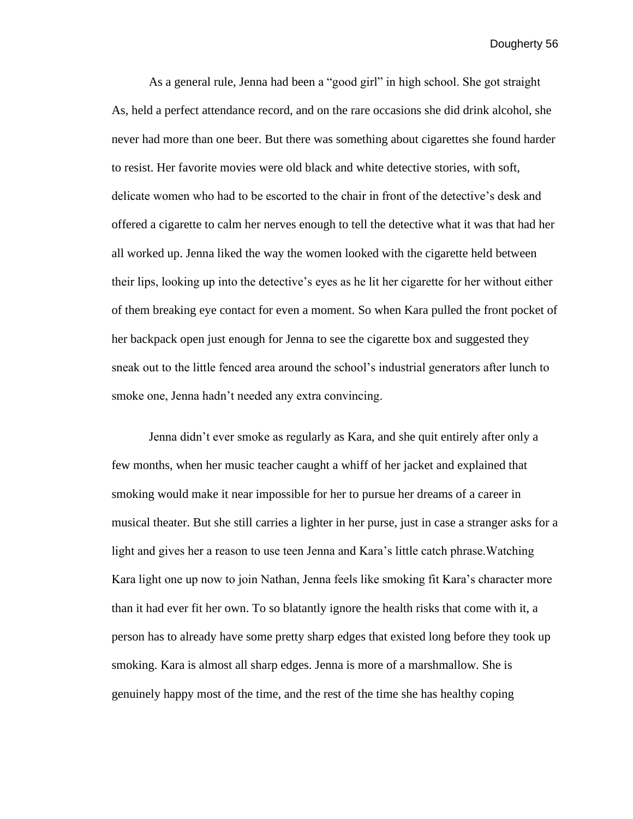As a general rule, Jenna had been a "good girl" in high school. She got straight As, held a perfect attendance record, and on the rare occasions she did drink alcohol, she never had more than one beer. But there was something about cigarettes she found harder to resist. Her favorite movies were old black and white detective stories, with soft, delicate women who had to be escorted to the chair in front of the detective's desk and offered a cigarette to calm her nerves enough to tell the detective what it was that had her all worked up. Jenna liked the way the women looked with the cigarette held between their lips, looking up into the detective's eyes as he lit her cigarette for her without either of them breaking eye contact for even a moment. So when Kara pulled the front pocket of her backpack open just enough for Jenna to see the cigarette box and suggested they sneak out to the little fenced area around the school's industrial generators after lunch to smoke one, Jenna hadn't needed any extra convincing.

Jenna didn't ever smoke as regularly as Kara, and she quit entirely after only a few months, when her music teacher caught a whiff of her jacket and explained that smoking would make it near impossible for her to pursue her dreams of a career in musical theater. But she still carries a lighter in her purse, just in case a stranger asks for a light and gives her a reason to use teen Jenna and Kara's little catch phrase.Watching Kara light one up now to join Nathan, Jenna feels like smoking fit Kara's character more than it had ever fit her own. To so blatantly ignore the health risks that come with it, a person has to already have some pretty sharp edges that existed long before they took up smoking. Kara is almost all sharp edges. Jenna is more of a marshmallow. She is genuinely happy most of the time, and the rest of the time she has healthy coping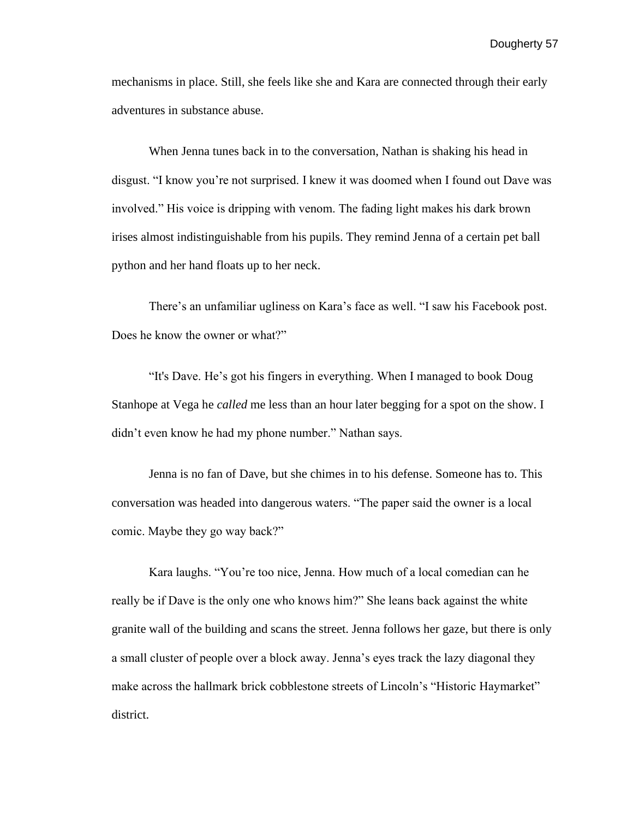mechanisms in place. Still, she feels like she and Kara are connected through their early adventures in substance abuse.

When Jenna tunes back in to the conversation, Nathan is shaking his head in disgust. "I know you're not surprised. I knew it was doomed when I found out Dave was involved." His voice is dripping with venom. The fading light makes his dark brown irises almost indistinguishable from his pupils. They remind Jenna of a certain pet ball python and her hand floats up to her neck.

 There's an unfamiliar ugliness on Kara's face as well. "I saw his Facebook post. Does he know the owner or what?"

 "It's Dave. He's got his fingers in everything. When I managed to book Doug Stanhope at Vega he *called* me less than an hour later begging for a spot on the show. I didn't even know he had my phone number." Nathan says.

Jenna is no fan of Dave, but she chimes in to his defense. Someone has to. This conversation was headed into dangerous waters. "The paper said the owner is a local comic. Maybe they go way back?"

 Kara laughs. "You're too nice, Jenna. How much of a local comedian can he really be if Dave is the only one who knows him?" She leans back against the white granite wall of the building and scans the street. Jenna follows her gaze, but there is only a small cluster of people over a block away. Jenna's eyes track the lazy diagonal they make across the hallmark brick cobblestone streets of Lincoln's "Historic Haymarket" district.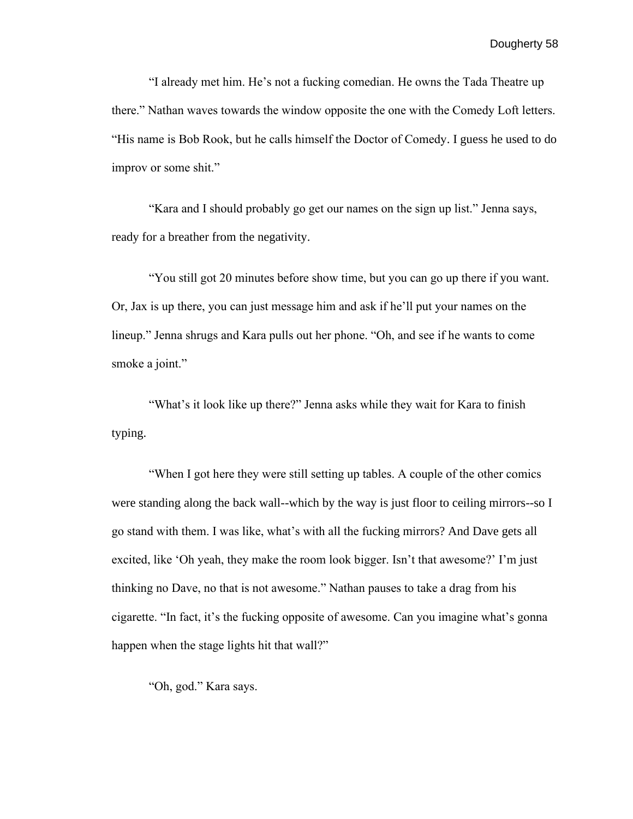"I already met him. He's not a fucking comedian. He owns the Tada Theatre up there." Nathan waves towards the window opposite the one with the Comedy Loft letters. "His name is Bob Rook, but he calls himself the Doctor of Comedy. I guess he used to do improv or some shit."

 "Kara and I should probably go get our names on the sign up list." Jenna says, ready for a breather from the negativity.

 "You still got 20 minutes before show time, but you can go up there if you want. Or, Jax is up there, you can just message him and ask if he'll put your names on the lineup." Jenna shrugs and Kara pulls out her phone. "Oh, and see if he wants to come smoke a joint."

"What's it look like up there?" Jenna asks while they wait for Kara to finish typing.

"When I got here they were still setting up tables. A couple of the other comics were standing along the back wall--which by the way is just floor to ceiling mirrors--so I go stand with them. I was like, what's with all the fucking mirrors? And Dave gets all excited, like 'Oh yeah, they make the room look bigger. Isn't that awesome?' I'm just thinking no Dave, no that is not awesome." Nathan pauses to take a drag from his cigarette. "In fact, it's the fucking opposite of awesome. Can you imagine what's gonna happen when the stage lights hit that wall?"

"Oh, god." Kara says.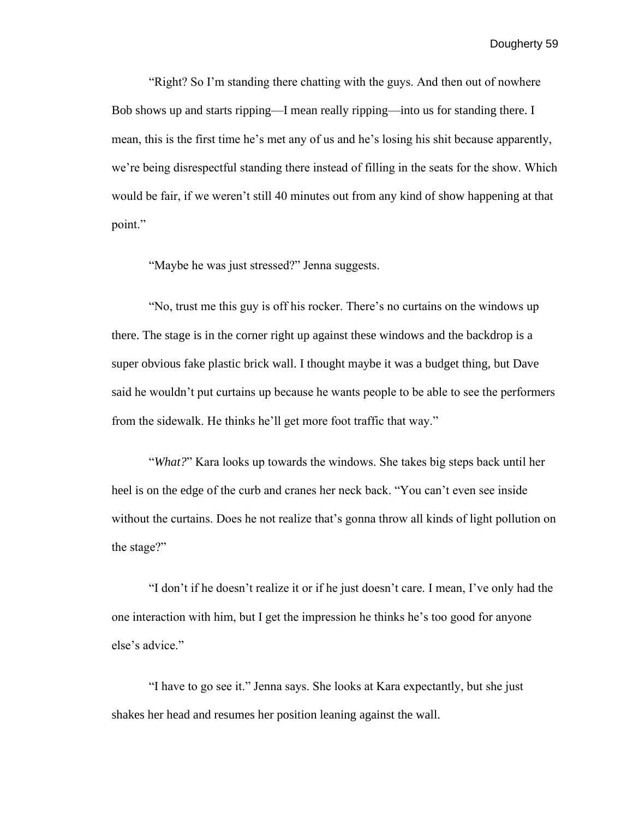"Right? So I'm standing there chatting with the guys. And then out of nowhere Bob shows up and starts ripping—I mean really ripping—into us for standing there. I mean, this is the first time he's met any of us and he's losing his shit because apparently, we're being disrespectful standing there instead of filling in the seats for the show. Which would be fair, if we weren't still 40 minutes out from any kind of show happening at that point."

"Maybe he was just stressed?" Jenna suggests.

 "No, trust me this guy is off his rocker. There's no curtains on the windows up there. The stage is in the corner right up against these windows and the backdrop is a super obvious fake plastic brick wall. I thought maybe it was a budget thing, but Dave said he wouldn't put curtains up because he wants people to be able to see the performers from the sidewalk. He thinks he'll get more foot traffic that way."

"*What?*" Kara looks up towards the windows. She takes big steps back until her heel is on the edge of the curb and cranes her neck back. "You can't even see inside without the curtains. Does he not realize that's gonna throw all kinds of light pollution on the stage?"

"I don't if he doesn't realize it or if he just doesn't care. I mean, I've only had the one interaction with him, but I get the impression he thinks he's too good for anyone else's advice."

 "I have to go see it." Jenna says. She looks at Kara expectantly, but she just shakes her head and resumes her position leaning against the wall.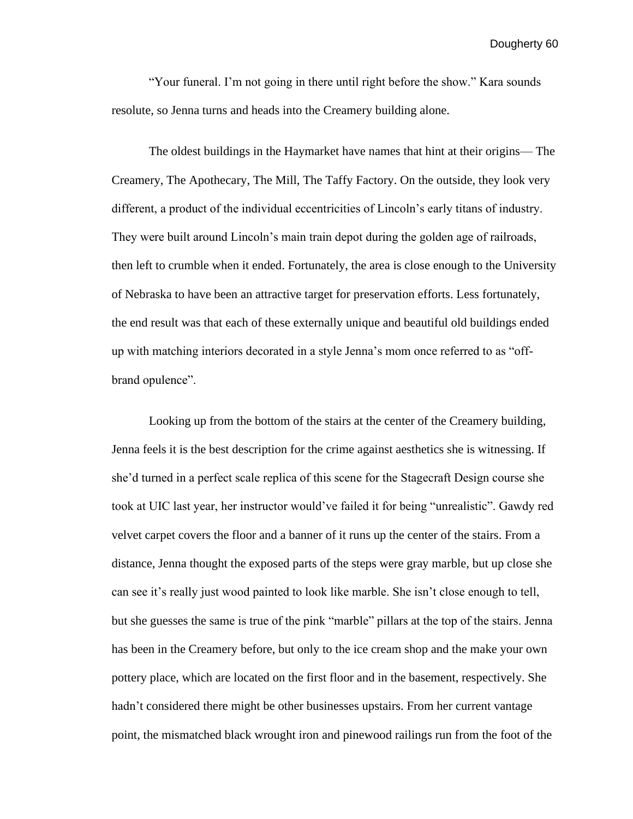"Your funeral. I'm not going in there until right before the show." Kara sounds resolute, so Jenna turns and heads into the Creamery building alone.

The oldest buildings in the Haymarket have names that hint at their origins— The Creamery, The Apothecary, The Mill, The Taffy Factory. On the outside, they look very different, a product of the individual eccentricities of Lincoln's early titans of industry. They were built around Lincoln's main train depot during the golden age of railroads, then left to crumble when it ended. Fortunately, the area is close enough to the University of Nebraska to have been an attractive target for preservation efforts. Less fortunately, the end result was that each of these externally unique and beautiful old buildings ended up with matching interiors decorated in a style Jenna's mom once referred to as "offbrand opulence".

Looking up from the bottom of the stairs at the center of the Creamery building, Jenna feels it is the best description for the crime against aesthetics she is witnessing. If she'd turned in a perfect scale replica of this scene for the Stagecraft Design course she took at UIC last year, her instructor would've failed it for being "unrealistic". Gawdy red velvet carpet covers the floor and a banner of it runs up the center of the stairs. From a distance, Jenna thought the exposed parts of the steps were gray marble, but up close she can see it's really just wood painted to look like marble. She isn't close enough to tell, but she guesses the same is true of the pink "marble" pillars at the top of the stairs. Jenna has been in the Creamery before, but only to the ice cream shop and the make your own pottery place, which are located on the first floor and in the basement, respectively. She hadn't considered there might be other businesses upstairs. From her current vantage point, the mismatched black wrought iron and pinewood railings run from the foot of the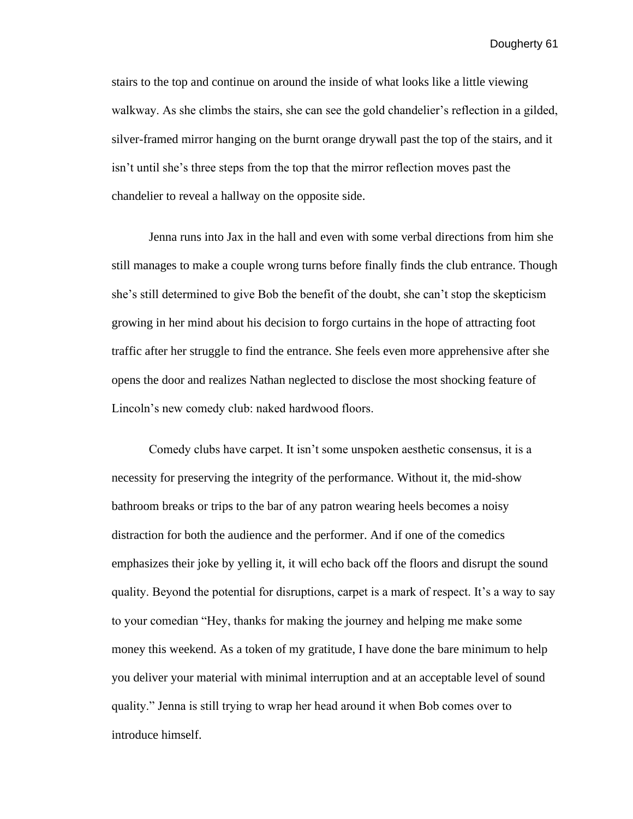stairs to the top and continue on around the inside of what looks like a little viewing walkway. As she climbs the stairs, she can see the gold chandelier's reflection in a gilded, silver-framed mirror hanging on the burnt orange drywall past the top of the stairs, and it isn't until she's three steps from the top that the mirror reflection moves past the chandelier to reveal a hallway on the opposite side.

 Jenna runs into Jax in the hall and even with some verbal directions from him she still manages to make a couple wrong turns before finally finds the club entrance. Though she's still determined to give Bob the benefit of the doubt, she can't stop the skepticism growing in her mind about his decision to forgo curtains in the hope of attracting foot traffic after her struggle to find the entrance. She feels even more apprehensive after she opens the door and realizes Nathan neglected to disclose the most shocking feature of Lincoln's new comedy club: naked hardwood floors.

Comedy clubs have carpet. It isn't some unspoken aesthetic consensus, it is a necessity for preserving the integrity of the performance. Without it, the mid-show bathroom breaks or trips to the bar of any patron wearing heels becomes a noisy distraction for both the audience and the performer. And if one of the comedics emphasizes their joke by yelling it, it will echo back off the floors and disrupt the sound quality. Beyond the potential for disruptions, carpet is a mark of respect. It's a way to say to your comedian "Hey, thanks for making the journey and helping me make some money this weekend. As a token of my gratitude, I have done the bare minimum to help you deliver your material with minimal interruption and at an acceptable level of sound quality." Jenna is still trying to wrap her head around it when Bob comes over to introduce himself.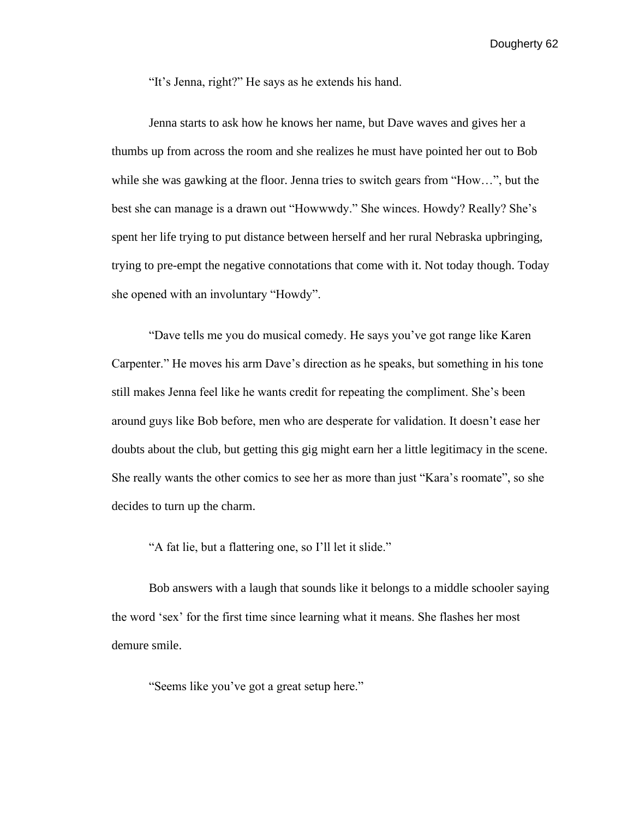"It's Jenna, right?" He says as he extends his hand.

 Jenna starts to ask how he knows her name, but Dave waves and gives her a thumbs up from across the room and she realizes he must have pointed her out to Bob while she was gawking at the floor. Jenna tries to switch gears from "How…", but the best she can manage is a drawn out "Howwwdy." She winces. Howdy? Really? She's spent her life trying to put distance between herself and her rural Nebraska upbringing, trying to pre-empt the negative connotations that come with it. Not today though. Today she opened with an involuntary "Howdy".

 "Dave tells me you do musical comedy. He says you've got range like Karen Carpenter." He moves his arm Dave's direction as he speaks, but something in his tone still makes Jenna feel like he wants credit for repeating the compliment. She's been around guys like Bob before, men who are desperate for validation. It doesn't ease her doubts about the club, but getting this gig might earn her a little legitimacy in the scene. She really wants the other comics to see her as more than just "Kara's roomate", so she decides to turn up the charm.

"A fat lie, but a flattering one, so I'll let it slide."

Bob answers with a laugh that sounds like it belongs to a middle schooler saying the word 'sex' for the first time since learning what it means. She flashes her most demure smile.

"Seems like you've got a great setup here."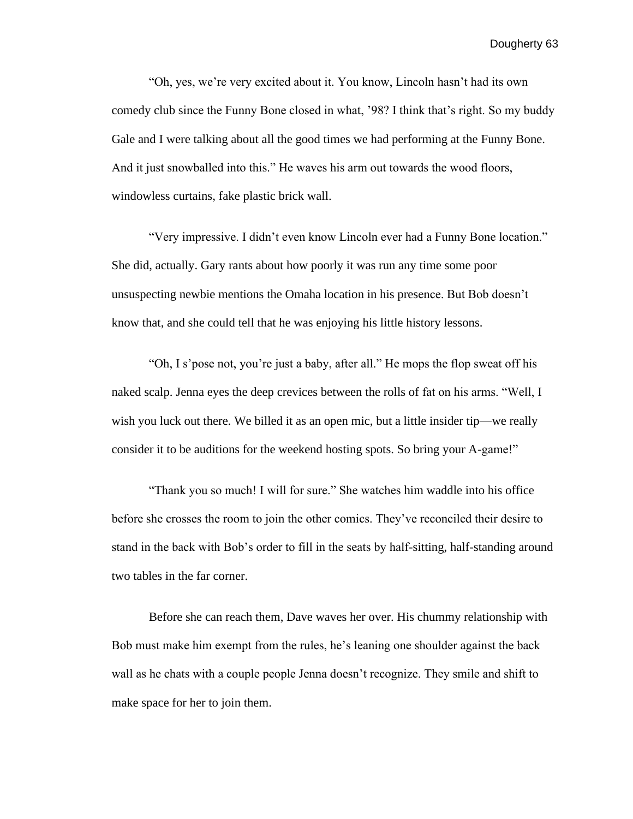"Oh, yes, we're very excited about it. You know, Lincoln hasn't had its own comedy club since the Funny Bone closed in what, '98? I think that's right. So my buddy Gale and I were talking about all the good times we had performing at the Funny Bone. And it just snowballed into this." He waves his arm out towards the wood floors, windowless curtains, fake plastic brick wall.

 "Very impressive. I didn't even know Lincoln ever had a Funny Bone location." She did, actually. Gary rants about how poorly it was run any time some poor unsuspecting newbie mentions the Omaha location in his presence. But Bob doesn't know that, and she could tell that he was enjoying his little history lessons.

 "Oh, I s'pose not, you're just a baby, after all." He mops the flop sweat off his naked scalp. Jenna eyes the deep crevices between the rolls of fat on his arms. "Well, I wish you luck out there. We billed it as an open mic, but a little insider tip—we really consider it to be auditions for the weekend hosting spots. So bring your A-game!"

 "Thank you so much! I will for sure." She watches him waddle into his office before she crosses the room to join the other comics. They've reconciled their desire to stand in the back with Bob's order to fill in the seats by half-sitting, half-standing around two tables in the far corner.

 Before she can reach them, Dave waves her over. His chummy relationship with Bob must make him exempt from the rules, he's leaning one shoulder against the back wall as he chats with a couple people Jenna doesn't recognize. They smile and shift to make space for her to join them.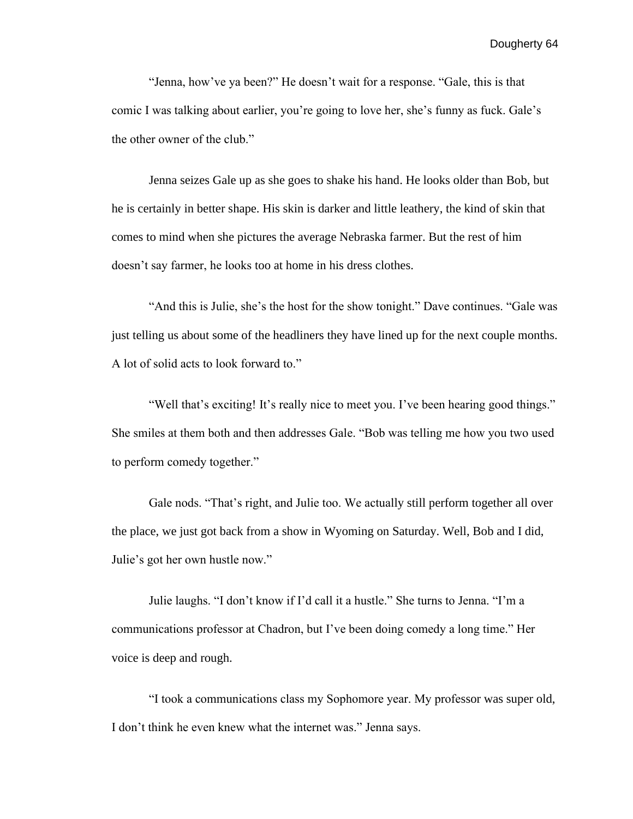"Jenna, how've ya been?" He doesn't wait for a response. "Gale, this is that comic I was talking about earlier, you're going to love her, she's funny as fuck. Gale's the other owner of the club."

Jenna seizes Gale up as she goes to shake his hand. He looks older than Bob, but he is certainly in better shape. His skin is darker and little leathery, the kind of skin that comes to mind when she pictures the average Nebraska farmer. But the rest of him doesn't say farmer, he looks too at home in his dress clothes.

"And this is Julie, she's the host for the show tonight." Dave continues. "Gale was just telling us about some of the headliners they have lined up for the next couple months. A lot of solid acts to look forward to."

"Well that's exciting! It's really nice to meet you. I've been hearing good things." She smiles at them both and then addresses Gale. "Bob was telling me how you two used to perform comedy together."

 Gale nods. "That's right, and Julie too. We actually still perform together all over the place, we just got back from a show in Wyoming on Saturday. Well, Bob and I did, Julie's got her own hustle now."

 Julie laughs. "I don't know if I'd call it a hustle." She turns to Jenna. "I'm a communications professor at Chadron, but I've been doing comedy a long time." Her voice is deep and rough.

 "I took a communications class my Sophomore year. My professor was super old, I don't think he even knew what the internet was." Jenna says.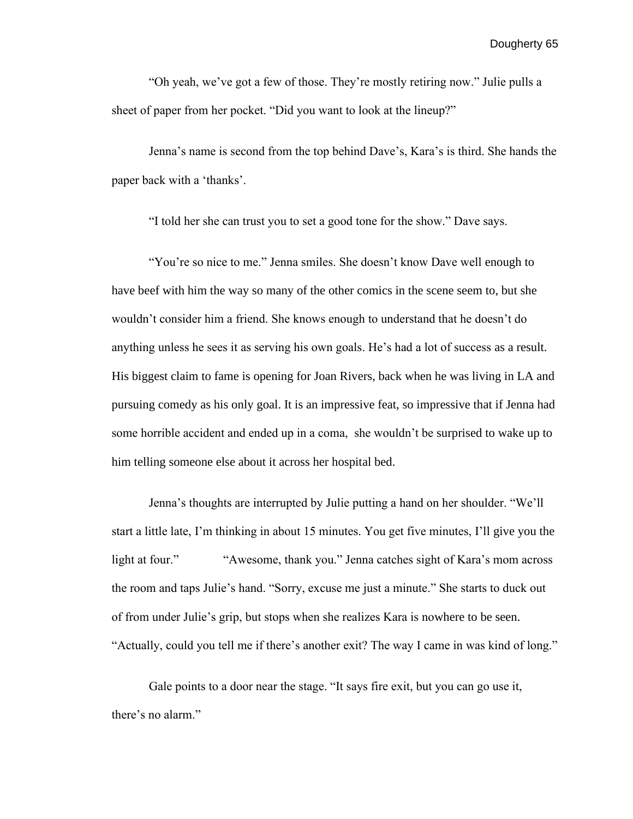"Oh yeah, we've got a few of those. They're mostly retiring now." Julie pulls a sheet of paper from her pocket. "Did you want to look at the lineup?"

Jenna's name is second from the top behind Dave's, Kara's is third. She hands the paper back with a 'thanks'.

"I told her she can trust you to set a good tone for the show." Dave says.

"You're so nice to me." Jenna smiles. She doesn't know Dave well enough to have beef with him the way so many of the other comics in the scene seem to, but she wouldn't consider him a friend. She knows enough to understand that he doesn't do anything unless he sees it as serving his own goals. He's had a lot of success as a result. His biggest claim to fame is opening for Joan Rivers, back when he was living in LA and pursuing comedy as his only goal. It is an impressive feat, so impressive that if Jenna had some horrible accident and ended up in a coma, she wouldn't be surprised to wake up to him telling someone else about it across her hospital bed.

 Jenna's thoughts are interrupted by Julie putting a hand on her shoulder. "We'll start a little late, I'm thinking in about 15 minutes. You get five minutes, I'll give you the light at four." "Awesome, thank you." Jenna catches sight of Kara's mom across the room and taps Julie's hand. "Sorry, excuse me just a minute." She starts to duck out of from under Julie's grip, but stops when she realizes Kara is nowhere to be seen. "Actually, could you tell me if there's another exit? The way I came in was kind of long."

 Gale points to a door near the stage. "It says fire exit, but you can go use it, there's no alarm."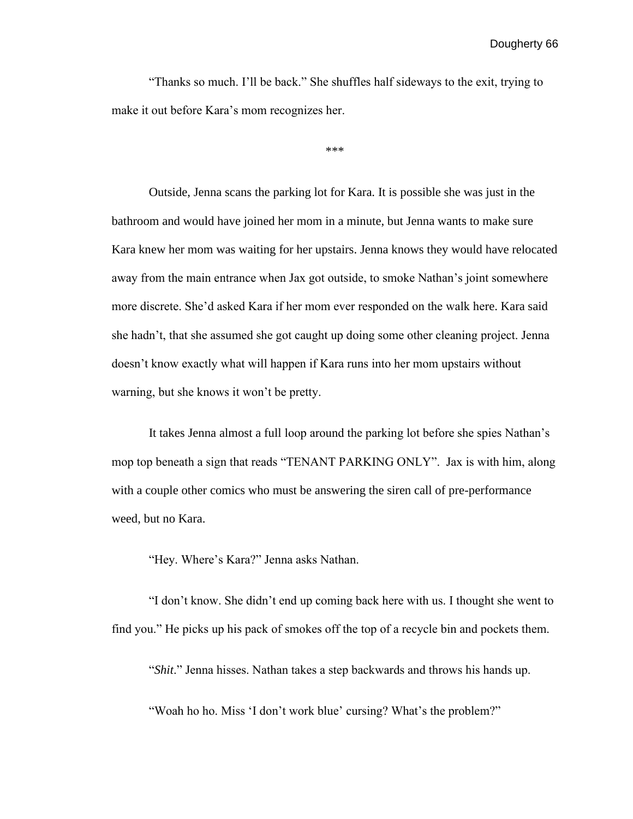"Thanks so much. I'll be back." She shuffles half sideways to the exit, trying to make it out before Kara's mom recognizes her.

\*\*\*

Outside, Jenna scans the parking lot for Kara. It is possible she was just in the bathroom and would have joined her mom in a minute, but Jenna wants to make sure Kara knew her mom was waiting for her upstairs. Jenna knows they would have relocated away from the main entrance when Jax got outside, to smoke Nathan's joint somewhere more discrete. She'd asked Kara if her mom ever responded on the walk here. Kara said she hadn't, that she assumed she got caught up doing some other cleaning project. Jenna doesn't know exactly what will happen if Kara runs into her mom upstairs without warning, but she knows it won't be pretty.

It takes Jenna almost a full loop around the parking lot before she spies Nathan's mop top beneath a sign that reads "TENANT PARKING ONLY". Jax is with him, along with a couple other comics who must be answering the siren call of pre-performance weed, but no Kara.

"Hey. Where's Kara?" Jenna asks Nathan.

"I don't know. She didn't end up coming back here with us. I thought she went to find you." He picks up his pack of smokes off the top of a recycle bin and pockets them.

"*Shit*." Jenna hisses. Nathan takes a step backwards and throws his hands up.

"Woah ho ho. Miss 'I don't work blue' cursing? What's the problem?"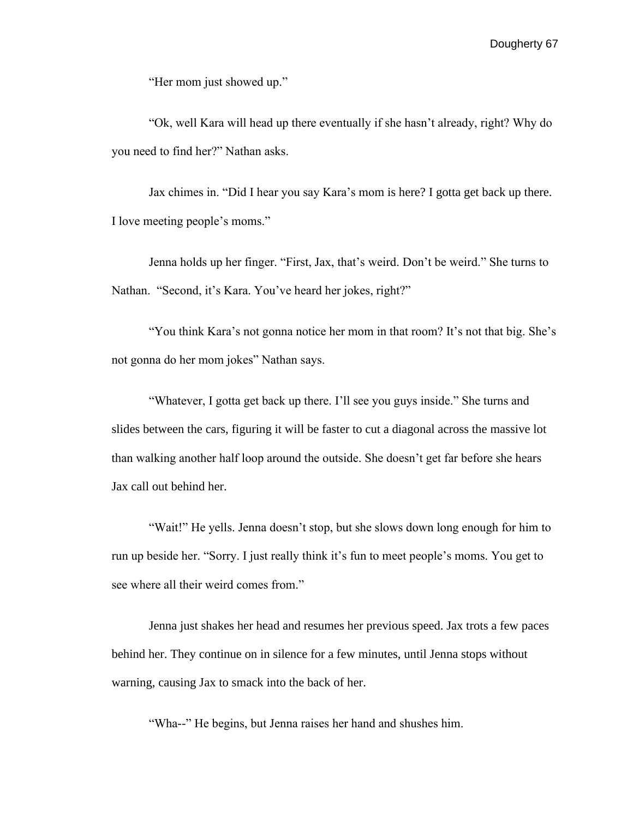"Her mom just showed up."

"Ok, well Kara will head up there eventually if she hasn't already, right? Why do you need to find her?" Nathan asks.

Jax chimes in. "Did I hear you say Kara's mom is here? I gotta get back up there. I love meeting people's moms."

Jenna holds up her finger. "First, Jax, that's weird. Don't be weird." She turns to Nathan. "Second, it's Kara. You've heard her jokes, right?"

"You think Kara's not gonna notice her mom in that room? It's not that big. She's not gonna do her mom jokes" Nathan says.

"Whatever, I gotta get back up there. I'll see you guys inside." She turns and slides between the cars, figuring it will be faster to cut a diagonal across the massive lot than walking another half loop around the outside. She doesn't get far before she hears Jax call out behind her.

"Wait!" He yells. Jenna doesn't stop, but she slows down long enough for him to run up beside her. "Sorry. I just really think it's fun to meet people's moms. You get to see where all their weird comes from."

Jenna just shakes her head and resumes her previous speed. Jax trots a few paces behind her. They continue on in silence for a few minutes, until Jenna stops without warning, causing Jax to smack into the back of her.

"Wha--" He begins, but Jenna raises her hand and shushes him.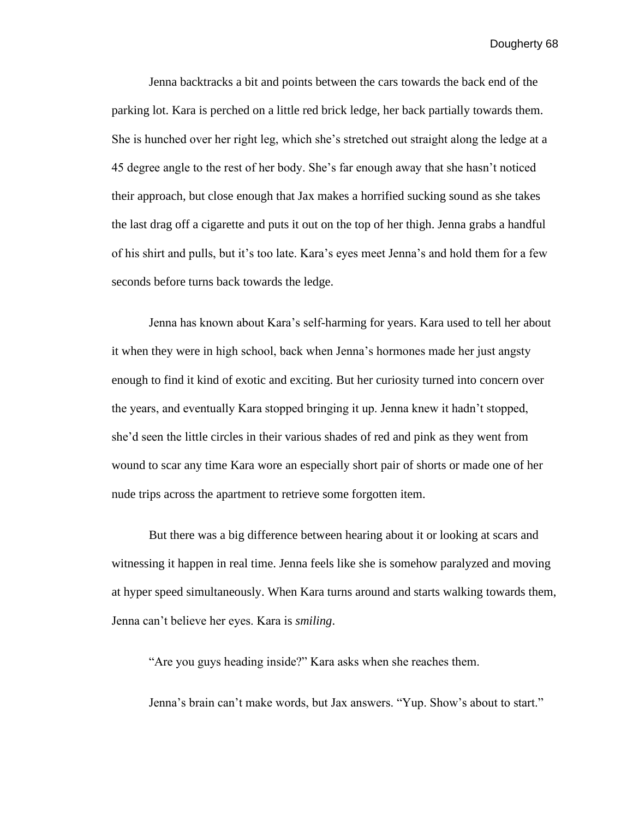Jenna backtracks a bit and points between the cars towards the back end of the parking lot. Kara is perched on a little red brick ledge, her back partially towards them. She is hunched over her right leg, which she's stretched out straight along the ledge at a 45 degree angle to the rest of her body. She's far enough away that she hasn't noticed their approach, but close enough that Jax makes a horrified sucking sound as she takes the last drag off a cigarette and puts it out on the top of her thigh. Jenna grabs a handful of his shirt and pulls, but it's too late. Kara's eyes meet Jenna's and hold them for a few seconds before turns back towards the ledge.

Jenna has known about Kara's self-harming for years. Kara used to tell her about it when they were in high school, back when Jenna's hormones made her just angsty enough to find it kind of exotic and exciting. But her curiosity turned into concern over the years, and eventually Kara stopped bringing it up. Jenna knew it hadn't stopped, she'd seen the little circles in their various shades of red and pink as they went from wound to scar any time Kara wore an especially short pair of shorts or made one of her nude trips across the apartment to retrieve some forgotten item.

But there was a big difference between hearing about it or looking at scars and witnessing it happen in real time. Jenna feels like she is somehow paralyzed and moving at hyper speed simultaneously. When Kara turns around and starts walking towards them, Jenna can't believe her eyes. Kara is *smiling*.

"Are you guys heading inside?" Kara asks when she reaches them.

Jenna's brain can't make words, but Jax answers. "Yup. Show's about to start."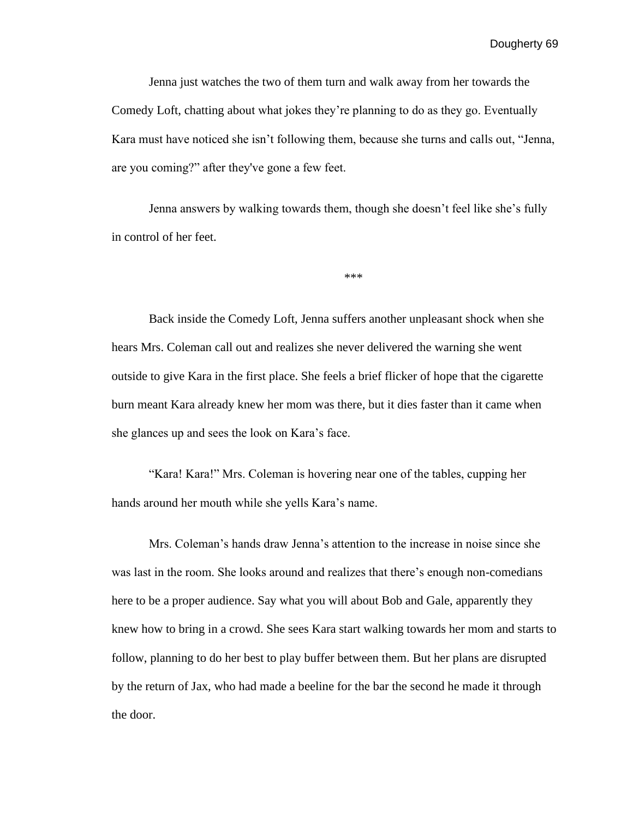Jenna just watches the two of them turn and walk away from her towards the Comedy Loft, chatting about what jokes they're planning to do as they go. Eventually Kara must have noticed she isn't following them, because she turns and calls out, "Jenna, are you coming?" after they've gone a few feet.

Jenna answers by walking towards them, though she doesn't feel like she's fully in control of her feet.

\*\*\*

Back inside the Comedy Loft, Jenna suffers another unpleasant shock when she hears Mrs. Coleman call out and realizes she never delivered the warning she went outside to give Kara in the first place. She feels a brief flicker of hope that the cigarette burn meant Kara already knew her mom was there, but it dies faster than it came when she glances up and sees the look on Kara's face.

"Kara! Kara!" Mrs. Coleman is hovering near one of the tables, cupping her hands around her mouth while she yells Kara's name.

Mrs. Coleman's hands draw Jenna's attention to the increase in noise since she was last in the room. She looks around and realizes that there's enough non-comedians here to be a proper audience. Say what you will about Bob and Gale, apparently they knew how to bring in a crowd. She sees Kara start walking towards her mom and starts to follow, planning to do her best to play buffer between them. But her plans are disrupted by the return of Jax, who had made a beeline for the bar the second he made it through the door.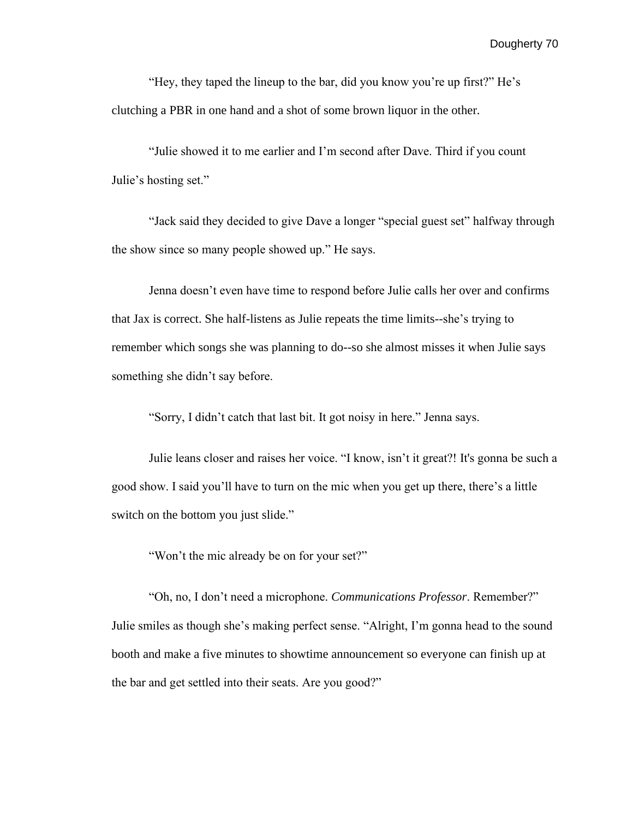"Hey, they taped the lineup to the bar, did you know you're up first?" He's clutching a PBR in one hand and a shot of some brown liquor in the other.

"Julie showed it to me earlier and I'm second after Dave. Third if you count Julie's hosting set."

"Jack said they decided to give Dave a longer "special guest set" halfway through the show since so many people showed up." He says.

Jenna doesn't even have time to respond before Julie calls her over and confirms that Jax is correct. She half-listens as Julie repeats the time limits--she's trying to remember which songs she was planning to do--so she almost misses it when Julie says something she didn't say before.

"Sorry, I didn't catch that last bit. It got noisy in here." Jenna says.

Julie leans closer and raises her voice. "I know, isn't it great?! It's gonna be such a good show. I said you'll have to turn on the mic when you get up there, there's a little switch on the bottom you just slide."

"Won't the mic already be on for your set?"

"Oh, no, I don't need a microphone. *Communications Professor*. Remember?" Julie smiles as though she's making perfect sense. "Alright, I'm gonna head to the sound booth and make a five minutes to showtime announcement so everyone can finish up at the bar and get settled into their seats. Are you good?"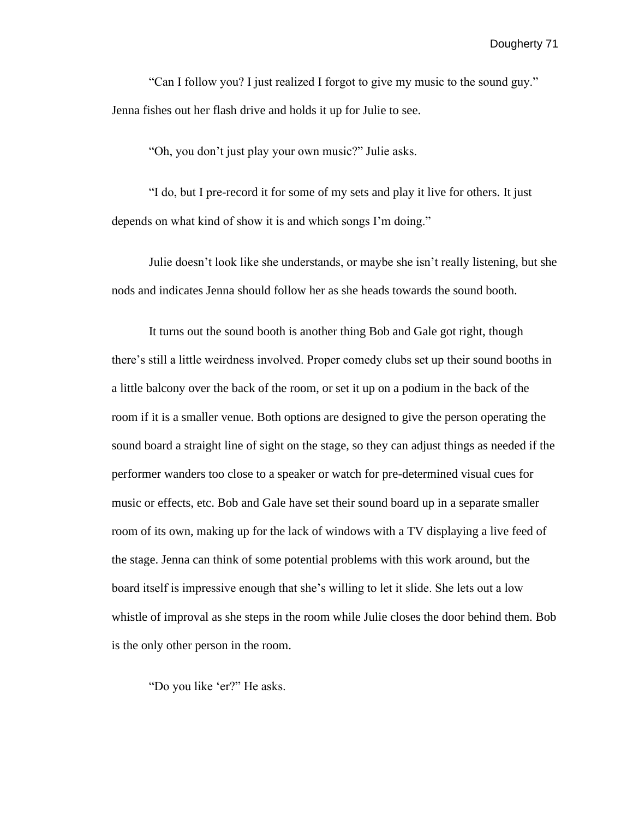"Can I follow you? I just realized I forgot to give my music to the sound guy." Jenna fishes out her flash drive and holds it up for Julie to see.

"Oh, you don't just play your own music?" Julie asks.

"I do, but I pre-record it for some of my sets and play it live for others. It just depends on what kind of show it is and which songs I'm doing."

Julie doesn't look like she understands, or maybe she isn't really listening, but she nods and indicates Jenna should follow her as she heads towards the sound booth.

It turns out the sound booth is another thing Bob and Gale got right, though there's still a little weirdness involved. Proper comedy clubs set up their sound booths in a little balcony over the back of the room, or set it up on a podium in the back of the room if it is a smaller venue. Both options are designed to give the person operating the sound board a straight line of sight on the stage, so they can adjust things as needed if the performer wanders too close to a speaker or watch for pre-determined visual cues for music or effects, etc. Bob and Gale have set their sound board up in a separate smaller room of its own, making up for the lack of windows with a TV displaying a live feed of the stage. Jenna can think of some potential problems with this work around, but the board itself is impressive enough that she's willing to let it slide. She lets out a low whistle of improval as she steps in the room while Julie closes the door behind them. Bob is the only other person in the room.

"Do you like 'er?" He asks.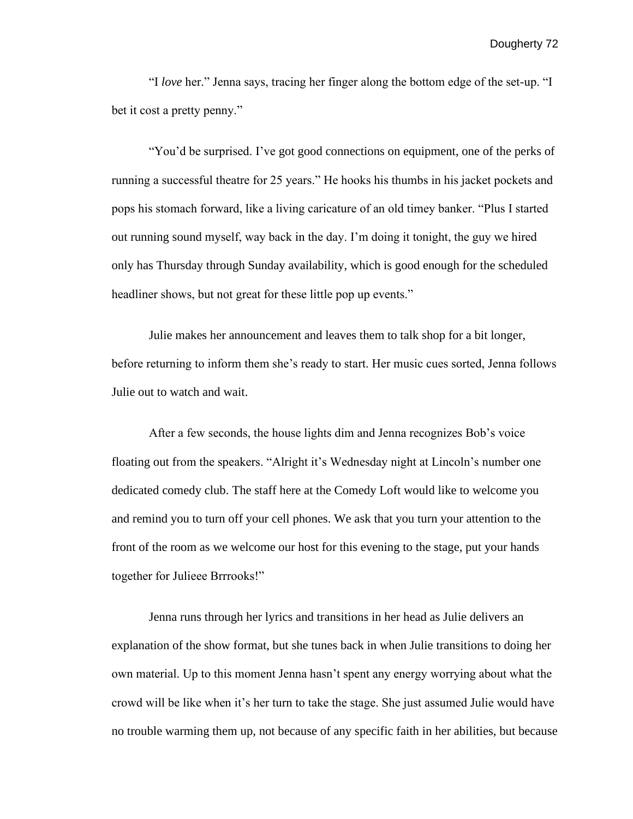"I *love* her." Jenna says, tracing her finger along the bottom edge of the set-up. "I bet it cost a pretty penny."

"You'd be surprised. I've got good connections on equipment, one of the perks of running a successful theatre for 25 years." He hooks his thumbs in his jacket pockets and pops his stomach forward, like a living caricature of an old timey banker. "Plus I started out running sound myself, way back in the day. I'm doing it tonight, the guy we hired only has Thursday through Sunday availability, which is good enough for the scheduled headliner shows, but not great for these little pop up events."

Julie makes her announcement and leaves them to talk shop for a bit longer, before returning to inform them she's ready to start. Her music cues sorted, Jenna follows Julie out to watch and wait.

 After a few seconds, the house lights dim and Jenna recognizes Bob's voice floating out from the speakers. "Alright it's Wednesday night at Lincoln's number one dedicated comedy club. The staff here at the Comedy Loft would like to welcome you and remind you to turn off your cell phones. We ask that you turn your attention to the front of the room as we welcome our host for this evening to the stage, put your hands together for Julieee Brrrooks!"

Jenna runs through her lyrics and transitions in her head as Julie delivers an explanation of the show format, but she tunes back in when Julie transitions to doing her own material. Up to this moment Jenna hasn't spent any energy worrying about what the crowd will be like when it's her turn to take the stage. She just assumed Julie would have no trouble warming them up, not because of any specific faith in her abilities, but because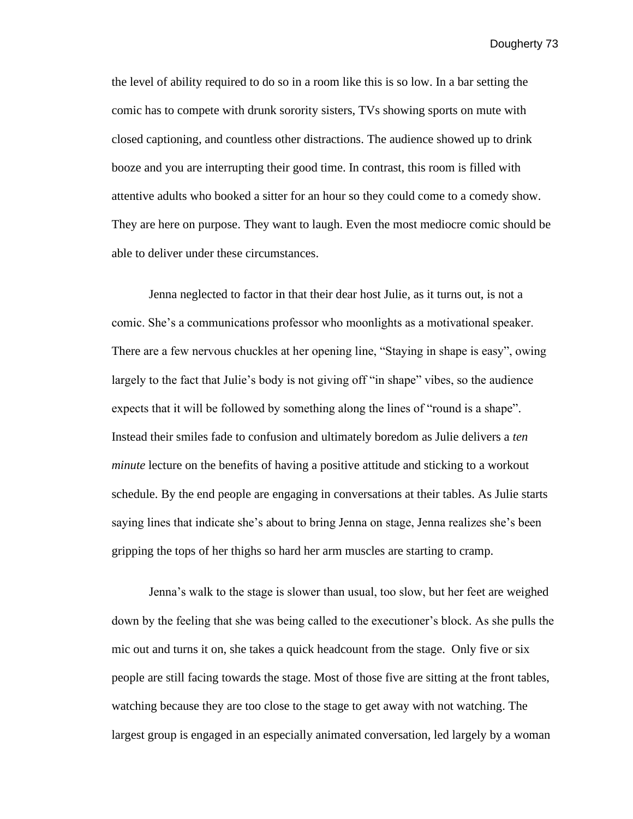the level of ability required to do so in a room like this is so low. In a bar setting the comic has to compete with drunk sorority sisters, TVs showing sports on mute with closed captioning, and countless other distractions. The audience showed up to drink booze and you are interrupting their good time. In contrast, this room is filled with attentive adults who booked a sitter for an hour so they could come to a comedy show. They are here on purpose. They want to laugh. Even the most mediocre comic should be able to deliver under these circumstances.

 Jenna neglected to factor in that their dear host Julie, as it turns out, is not a comic. She's a communications professor who moonlights as a motivational speaker. There are a few nervous chuckles at her opening line, "Staying in shape is easy", owing largely to the fact that Julie's body is not giving off "in shape" vibes, so the audience expects that it will be followed by something along the lines of "round is a shape". Instead their smiles fade to confusion and ultimately boredom as Julie delivers a *ten minute* lecture on the benefits of having a positive attitude and sticking to a workout schedule. By the end people are engaging in conversations at their tables. As Julie starts saying lines that indicate she's about to bring Jenna on stage, Jenna realizes she's been gripping the tops of her thighs so hard her arm muscles are starting to cramp.

 Jenna's walk to the stage is slower than usual, too slow, but her feet are weighed down by the feeling that she was being called to the executioner's block. As she pulls the mic out and turns it on, she takes a quick headcount from the stage. Only five or six people are still facing towards the stage. Most of those five are sitting at the front tables, watching because they are too close to the stage to get away with not watching. The largest group is engaged in an especially animated conversation, led largely by a woman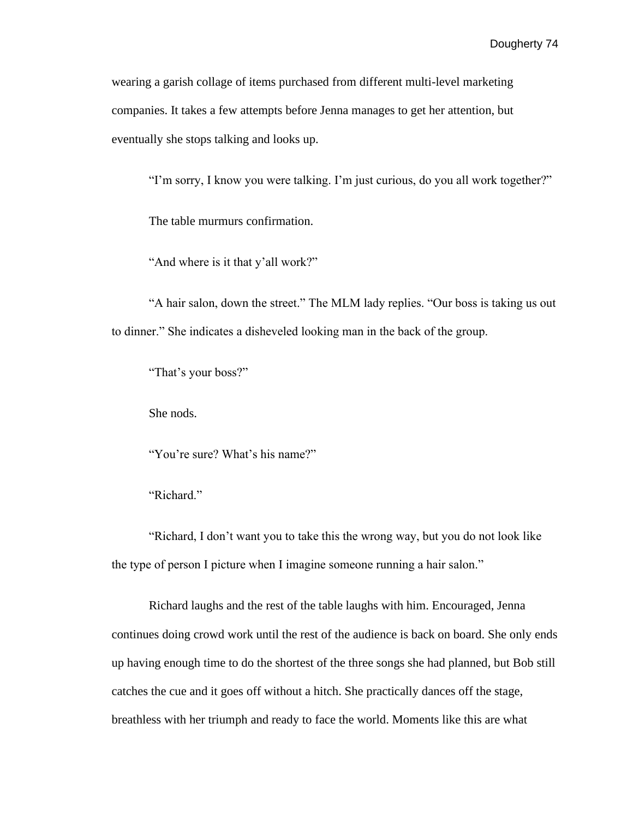wearing a garish collage of items purchased from different multi-level marketing companies. It takes a few attempts before Jenna manages to get her attention, but eventually she stops talking and looks up.

"I'm sorry, I know you were talking. I'm just curious, do you all work together?"

The table murmurs confirmation.

"And where is it that y'all work?"

 "A hair salon, down the street." The MLM lady replies. "Our boss is taking us out to dinner." She indicates a disheveled looking man in the back of the group.

"That's your boss?"

She nods.

"You're sure? What's his name?"

"Richard."

 "Richard, I don't want you to take this the wrong way, but you do not look like the type of person I picture when I imagine someone running a hair salon."

Richard laughs and the rest of the table laughs with him. Encouraged, Jenna continues doing crowd work until the rest of the audience is back on board. She only ends up having enough time to do the shortest of the three songs she had planned, but Bob still catches the cue and it goes off without a hitch. She practically dances off the stage, breathless with her triumph and ready to face the world. Moments like this are what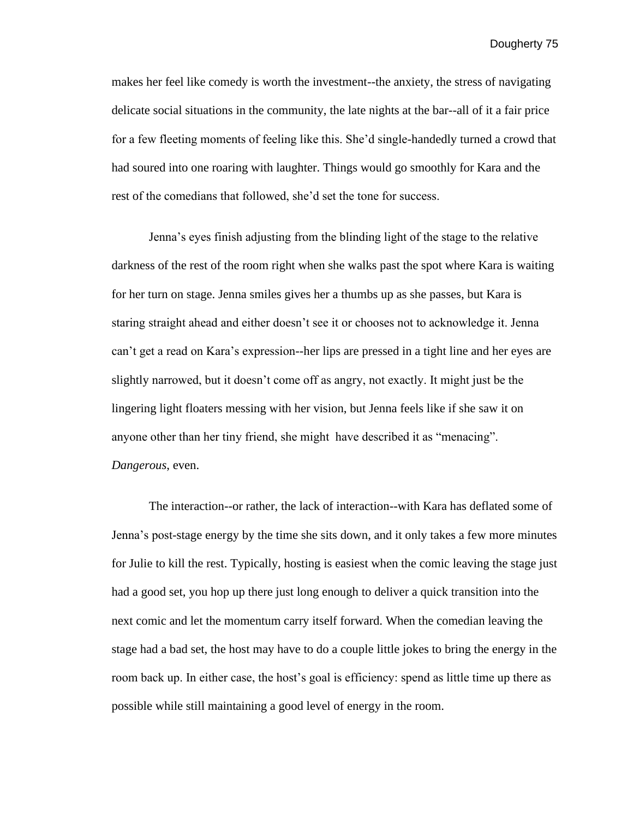makes her feel like comedy is worth the investment--the anxiety, the stress of navigating delicate social situations in the community, the late nights at the bar--all of it a fair price for a few fleeting moments of feeling like this. She'd single-handedly turned a crowd that had soured into one roaring with laughter. Things would go smoothly for Kara and the rest of the comedians that followed, she'd set the tone for success.

Jenna's eyes finish adjusting from the blinding light of the stage to the relative darkness of the rest of the room right when she walks past the spot where Kara is waiting for her turn on stage. Jenna smiles gives her a thumbs up as she passes, but Kara is staring straight ahead and either doesn't see it or chooses not to acknowledge it. Jenna can't get a read on Kara's expression--her lips are pressed in a tight line and her eyes are slightly narrowed, but it doesn't come off as angry, not exactly. It might just be the lingering light floaters messing with her vision, but Jenna feels like if she saw it on anyone other than her tiny friend, she might have described it as "menacing". *Dangerous*, even.

 The interaction--or rather, the lack of interaction--with Kara has deflated some of Jenna's post-stage energy by the time she sits down, and it only takes a few more minutes for Julie to kill the rest. Typically, hosting is easiest when the comic leaving the stage just had a good set, you hop up there just long enough to deliver a quick transition into the next comic and let the momentum carry itself forward. When the comedian leaving the stage had a bad set, the host may have to do a couple little jokes to bring the energy in the room back up. In either case, the host's goal is efficiency: spend as little time up there as possible while still maintaining a good level of energy in the room.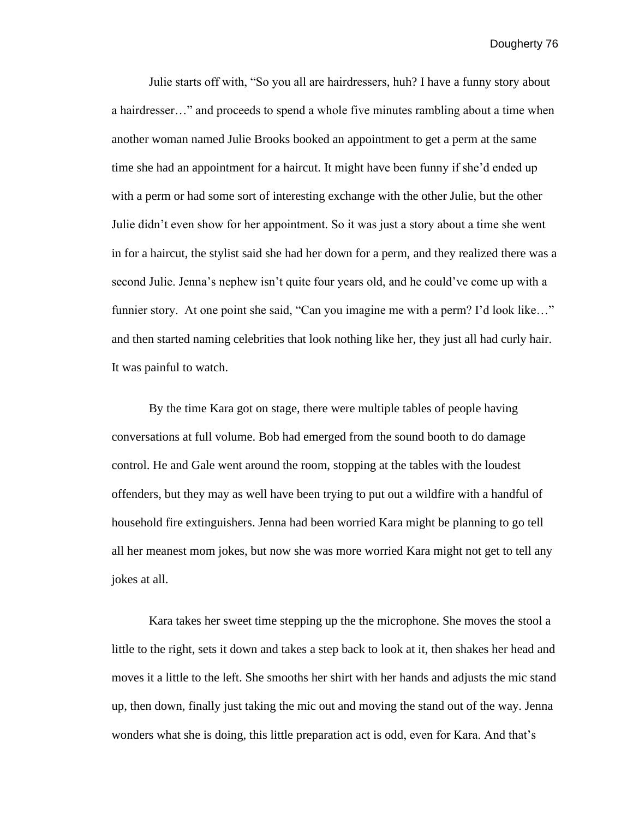Julie starts off with, "So you all are hairdressers, huh? I have a funny story about a hairdresser…" and proceeds to spend a whole five minutes rambling about a time when another woman named Julie Brooks booked an appointment to get a perm at the same time she had an appointment for a haircut. It might have been funny if she'd ended up with a perm or had some sort of interesting exchange with the other Julie, but the other Julie didn't even show for her appointment. So it was just a story about a time she went in for a haircut, the stylist said she had her down for a perm, and they realized there was a second Julie. Jenna's nephew isn't quite four years old, and he could've come up with a funnier story. At one point she said, "Can you imagine me with a perm? I'd look like..." and then started naming celebrities that look nothing like her, they just all had curly hair. It was painful to watch.

By the time Kara got on stage, there were multiple tables of people having conversations at full volume. Bob had emerged from the sound booth to do damage control. He and Gale went around the room, stopping at the tables with the loudest offenders, but they may as well have been trying to put out a wildfire with a handful of household fire extinguishers. Jenna had been worried Kara might be planning to go tell all her meanest mom jokes, but now she was more worried Kara might not get to tell any jokes at all.

Kara takes her sweet time stepping up the the microphone. She moves the stool a little to the right, sets it down and takes a step back to look at it, then shakes her head and moves it a little to the left. She smooths her shirt with her hands and adjusts the mic stand up, then down, finally just taking the mic out and moving the stand out of the way. Jenna wonders what she is doing, this little preparation act is odd, even for Kara. And that's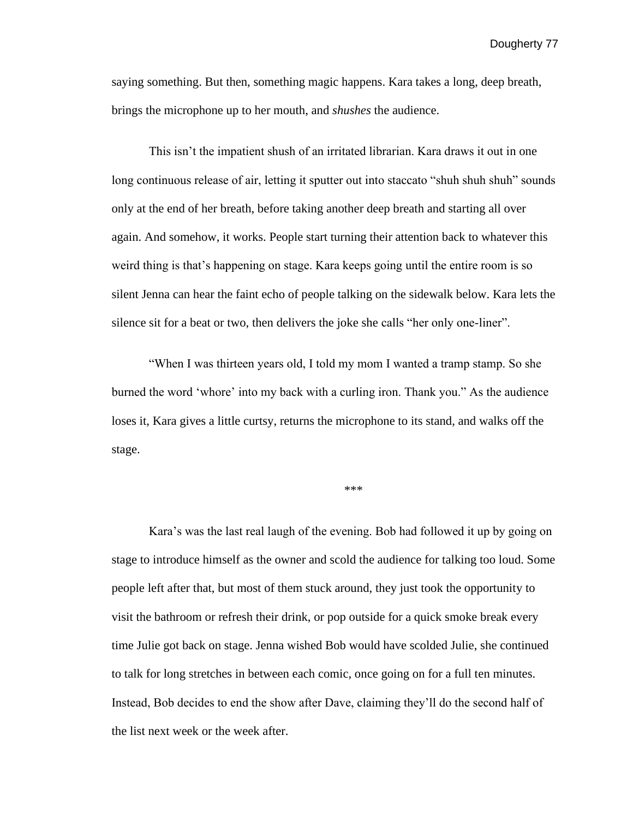saying something. But then, something magic happens. Kara takes a long, deep breath, brings the microphone up to her mouth, and *shushes* the audience.

This isn't the impatient shush of an irritated librarian. Kara draws it out in one long continuous release of air, letting it sputter out into staccato "shuh shuh shuh" sounds only at the end of her breath, before taking another deep breath and starting all over again. And somehow, it works. People start turning their attention back to whatever this weird thing is that's happening on stage. Kara keeps going until the entire room is so silent Jenna can hear the faint echo of people talking on the sidewalk below. Kara lets the silence sit for a beat or two, then delivers the joke she calls "her only one-liner".

"When I was thirteen years old, I told my mom I wanted a tramp stamp. So she burned the word 'whore' into my back with a curling iron. Thank you." As the audience loses it, Kara gives a little curtsy, returns the microphone to its stand, and walks off the stage.

\*\*\*

Kara's was the last real laugh of the evening. Bob had followed it up by going on stage to introduce himself as the owner and scold the audience for talking too loud. Some people left after that, but most of them stuck around, they just took the opportunity to visit the bathroom or refresh their drink, or pop outside for a quick smoke break every time Julie got back on stage. Jenna wished Bob would have scolded Julie, she continued to talk for long stretches in between each comic, once going on for a full ten minutes. Instead, Bob decides to end the show after Dave, claiming they'll do the second half of the list next week or the week after.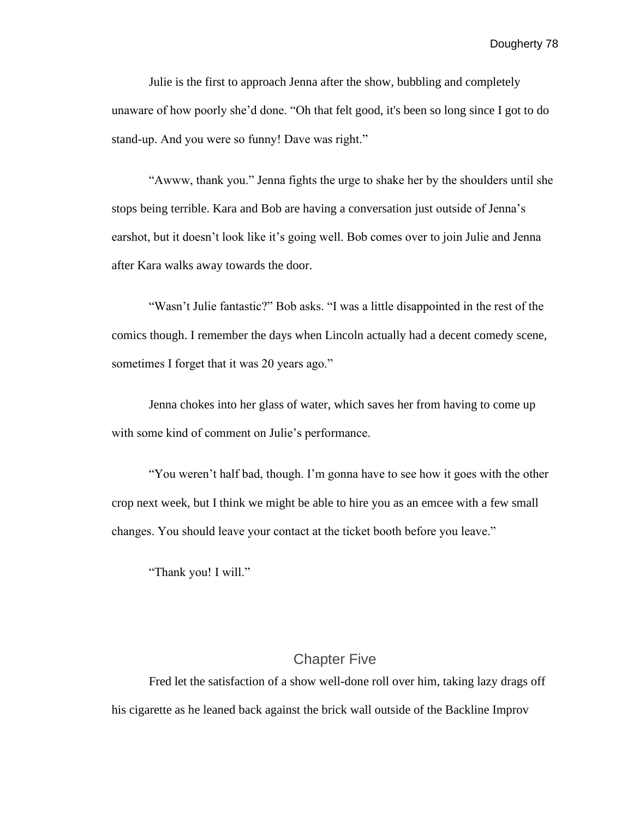Julie is the first to approach Jenna after the show, bubbling and completely unaware of how poorly she'd done. "Oh that felt good, it's been so long since I got to do stand-up. And you were so funny! Dave was right."

 "Awww, thank you." Jenna fights the urge to shake her by the shoulders until she stops being terrible. Kara and Bob are having a conversation just outside of Jenna's earshot, but it doesn't look like it's going well. Bob comes over to join Julie and Jenna after Kara walks away towards the door.

"Wasn't Julie fantastic?" Bob asks. "I was a little disappointed in the rest of the comics though. I remember the days when Lincoln actually had a decent comedy scene, sometimes I forget that it was 20 years ago."

Jenna chokes into her glass of water, which saves her from having to come up with some kind of comment on Julie's performance.

"You weren't half bad, though. I'm gonna have to see how it goes with the other crop next week, but I think we might be able to hire you as an emcee with a few small changes. You should leave your contact at the ticket booth before you leave."

"Thank you! I will."

## Chapter Five

Fred let the satisfaction of a show well-done roll over him, taking lazy drags off his cigarette as he leaned back against the brick wall outside of the Backline Improv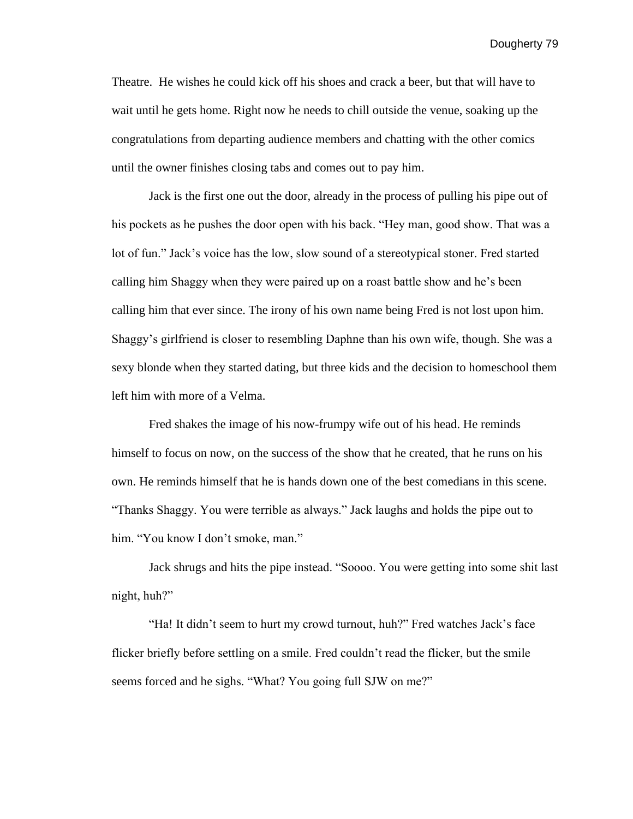Theatre. He wishes he could kick off his shoes and crack a beer, but that will have to wait until he gets home. Right now he needs to chill outside the venue, soaking up the congratulations from departing audience members and chatting with the other comics until the owner finishes closing tabs and comes out to pay him.

Jack is the first one out the door, already in the process of pulling his pipe out of his pockets as he pushes the door open with his back. "Hey man, good show. That was a lot of fun." Jack's voice has the low, slow sound of a stereotypical stoner. Fred started calling him Shaggy when they were paired up on a roast battle show and he's been calling him that ever since. The irony of his own name being Fred is not lost upon him. Shaggy's girlfriend is closer to resembling Daphne than his own wife, though. She was a sexy blonde when they started dating, but three kids and the decision to homeschool them left him with more of a Velma.

Fred shakes the image of his now-frumpy wife out of his head. He reminds himself to focus on now, on the success of the show that he created, that he runs on his own. He reminds himself that he is hands down one of the best comedians in this scene. "Thanks Shaggy. You were terrible as always." Jack laughs and holds the pipe out to him. "You know I don't smoke, man."

Jack shrugs and hits the pipe instead. "Soooo. You were getting into some shit last night, huh?"

"Ha! It didn't seem to hurt my crowd turnout, huh?" Fred watches Jack's face flicker briefly before settling on a smile. Fred couldn't read the flicker, but the smile seems forced and he sighs. "What? You going full SJW on me?"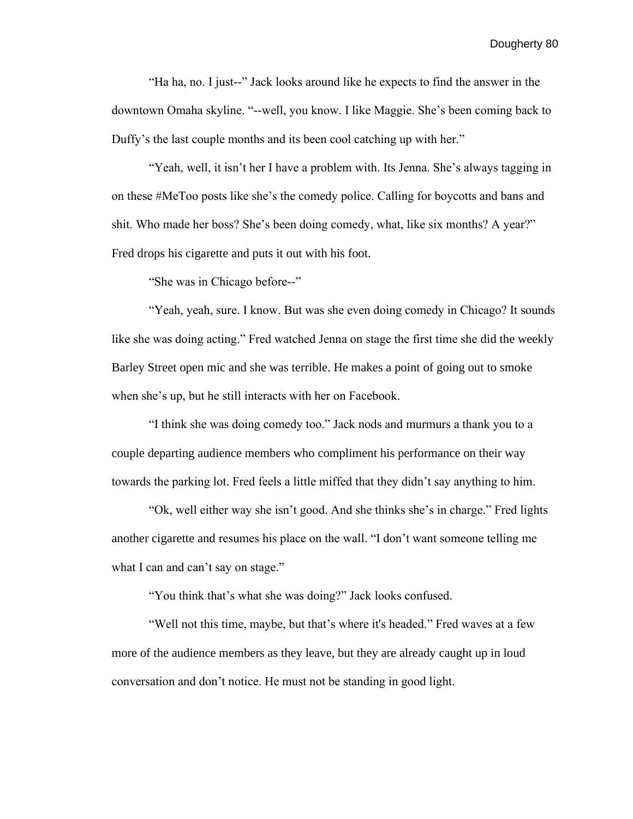"Ha ha, no. I just--" Jack looks around like he expects to find the answer in the downtown Omaha skyline. "--well, you know. I like Maggie. She's been coming back to Duffy's the last couple months and its been cool catching up with her."

"Yeah, well, it isn't her I have a problem with. Its Jenna. She's always tagging in on these #MeToo posts like she's the comedy police. Calling for boycotts and bans and shit. Who made her boss? She's been doing comedy, what, like six months? A year?" Fred drops his cigarette and puts it out with his foot.

"She was in Chicago before--"

"Yeah, yeah, sure. I know. But was she even doing comedy in Chicago? It sounds like she was doing acting." Fred watched Jenna on stage the first time she did the weekly Barley Street open mic and she was terrible. He makes a point of going out to smoke when she's up, but he still interacts with her on Facebook.

"I think she was doing comedy too." Jack nods and murmurs a thank you to a couple departing audience members who compliment his performance on their way towards the parking lot. Fred feels a little miffed that they didn't say anything to him.

"Ok, well either way she isn't good. And she thinks she's in charge." Fred lights another cigarette and resumes his place on the wall. "I don't want someone telling me what I can and can't say on stage."

"You think that's what she was doing?" Jack looks confused.

"Well not this time, maybe, but that's where it's headed." Fred waves at a few more of the audience members as they leave, but they are already caught up in loud conversation and don't notice. He must not be standing in good light.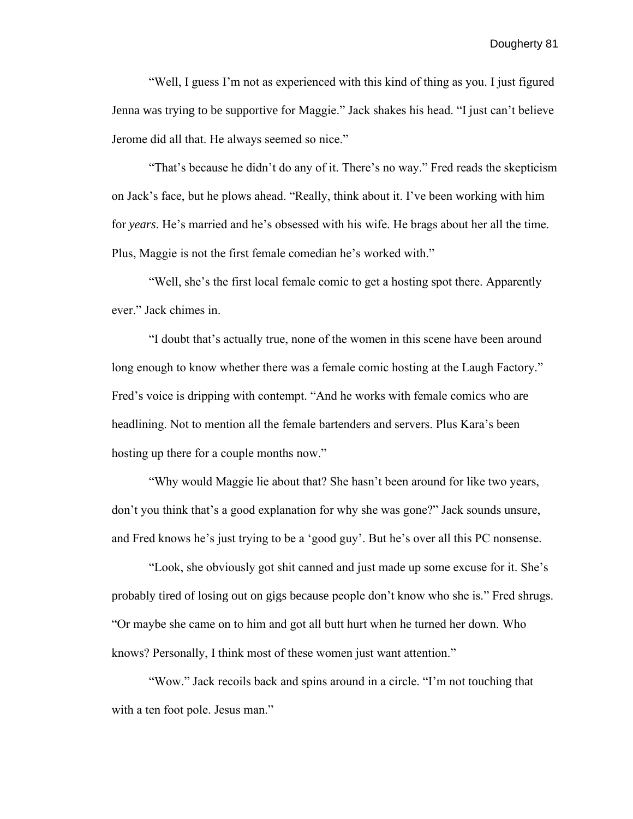"Well, I guess I'm not as experienced with this kind of thing as you. I just figured Jenna was trying to be supportive for Maggie." Jack shakes his head. "I just can't believe Jerome did all that. He always seemed so nice."

"That's because he didn't do any of it. There's no way." Fred reads the skepticism on Jack's face, but he plows ahead. "Really, think about it. I've been working with him for *years*. He's married and he's obsessed with his wife. He brags about her all the time. Plus, Maggie is not the first female comedian he's worked with."

"Well, she's the first local female comic to get a hosting spot there. Apparently ever." Jack chimes in.

"I doubt that's actually true, none of the women in this scene have been around long enough to know whether there was a female comic hosting at the Laugh Factory." Fred's voice is dripping with contempt. "And he works with female comics who are headlining. Not to mention all the female bartenders and servers. Plus Kara's been hosting up there for a couple months now."

"Why would Maggie lie about that? She hasn't been around for like two years, don't you think that's a good explanation for why she was gone?" Jack sounds unsure, and Fred knows he's just trying to be a 'good guy'. But he's over all this PC nonsense.

"Look, she obviously got shit canned and just made up some excuse for it. She's probably tired of losing out on gigs because people don't know who she is." Fred shrugs. "Or maybe she came on to him and got all butt hurt when he turned her down. Who knows? Personally, I think most of these women just want attention."

"Wow." Jack recoils back and spins around in a circle. "I'm not touching that with a ten foot pole. Jesus man."